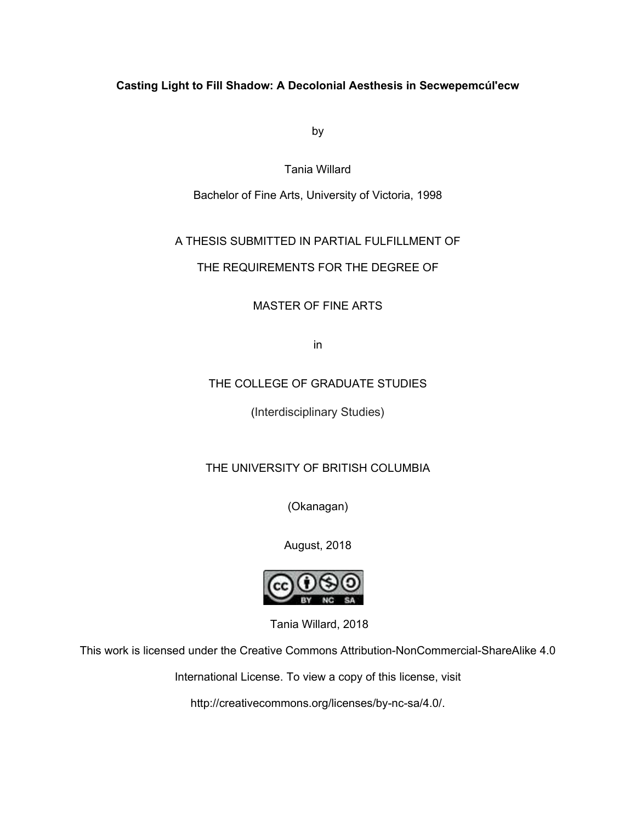# **Casting Light to Fill Shadow: A Decolonial Aesthesis in Secwepemcul'ecw**

by

Tania Willard

Bachelor of Fine Arts, University of Victoria, 1998

# A THESIS SUBMITTED IN PARTIAL FULFILLMENT OF

# THE REQUIREMENTS FOR THE DEGREE OF

MASTER OF FINE ARTS

in

# THE COLLEGE OF GRADUATE STUDIES

(Interdisciplinary Studies)

# THE UNIVERSITY OF BRITISH COLUMBIA

(Okanagan)

August, 2018



Tania Willard, 2018

This work is licensed under the Creative Commons Attribution-NonCommercial-ShareAlike 4.0

International License. To view a copy of this license, visit

http://creativecommons.org/licenses/by-nc-sa/4.0/.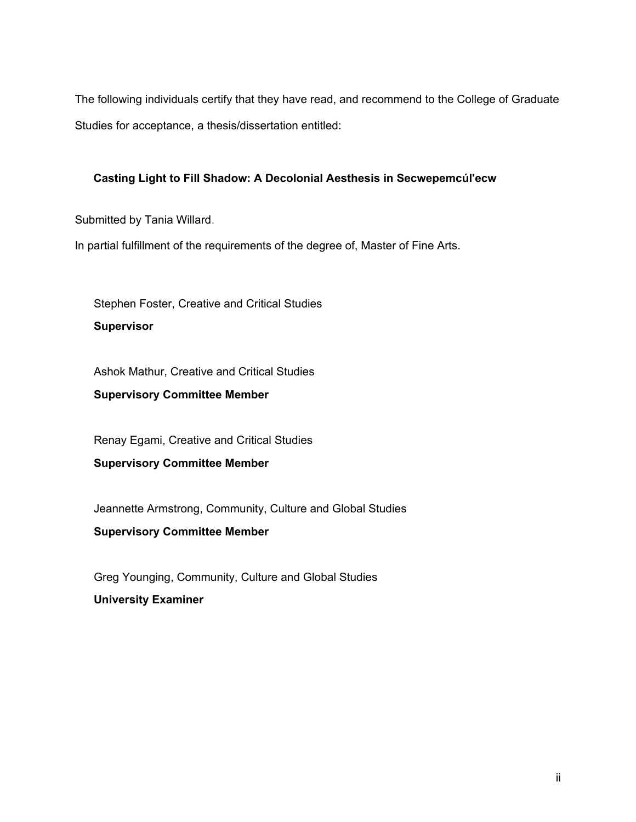The following individuals certify that they have read, and recommend to the College of Graduate Studies for acceptance, a thesis/dissertation entitled:

## **Casting Light to Fill Shadow: A Decolonial Aesthesis in Secwepemcul'ecw**

Submitted by Tania Willard.

In partial fulfillment of the requirements of the degree of, Master of Fine Arts.

Stephen Foster, Creative and Critical Studies

**Supervisor**

Ashok Mathur, Creative and Critical Studies

**Supervisory Committee Member**

Renay Egami, Creative and Critical Studies

**Supervisory Committee Member**

Jeannette Armstrong, Community, Culture and Global Studies

**Supervisory Committee Member**

Greg Younging, Community, Culture and Global Studies **University Examiner**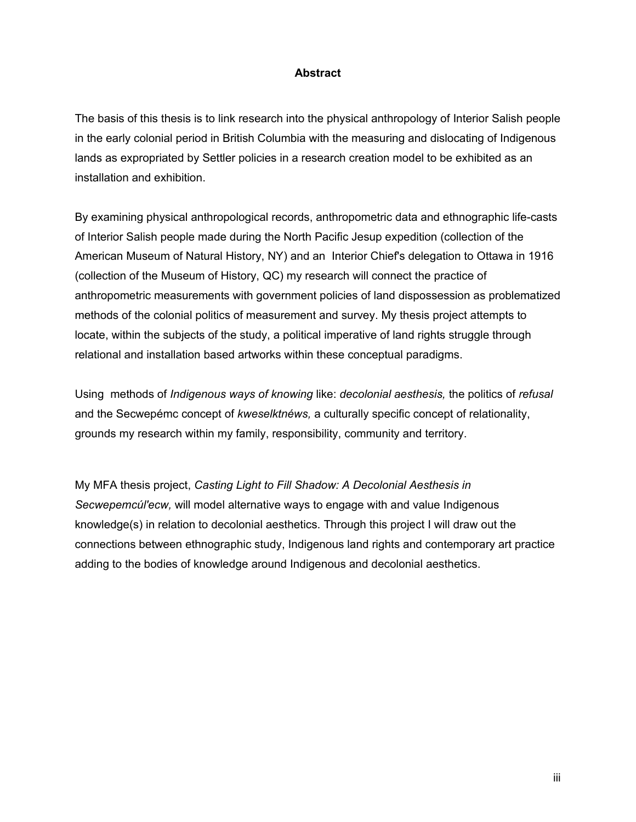## **Abstract**

The basis of this thesis is to link research into the physical anthropology of Interior Salish people in the early colonial period in British Columbia with the measuring and dislocating of Indigenous lands as expropriated by Settler policies in a research creation model to be exhibited as an installation and exhibition.

By examining physical anthropological records, anthropometric data and ethnographic life-casts of Interior Salish people made during the North Pacific Jesup expedition (collection of the American Museum of Natural History, NY) and an Interior Chief's delegation to Ottawa in 1916 (collection of the Museum of History, QC) my research will connect the practice of anthropometric measurements with government policies of land dispossession as problematized methods of the colonial politics of measurement and survey. My thesis project attempts to locate, within the subjects of the study, a political imperative of land rights struggle through relational and installation based artworks within these conceptual paradigms.

Using methods of *Indigenous ways of knowing* like: *decolonial aesthesis,* the politics of *refusal*  and the Secwepémc concept of *kweselktnéws,* a culturally specific concept of relationality, grounds my research within my family, responsibility, community and territory.

My MFA thesis project, *Casting Light to Fill Shadow: A Decolonial Aesthesis in Secwepemcúl'ecw,* will model alternative ways to engage with and value Indigenous knowledge(s) in relation to decolonial aesthetics. Through this project I will draw out the connections between ethnographic study, Indigenous land rights and contemporary art practice adding to the bodies of knowledge around Indigenous and decolonial aesthetics.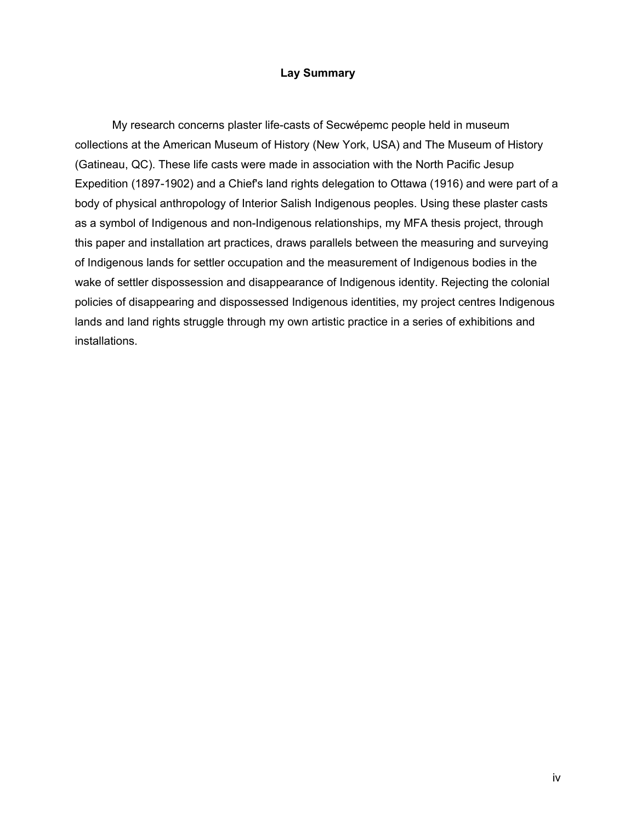## **Lay Summary**

My research concerns plaster life-casts of Secwépemc people held in museum collections at the American Museum of History (New York, USA) and The Museum of History (Gatineau, QC). These life casts were made in association with the North Pacific Jesup Expedition (1897-1902) and a Chief's land rights delegation to Ottawa (1916) and were part of a body of physical anthropology of Interior Salish Indigenous peoples. Using these plaster casts as a symbol of Indigenous and non-Indigenous relationships, my MFA thesis project, through this paper and installation art practices, draws parallels between the measuring and surveying of Indigenous lands for settler occupation and the measurement of Indigenous bodies in the wake of settler dispossession and disappearance of Indigenous identity. Rejecting the colonial policies of disappearing and dispossessed Indigenous identities, my project centres Indigenous lands and land rights struggle through my own artistic practice in a series of exhibitions and installations.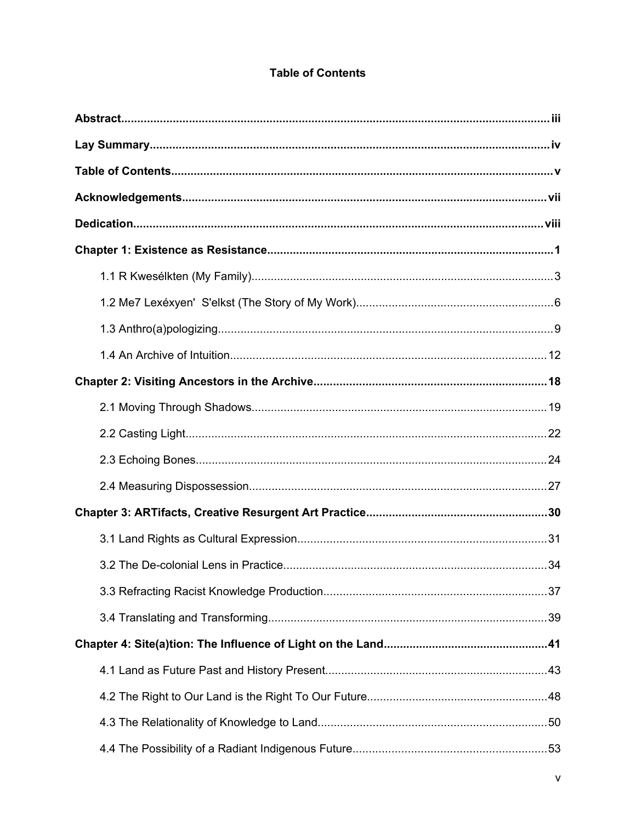# **Table of Contents**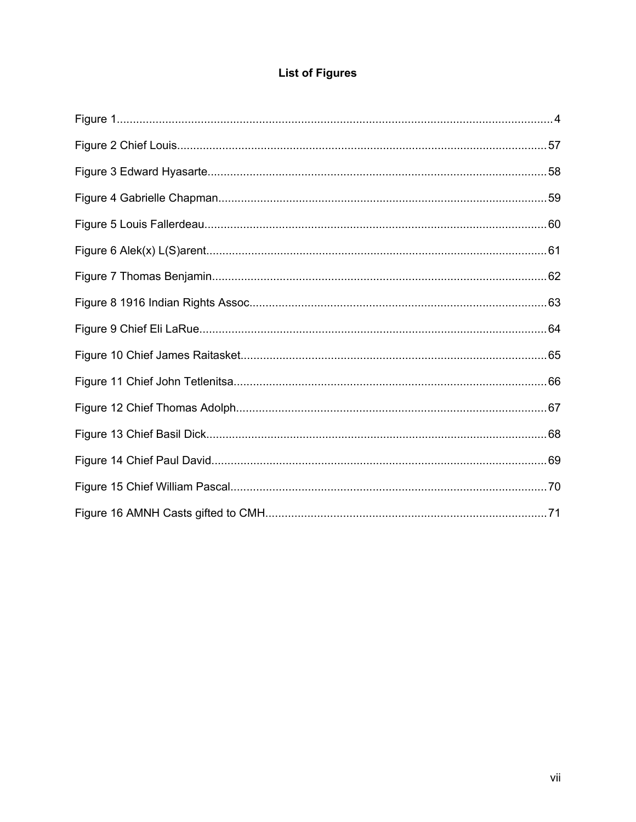# **List of Figures**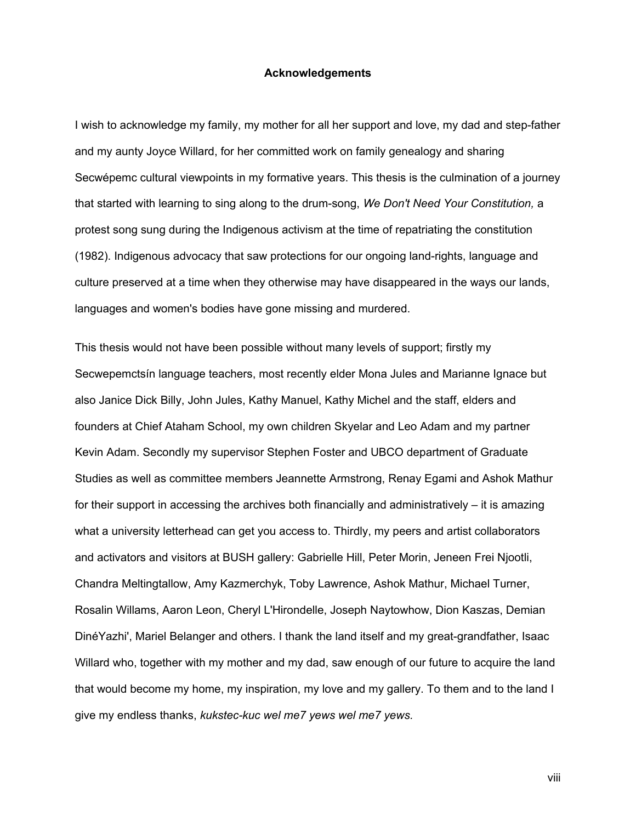#### **Acknowledgements**

I wish to acknowledge my family, my mother for all her support and love, my dad and step-father and my aunty Joyce Willard, for her committed work on family genealogy and sharing Secwépemc cultural viewpoints in my formative years. This thesis is the culmination of a journey that started with learning to sing along to the drum-song, *We Don't Need Your Constitution,* a protest song sung during the Indigenous activism at the time of repatriating the constitution (1982). Indigenous advocacy that saw protections for our ongoing land-rights, language and culture preserved at a time when they otherwise may have disappeared in the ways our lands, languages and women's bodies have gone missing and murdered.

This thesis would not have been possible without many levels of support; firstly my Secwepemctsín language teachers, most recently elder Mona Jules and Marianne Ignace but also Janice Dick Billy, John Jules, Kathy Manuel, Kathy Michel and the staff, elders and founders at Chief Ataham School, my own children Skyelar and Leo Adam and my partner Kevin Adam. Secondly my supervisor Stephen Foster and UBCO department of Graduate Studies as well as committee members Jeannette Armstrong, Renay Egami and Ashok Mathur for their support in accessing the archives both financially and administratively – it is amazing what a university letterhead can get you access to. Thirdly, my peers and artist collaborators and activators and visitors at BUSH gallery: Gabrielle Hill, Peter Morin, Jeneen Frei Njootli, Chandra Meltingtallow, Amy Kazmerchyk, Toby Lawrence, Ashok Mathur, Michael Turner, Rosalin Willams, Aaron Leon, Cheryl L'Hirondelle, Joseph Naytowhow, Dion Kaszas, Demian DinéYazhi', Mariel Belanger and others. I thank the land itself and my great-grandfather, Isaac Willard who, together with my mother and my dad, saw enough of our future to acquire the land that would become my home, my inspiration, my love and my gallery. To them and to the land I give my endless thanks, *kukstec-kuc wel me7 yews wel me7 yews.*

viii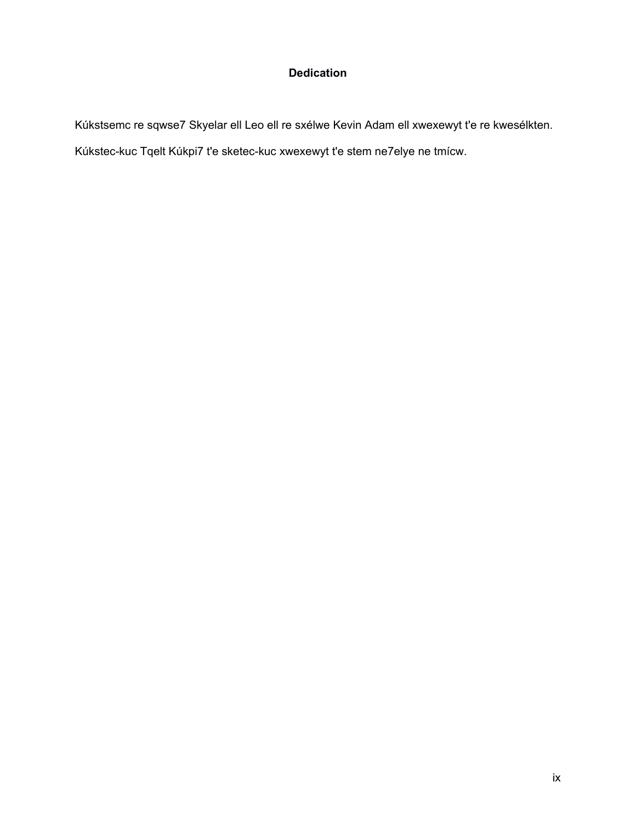# <span id="page-8-0"></span>**[Dedication](#page-8-0)**

Kúkstsemc re sqwse7 Skyelar ell Leo ell re sxélwe Kevin Adam ell xwexewyt t'e re kwesélkten. Kúkstec-kuc Tqelt Kúkpi7 t'e sketec-kuc xwexewyt t'e stem ne7elye ne tmícw.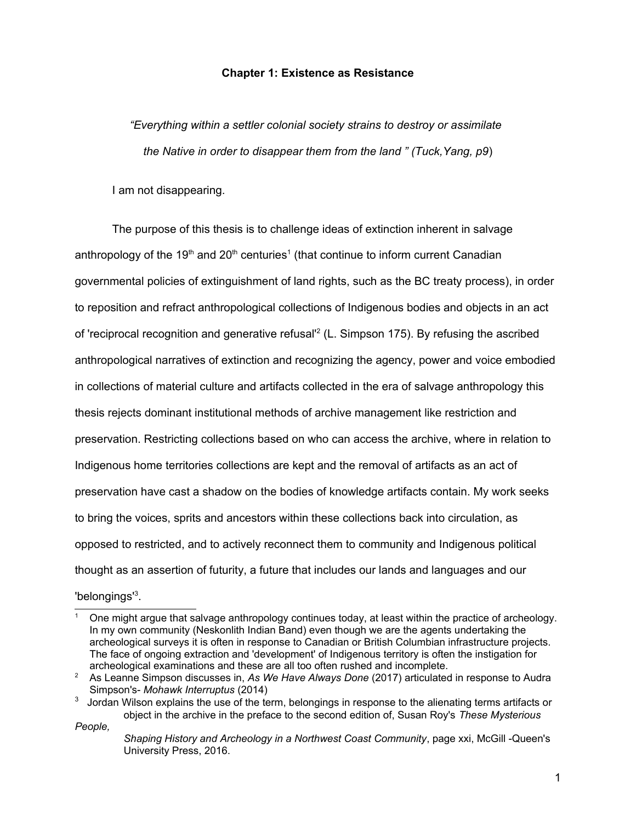#### **Chapter 1: Existence as Resistance**

*"Everything within a settler colonial society strains to destroy or assimilate the Native in order to disappear them from the land " (Tuck,Yang, p9*)

I am not disappearing.

The purpose of this thesis is to challenge ideas of extinction inherent in salvage anthropology of the [1](#page-9-0)9<sup>th</sup> and 20<sup>th</sup> centuries<sup>1</sup> (that continue to inform current Canadian governmental policies of extinguishment of land rights, such as the BC treaty process), in order to reposition and refract anthropological collections of Indigenous bodies and objects in an act of 'reciprocal recognition and generative refusal<sup>1[2](#page-9-1)</sup> (L. Simpson 175). By refusing the ascribed anthropological narratives of extinction and recognizing the agency, power and voice embodied in collections of material culture and artifacts collected in the era of salvage anthropology this thesis rejects dominant institutional methods of archive management like restriction and preservation. Restricting collections based on who can access the archive, where in relation to Indigenous home territories collections are kept and the removal of artifacts as an act of preservation have cast a shadow on the bodies of knowledge artifacts contain. My work seeks to bring the voices, sprits and ancestors within these collections back into circulation, as opposed to restricted, and to actively reconnect them to community and Indigenous political thought as an assertion of futurity, a future that includes our lands and languages and our 'belongings'<sup>[3](#page-9-2)</sup>.

*People,* 

<span id="page-9-0"></span><sup>1</sup> One might argue that salvage anthropology continues today, at least within the practice of archeology. In my own community (Neskonlith Indian Band) even though we are the agents undertaking the archeological surveys it is often in response to Canadian or British Columbian infrastructure projects. The face of ongoing extraction and 'development' of Indigenous territory is often the instigation for archeological examinations and these are all too often rushed and incomplete.

<span id="page-9-1"></span><sup>&</sup>lt;sup>2</sup> As Leanne Simpson discusses in, As We Have Always Done (2017) articulated in response to Audra Simpson's- *Mohawk Interruptus* (2014)

<span id="page-9-2"></span> $3$  Jordan Wilson explains the use of the term, belongings in response to the alienating terms artifacts or object in the archive in the preface to the second edition of, Susan Roy's *These Mysterious* 

*Shaping History and Archeology in a Northwest Coast Community*, page xxi, McGill -Queen's University Press, 2016.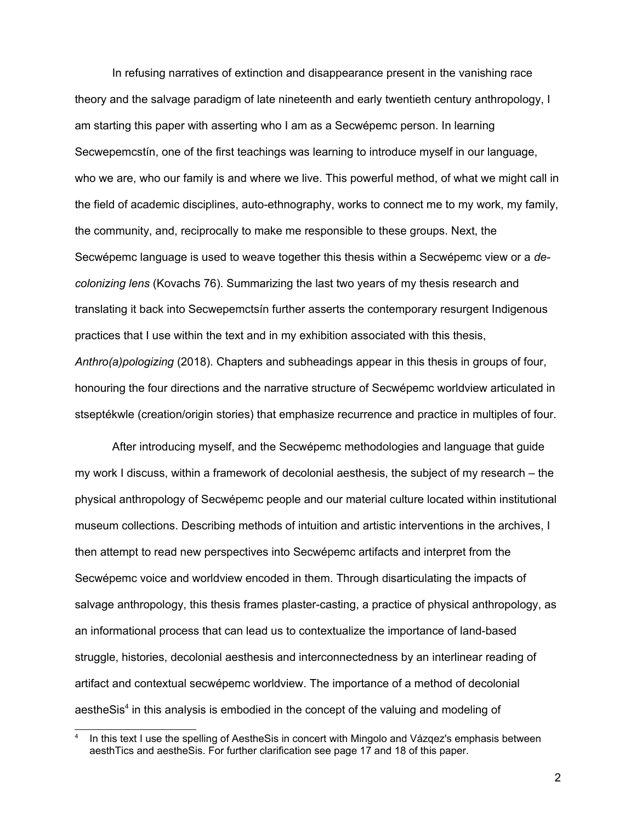In refusing narratives of extinction and disappearance present in the vanishing race theory and the salvage paradigm of late nineteenth and early twentieth century anthropology, I am starting this paper with asserting who I am as a Secwépemc person. In learning Secwepemcstín, one of the first teachings was learning to introduce myself in our language, who we are, who our family is and where we live. This powerful method, of what we might call in the field of academic disciplines, auto-ethnography, works to connect me to my work, my family, the community, and, reciprocally to make me responsible to these groups. Next, the Secwépemc language is used to weave together this thesis within a Secwépemc view or a *decolonizing lens* (Kovachs 76). Summarizing the last two years of my thesis research and translating it back into Secwepemctsín further asserts the contemporary resurgent Indigenous practices that I use within the text and in my exhibition associated with this thesis, *Anthro(a)pologizing* (2018). Chapters and subheadings appear in this thesis in groups of four, honouring the four directions and the narrative structure of Secwépemc worldview articulated in stseptékwle (creation/origin stories) that emphasize recurrence and practice in multiples of four.

After introducing myself, and the Secwépemc methodologies and language that guide my work I discuss, within a framework of decolonial aesthesis, the subject of my research – the physical anthropology of Secwépemc people and our material culture located within institutional museum collections. Describing methods of intuition and artistic interventions in the archives, I then attempt to read new perspectives into Secwépemc artifacts and interpret from the Secwépemc voice and worldview encoded in them. Through disarticulating the impacts of salvage anthropology, this thesis frames plaster-casting, a practice of physical anthropology, as an informational process that can lead us to contextualize the importance of land-based struggle, histories, decolonial aesthesis and interconnectedness by an interlinear reading of artifact and contextual secwépemc worldview. The importance of a method of decolonial aestheSis<sup>[4](#page-10-0)</sup> in this analysis is embodied in the concept of the valuing and modeling of

<span id="page-10-0"></span><sup>4</sup> In this text I use the spelling of AestheSis in concert with Mingolo and Vázqez's emphasis between aesthTics and aestheSis. For further clarification see page 17 and 18 of this paper.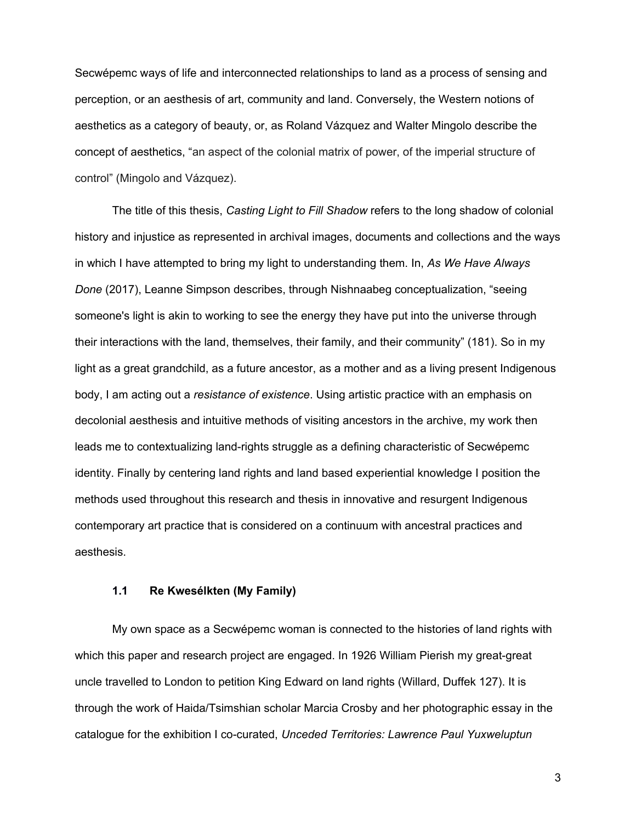Secwépemc ways of life and interconnected relationships to land as a process of sensing and perception, or an aesthesis of art, community and land. Conversely, the Western notions of aesthetics as a category of beauty, or, as Roland Vázquez and Walter Mingolo describe the concept of aesthetics, "an aspect of the colonial matrix of power, of the imperial structure of control" (Mingolo and Vázquez).

The title of this thesis, *Casting Light to Fill Shadow* refers to the long shadow of colonial history and injustice as represented in archival images, documents and collections and the ways in which I have attempted to bring my light to understanding them. In, *As We Have Always Done* (2017), Leanne Simpson describes, through Nishnaabeg conceptualization, "seeing someone's light is akin to working to see the energy they have put into the universe through their interactions with the land, themselves, their family, and their community" (181). So in my light as a great grandchild, as a future ancestor, as a mother and as a living present Indigenous body, I am acting out a *resistance of existence*. Using artistic practice with an emphasis on decolonial aesthesis and intuitive methods of visiting ancestors in the archive, my work then leads me to contextualizing land-rights struggle as a defining characteristic of Secwépemc identity. Finally by centering land rights and land based experiential knowledge I position the methods used throughout this research and thesis in innovative and resurgent Indigenous contemporary art practice that is considered on a continuum with ancestral practices and aesthesis.

#### **1.1 Re Kwesélkten (My Family)**

My own space as a Secwépemc woman is connected to the histories of land rights with which this paper and research project are engaged. In 1926 William Pierish my great-great uncle travelled to London to petition King Edward on land rights (Willard, Duffek 127). It is through the work of Haida/Tsimshian scholar Marcia Crosby and her photographic essay in the catalogue for the exhibition I co-curated, *Unceded Territories: Lawrence Paul Yuxweluptun*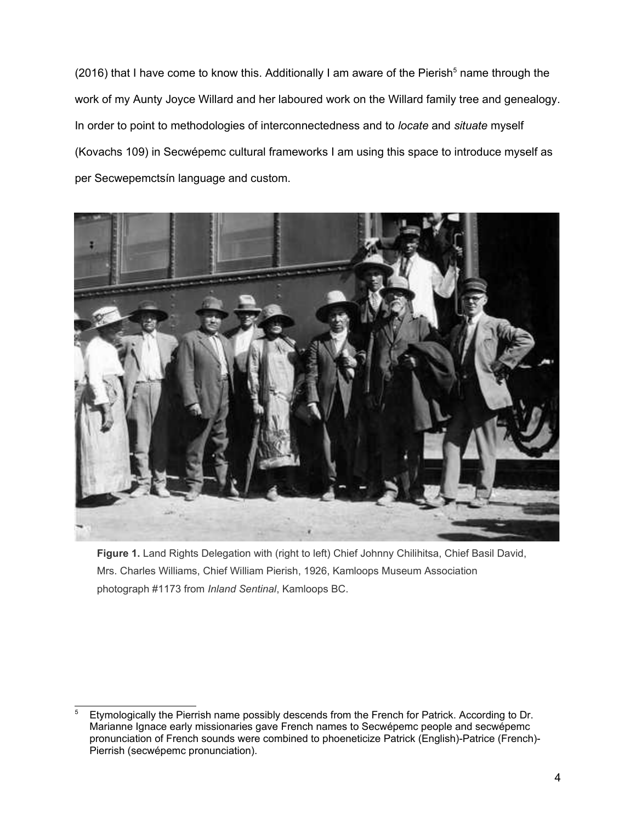(2016) that I have come to know this. Additionally I am aware of the Pierish<sup>[5](#page-12-0)</sup> name through the work of my Aunty Joyce Willard and her laboured work on the Willard family tree and genealogy. In order to point to methodologies of interconnectedness and to *locate* and *situate* myself (Kovachs 109) in Secwépemc cultural frameworks I am using this space to introduce myself as per Secwepemctsín language and custom.



**Figure 1.** Land Rights Delegation with (right to left) Chief Johnny Chilihitsa, Chief Basil David, Mrs. Charles Williams, Chief William Pierish, 1926, Kamloops Museum Association photograph #1173 from *Inland Sentinal*, Kamloops BC.

<span id="page-12-0"></span><sup>5</sup> Etymologically the Pierrish name possibly descends from the French for Patrick. According to Dr. Marianne Ignace early missionaries gave French names to Secwépemc people and secwépemc pronunciation of French sounds were combined to phoeneticize Patrick (English)-Patrice (French)- Pierrish (secwépemc pronunciation).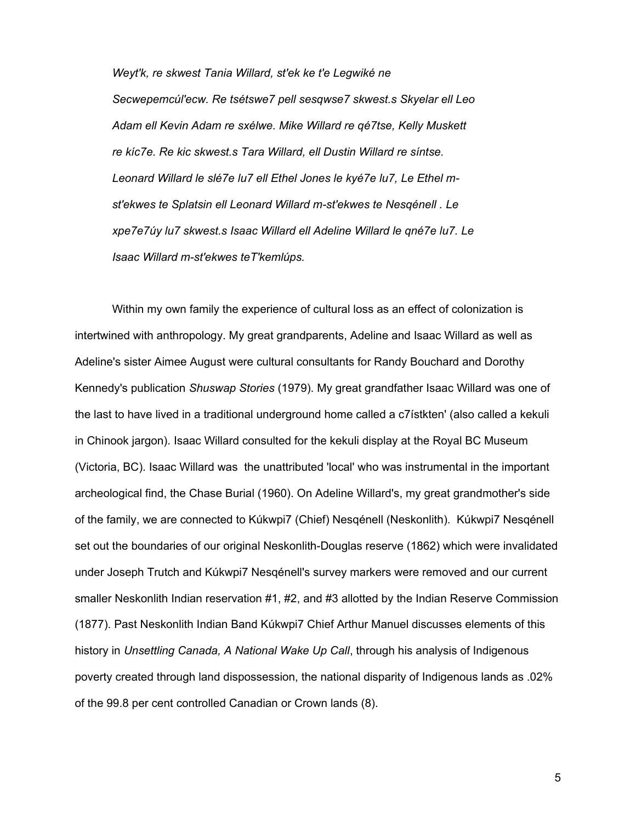*Weyt'k, re skwest Tania Willard, st'ek ke t'e Legwiké ne Secwepemcúl'ecw. Re tsétswe7 pell sesqwse7 skwest.s Skyelar ell Leo Adam ell Kevin Adam re sxélwe. Mike Willard re qé7tse, Kelly Muskett re kíc7e. Re kic skwest.s Tara Willard, ell Dustin Willard re síntse. Leonard Willard le slé7e lu7 ell Ethel Jones le kyé7e lu7, Le Ethel mst'ekwes te Splatsin ell Leonard Willard m-st'ekwes te Nesqénell . Le xpe7e7úy lu7 skwest.s Isaac Willard ell Adeline Willard le qné7e lu7. Le Isaac Willard m-st'ekwes teT'kemlúps.*

Within my own family the experience of cultural loss as an effect of colonization is intertwined with anthropology. My great grandparents, Adeline and Isaac Willard as well as Adeline's sister Aimee August were cultural consultants for Randy Bouchard and Dorothy Kennedy's publication *Shuswap Stories* (1979). My great grandfather Isaac Willard was one of the last to have lived in a traditional underground home called a c7ístkten' (also called a kekuli in Chinook jargon). Isaac Willard consulted for the kekuli display at the Royal BC Museum (Victoria, BC). Isaac Willard was the unattributed 'local' who was instrumental in the important archeological find, the Chase Burial (1960). On Adeline Willard's, my great grandmother's side of the family, we are connected to Kúkwpi7 (Chief) Nesqénell (Neskonlith). Kúkwpi7 Nesqénell set out the boundaries of our original Neskonlith-Douglas reserve (1862) which were invalidated under Joseph Trutch and Kúkwpi7 Nesqénell's survey markers were removed and our current smaller Neskonlith Indian reservation #1, #2, and #3 allotted by the Indian Reserve Commission (1877). Past Neskonlith Indian Band Kúkwpi7 Chief Arthur Manuel discusses elements of this history in *Unsettling Canada, A National Wake Up Call*, through his analysis of Indigenous poverty created through land dispossession, the national disparity of Indigenous lands as .02% of the 99.8 per cent controlled Canadian or Crown lands (8).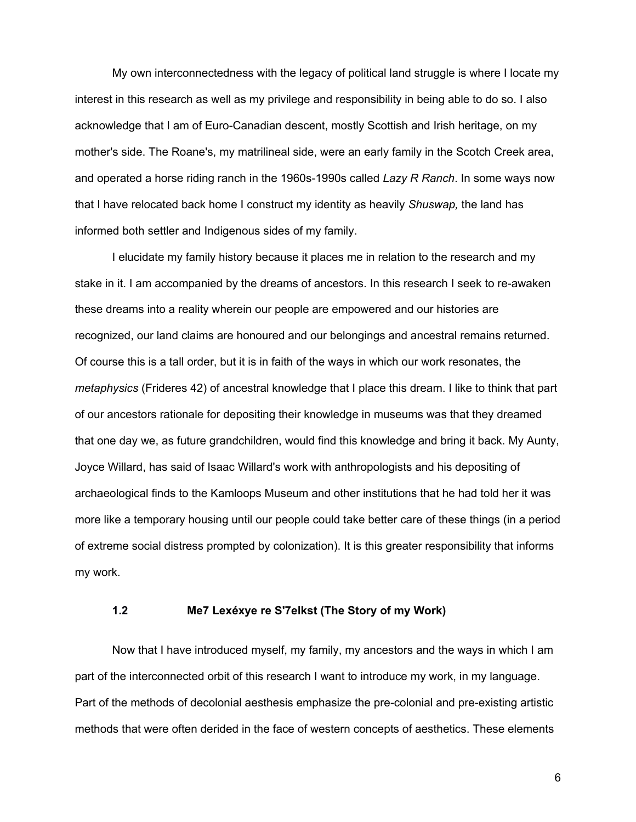My own interconnectedness with the legacy of political land struggle is where I locate my interest in this research as well as my privilege and responsibility in being able to do so. I also acknowledge that I am of Euro-Canadian descent, mostly Scottish and Irish heritage, on my mother's side. The Roane's, my matrilineal side, were an early family in the Scotch Creek area, and operated a horse riding ranch in the 1960s-1990s called *Lazy R Ranch*. In some ways now that I have relocated back home I construct my identity as heavily *Shuswap,* the land has informed both settler and Indigenous sides of my family.

I elucidate my family history because it places me in relation to the research and my stake in it. I am accompanied by the dreams of ancestors. In this research I seek to re-awaken these dreams into a reality wherein our people are empowered and our histories are recognized, our land claims are honoured and our belongings and ancestral remains returned. Of course this is a tall order, but it is in faith of the ways in which our work resonates, the *metaphysics* (Frideres 42) of ancestral knowledge that I place this dream. I like to think that part of our ancestors rationale for depositing their knowledge in museums was that they dreamed that one day we, as future grandchildren, would find this knowledge and bring it back. My Aunty, Joyce Willard, has said of Isaac Willard's work with anthropologists and his depositing of archaeological finds to the Kamloops Museum and other institutions that he had told her it was more like a temporary housing until our people could take better care of these things (in a period of extreme social distress prompted by colonization). It is this greater responsibility that informs my work.

## **1.2 Me7 Lexéxye re S'7elkst (The Story of my Work)**

Now that I have introduced myself, my family, my ancestors and the ways in which I am part of the interconnected orbit of this research I want to introduce my work, in my language. Part of the methods of decolonial aesthesis emphasize the pre-colonial and pre-existing artistic methods that were often derided in the face of western concepts of aesthetics. These elements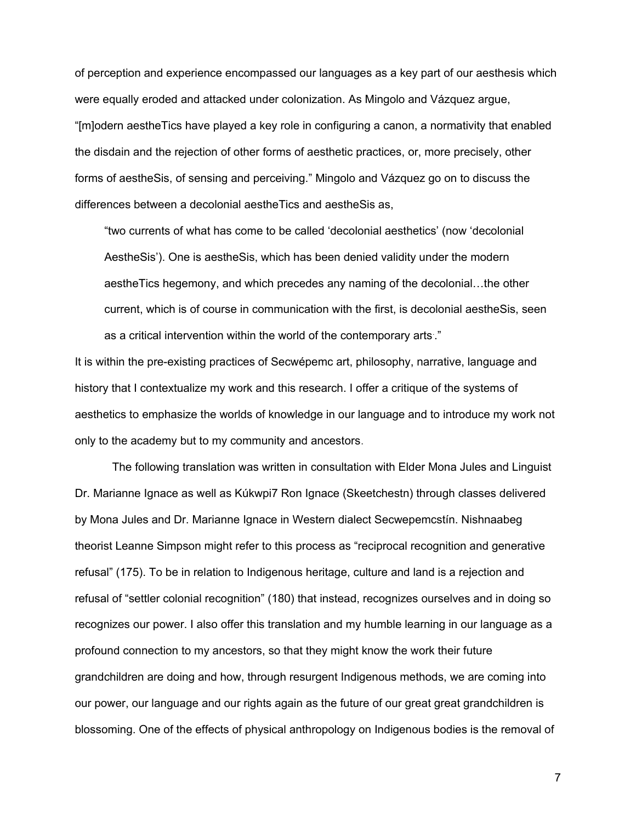of perception and experience encompassed our languages as a key part of our aesthesis which were equally eroded and attacked under colonization. As Mingolo and Vázquez argue, "[m]odern aestheTics have played a key role in configuring a canon, a normativity that enabled the disdain and the rejection of other forms of aesthetic practices, or, more precisely, other forms of aestheSis, of sensing and perceiving." Mingolo and Vázquez go on to discuss the differences between a decolonial aestheTics and aestheSis as,

"two currents of what has come to be called 'decolonial aesthetics' (now 'decolonial AestheSis'). One is aestheSis, which has been denied validity under the modern aestheTics hegemony, and which precedes any naming of the decolonial…the other current, which is of course in communication with the first, is decolonial aestheSis, seen as a critical intervention within the world of the contemporary arts. ."

It is within the pre-existing practices of Secwépemc art, philosophy, narrative, language and history that I contextualize my work and this research. I offer a critique of the systems of aesthetics to emphasize the worlds of knowledge in our language and to introduce my work not only to the academy but to my community and ancestors.

The following translation was written in consultation with Elder Mona Jules and Linguist Dr. Marianne Ignace as well as Kúkwpi7 Ron Ignace (Skeetchestn) through classes delivered by Mona Jules and Dr. Marianne Ignace in Western dialect Secwepemcstín. Nishnaabeg theorist Leanne Simpson might refer to this process as "reciprocal recognition and generative refusal" (175). To be in relation to Indigenous heritage, culture and land is a rejection and refusal of "settler colonial recognition" (180) that instead, recognizes ourselves and in doing so recognizes our power. I also offer this translation and my humble learning in our language as a profound connection to my ancestors, so that they might know the work their future grandchildren are doing and how, through resurgent Indigenous methods, we are coming into our power, our language and our rights again as the future of our great great grandchildren is blossoming. One of the effects of physical anthropology on Indigenous bodies is the removal of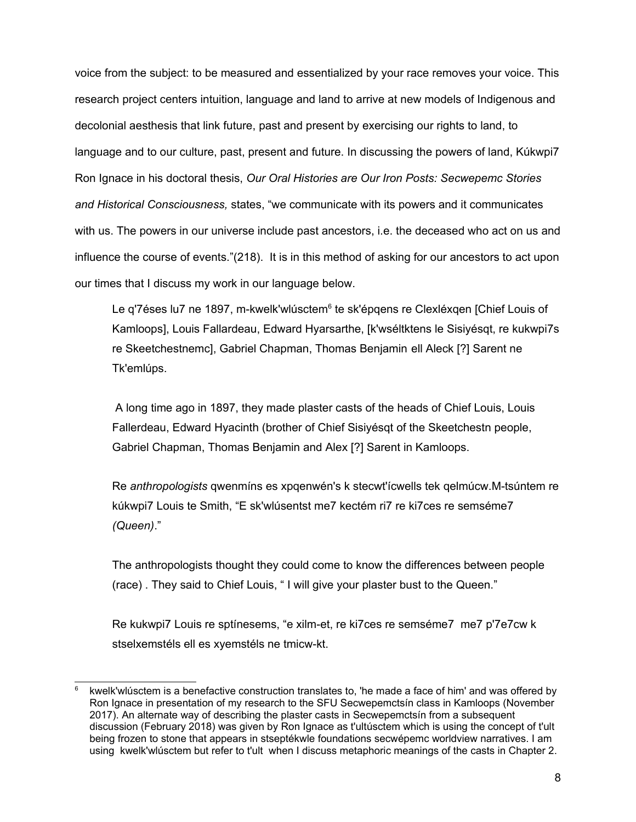voice from the subject: to be measured and essentialized by your race removes your voice. This research project centers intuition, language and land to arrive at new models of Indigenous and decolonial aesthesis that link future, past and present by exercising our rights to land, to language and to our culture, past, present and future. In discussing the powers of land, Kúkwpi7 Ron Ignace in his doctoral thesis, *Our Oral Histories are Our Iron Posts: Secwepemc Stories and Historical Consciousness,* states, "we communicate with its powers and it communicates with us. The powers in our universe include past ancestors, i.e. the deceased who act on us and influence the course of events."(218). It is in this method of asking for our ancestors to act upon our times that I discuss my work in our language below.

Le q'7éses lu7 ne 1897, m-kwelk'wlúsctem<sup>[6](#page-16-0)</sup> te sk'épqens re Clexléxqen [Chief Louis of Kamloops], Louis Fallardeau, Edward Hyarsarthe, [k'wséltktens le Sisiyésqt, re kukwpi7s re Skeetchestnemc], Gabriel Chapman, Thomas Benjamin ell Aleck [?] Sarent ne Tk'emlúps.

 A long time ago in 1897, they made plaster casts of the heads of Chief Louis, Louis Fallerdeau, Edward Hyacinth (brother of Chief Sisiyésqt of the Skeetchestn people, Gabriel Chapman, Thomas Benjamin and Alex [?] Sarent in Kamloops.

Re *anthropologists* qwenmíns es xpqenwén's k stecwt'ícwells tek qelmúcw.M-tsúntem re kúkwpi7 Louis te Smith, "E sk'wlúsentst me7 kectém ri7 re ki7ces re semséme7 *(Queen)*."

The anthropologists thought they could come to know the differences between people (race) . They said to Chief Louis, " I will give your plaster bust to the Queen."

Re kukwpi7 Louis re sptínesems, "e xilm-et, re ki7ces re semséme7 me7 p'7e7cw k stselxemstéls ell es xyemstéls ne tmicw-kt.

<span id="page-16-0"></span><sup>6</sup> kwelk'wlúsctem is a benefactive construction translates to, 'he made a face of him' and was offered by Ron Ignace in presentation of my research to the SFU Secwepemctsín class in Kamloops (November 2017). An alternate way of describing the plaster casts in Secwepemctsín from a subsequent discussion (February 2018) was given by Ron Ignace as t'ultúsctem which is using the concept of t'ult being frozen to stone that appears in stseptékwle foundations secwépemc worldview narratives. I am using kwelk'wlúsctem but refer to t'ult when I discuss metaphoric meanings of the casts in Chapter 2.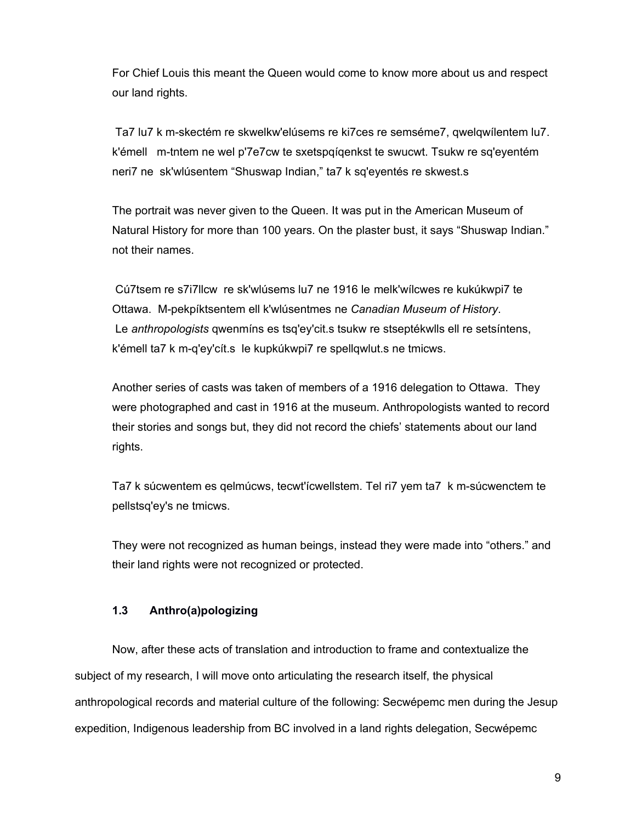For Chief Louis this meant the Queen would come to know more about us and respect our land rights.

 Ta7 lu7 k m-skectém re skwelkw'elúsems re ki7ces re semséme7, qwelqwílentem lu7. k'émell m-tntem ne wel p'7e7cw te sxetspqíqenkst te swucwt. Tsukw re sq'eyentém neri7 ne sk'wlúsentem "Shuswap Indian," ta7 k sq'eyentés re skwest.s

The portrait was never given to the Queen. It was put in the American Museum of Natural History for more than 100 years. On the plaster bust, it says "Shuswap Indian." not their names.

 Cú7tsem re s7i7llcw re sk'wlúsems lu7 ne 1916 le melk'wílcwes re kukúkwpi7 te Ottawa. M-pekpíktsentem ell k'wlúsentmes ne *Canadian Museum of History*. Le *anthropologists* qwenmíns es tsq'ey'cit.s tsukw re stseptékwlls ell re setsíntens, k'émell ta7 k m-q'ey'cít.s le kupkúkwpi7 re spellqwlut.s ne tmicws.

Another series of casts was taken of members of a 1916 delegation to Ottawa. They were photographed and cast in 1916 at the museum. Anthropologists wanted to record their stories and songs but, they did not record the chiefs' statements about our land rights.

Ta7 k súcwentem es qelmúcws, tecwt'ícwellstem. Tel ri7 yem ta7 k m-súcwenctem te pellstsq'ey's ne tmicws.

They were not recognized as human beings, instead they were made into "others." and their land rights were not recognized or protected.

## **1.3 Anthro(a)pologizing**

Now, after these acts of translation and introduction to frame and contextualize the subject of my research, I will move onto articulating the research itself, the physical anthropological records and material culture of the following: Secwépemc men during the Jesup expedition, Indigenous leadership from BC involved in a land rights delegation, Secwépemc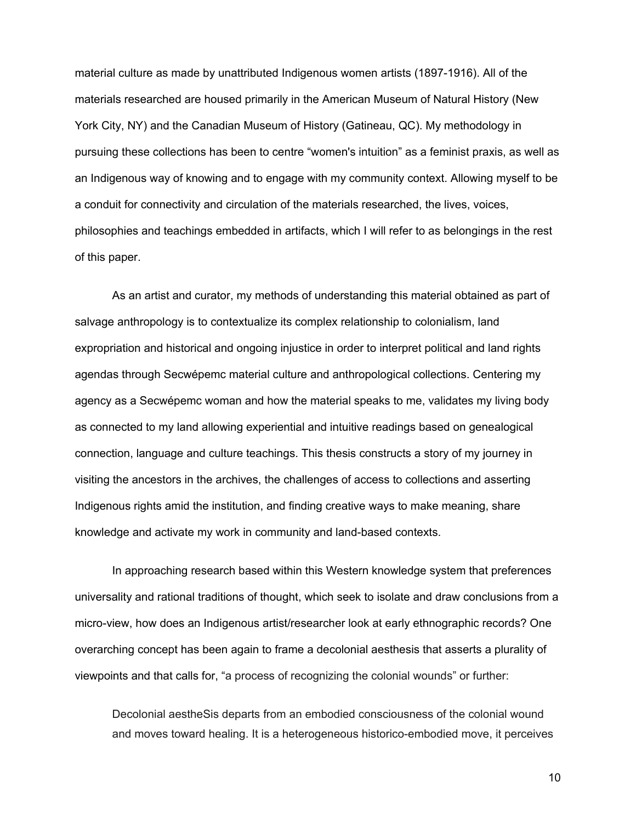material culture as made by unattributed Indigenous women artists (1897-1916). All of the materials researched are housed primarily in the American Museum of Natural History (New York City, NY) and the Canadian Museum of History (Gatineau, QC). My methodology in pursuing these collections has been to centre "women's intuition" as a feminist praxis, as well as an Indigenous way of knowing and to engage with my community context. Allowing myself to be a conduit for connectivity and circulation of the materials researched, the lives, voices, philosophies and teachings embedded in artifacts, which I will refer to as belongings in the rest of this paper.

As an artist and curator, my methods of understanding this material obtained as part of salvage anthropology is to contextualize its complex relationship to colonialism, land expropriation and historical and ongoing injustice in order to interpret political and land rights agendas through Secwépemc material culture and anthropological collections. Centering my agency as a Secwépemc woman and how the material speaks to me, validates my living body as connected to my land allowing experiential and intuitive readings based on genealogical connection, language and culture teachings. This thesis constructs a story of my journey in visiting the ancestors in the archives, the challenges of access to collections and asserting Indigenous rights amid the institution, and finding creative ways to make meaning, share knowledge and activate my work in community and land-based contexts.

In approaching research based within this Western knowledge system that preferences universality and rational traditions of thought, which seek to isolate and draw conclusions from a micro-view, how does an Indigenous artist/researcher look at early ethnographic records? One overarching concept has been again to frame a decolonial aesthesis that asserts a plurality of viewpoints and that calls for, "a process of recognizing the colonial wounds" or further:

Decolonial aestheSis departs from an embodied consciousness of the colonial wound and moves toward healing. It is a heterogeneous historico-embodied move, it perceives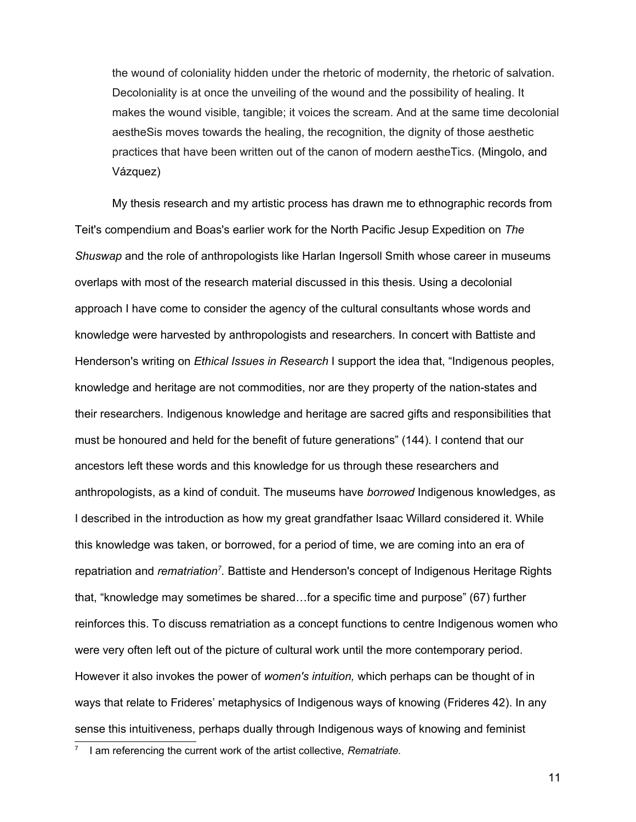the wound of coloniality hidden under the rhetoric of modernity, the rhetoric of salvation. Decoloniality is at once the unveiling of the wound and the possibility of healing. It makes the wound visible, tangible; it voices the scream. And at the same time decolonial aestheSis moves towards the healing, the recognition, the dignity of those aesthetic practices that have been written out of the canon of modern aestheTics. (Mingolo, and Vázquez)

My thesis research and my artistic process has drawn me to ethnographic records from Teit's compendium and Boas's earlier work for the North Pacific Jesup Expedition on *The Shuswap* and the role of anthropologists like Harlan Ingersoll Smith whose career in museums overlaps with most of the research material discussed in this thesis. Using a decolonial approach I have come to consider the agency of the cultural consultants whose words and knowledge were harvested by anthropologists and researchers. In concert with Battiste and Henderson's writing on *Ethical Issues in Research* I support the idea that, "Indigenous peoples, knowledge and heritage are not commodities, nor are they property of the nation-states and their researchers. Indigenous knowledge and heritage are sacred gifts and responsibilities that must be honoured and held for the benefit of future generations" (144). I contend that our ancestors left these words and this knowledge for us through these researchers and anthropologists, as a kind of conduit. The museums have *borrowed* Indigenous knowledges, as I described in the introduction as how my great grandfather Isaac Willard considered it. While this knowledge was taken, or borrowed, for a period of time, we are coming into an era of repatriation and *rematriation<sup>[7](#page-19-0)</sup>.* Battiste and Henderson's concept of Indigenous Heritage Rights that, "knowledge may sometimes be shared…for a specific time and purpose" (67) further reinforces this. To discuss rematriation as a concept functions to centre Indigenous women who were very often left out of the picture of cultural work until the more contemporary period. However it also invokes the power of *women's intuition,* which perhaps can be thought of in ways that relate to Frideres' metaphysics of Indigenous ways of knowing (Frideres 42). In any sense this intuitiveness, perhaps dually through Indigenous ways of knowing and feminist

<span id="page-19-0"></span><sup>7</sup> I am referencing the current work of the artist collective, *Rematriate.*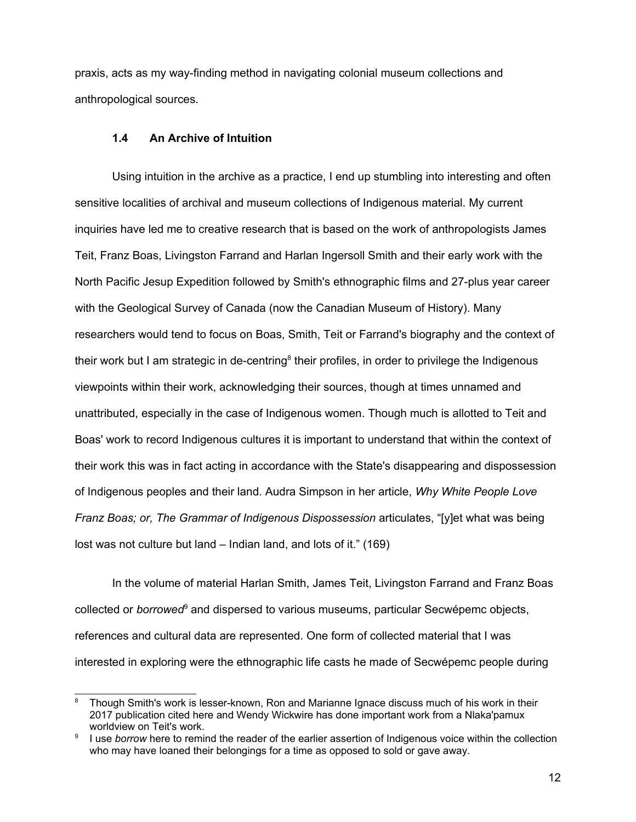praxis, acts as my way-finding method in navigating colonial museum collections and anthropological sources.

## **1.4 An Archive of Intuition**

Using intuition in the archive as a practice, I end up stumbling into interesting and often sensitive localities of archival and museum collections of Indigenous material. My current inquiries have led me to creative research that is based on the work of anthropologists James Teit, Franz Boas, Livingston Farrand and Harlan Ingersoll Smith and their early work with the North Pacific Jesup Expedition followed by Smith's ethnographic films and 27-plus year career with the Geological Survey of Canada (now the Canadian Museum of History). Many researchers would tend to focus on Boas, Smith, Teit or Farrand's biography and the context of their work but I am strategic in de-centring<sup>[8](#page-20-0)</sup> their profiles, in order to privilege the Indigenous viewpoints within their work, acknowledging their sources, though at times unnamed and unattributed, especially in the case of Indigenous women. Though much is allotted to Teit and Boas' work to record Indigenous cultures it is important to understand that within the context of their work this was in fact acting in accordance with the State's disappearing and dispossession of Indigenous peoples and their land. Audra Simpson in her article, *Why White People Love Franz Boas; or, The Grammar of Indigenous Dispossession* articulates, "[y]et what was being lost was not culture but land – Indian land, and lots of it." (169)

In the volume of material Harlan Smith, James Teit, Livingston Farrand and Franz Boas collected or *borrowed*<sup>[9](#page-20-1)</sup> and dispersed to various museums, particular Secwépemc objects, references and cultural data are represented. One form of collected material that I was interested in exploring were the ethnographic life casts he made of Secwépemc people during

<span id="page-20-0"></span>Though Smith's work is lesser-known, Ron and Marianne Ignace discuss much of his work in their 2017 publication cited here and Wendy Wickwire has done important work from a Nlaka'pamux worldview on Teit's work.

<span id="page-20-1"></span><sup>9</sup> I use *borrow* here to remind the reader of the earlier assertion of Indigenous voice within the collection who may have loaned their belongings for a time as opposed to sold or gave away.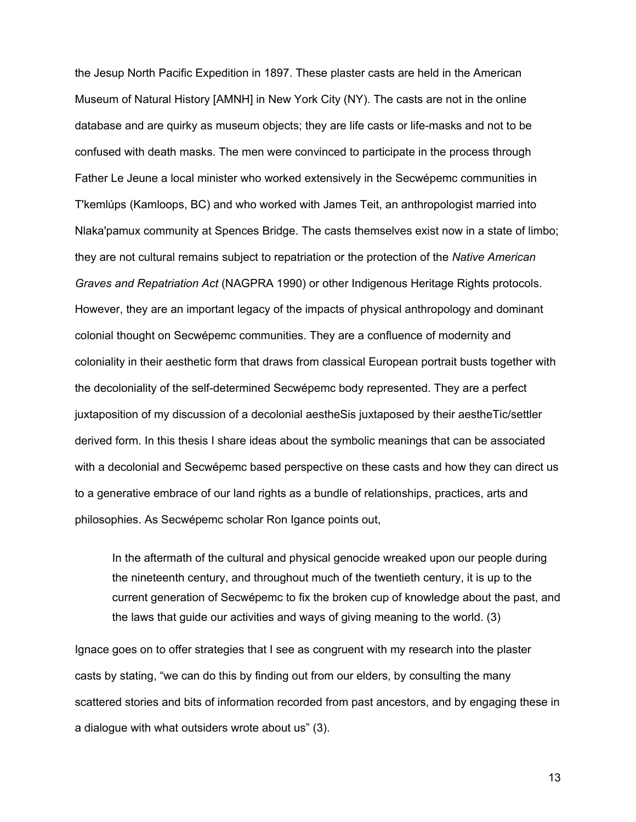the Jesup North Pacific Expedition in 1897. These plaster casts are held in the American Museum of Natural History [AMNH] in New York City (NY). The casts are not in the online database and are quirky as museum objects; they are life casts or life-masks and not to be confused with death masks. The men were convinced to participate in the process through Father Le Jeune a local minister who worked extensively in the Secwépemc communities in T'kemlúps (Kamloops, BC) and who worked with James Teit, an anthropologist married into Nlaka'pamux community at Spences Bridge. The casts themselves exist now in a state of limbo; they are not cultural remains subject to repatriation or the protection of the *Native American Graves and Repatriation Act* (NAGPRA 1990) or other Indigenous Heritage Rights protocols. However, they are an important legacy of the impacts of physical anthropology and dominant colonial thought on Secwépemc communities. They are a confluence of modernity and coloniality in their aesthetic form that draws from classical European portrait busts together with the decoloniality of the self-determined Secwépemc body represented. They are a perfect juxtaposition of my discussion of a decolonial aestheSis juxtaposed by their aestheTic/settler derived form. In this thesis I share ideas about the symbolic meanings that can be associated with a decolonial and Secwépemc based perspective on these casts and how they can direct us to a generative embrace of our land rights as a bundle of relationships, practices, arts and philosophies. As Secwépemc scholar Ron Igance points out,

In the aftermath of the cultural and physical genocide wreaked upon our people during the nineteenth century, and throughout much of the twentieth century, it is up to the current generation of Secwépemc to fix the broken cup of knowledge about the past, and the laws that guide our activities and ways of giving meaning to the world. (3)

Ignace goes on to offer strategies that I see as congruent with my research into the plaster casts by stating, "we can do this by finding out from our elders, by consulting the many scattered stories and bits of information recorded from past ancestors, and by engaging these in a dialogue with what outsiders wrote about us" (3).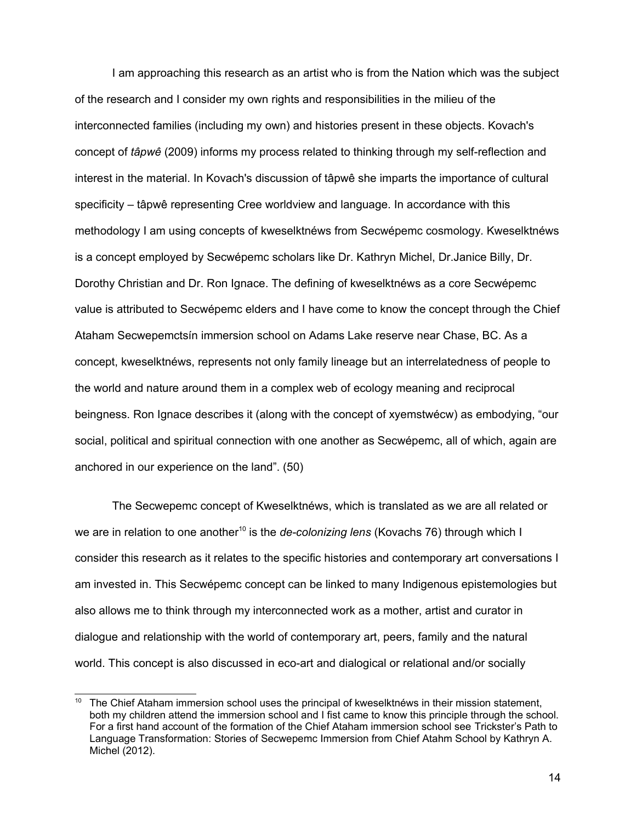I am approaching this research as an artist who is from the Nation which was the subject of the research and I consider my own rights and responsibilities in the milieu of the interconnected families (including my own) and histories present in these objects. Kovach's concept of *tâpwê* (2009) informs my process related to thinking through my self-reflection and interest in the material. In Kovach's discussion of tâpwê she imparts the importance of cultural specificity – tâpwê representing Cree worldview and language. In accordance with this methodology I am using concepts of kweselktnéws from Secwépemc cosmology*.* Kweselktnéws is a concept employed by Secwépemc scholars like Dr. Kathryn Michel, Dr.Janice Billy, Dr. Dorothy Christian and Dr. Ron Ignace. The defining of kweselktnéws as a core Secwépemc value is attributed to Secwépemc elders and I have come to know the concept through the Chief Ataham Secwepemctsín immersion school on Adams Lake reserve near Chase, BC. As a concept, kweselktnéws, represents not only family lineage but an interrelatedness of people to the world and nature around them in a complex web of ecology meaning and reciprocal beingness. Ron Ignace describes it (along with the concept of xyemstwécw) as embodying, "our social, political and spiritual connection with one another as Secwépemc, all of which, again are anchored in our experience on the land". (50)

The Secwepemc concept of Kweselktnéws, which is translated as we are all related or we are in relation to one another<sup>[10](#page-22-0)</sup> is the *de-colonizing lens* (Kovachs 76) through which I consider this research as it relates to the specific histories and contemporary art conversations I am invested in. This Secwépemc concept can be linked to many Indigenous epistemologies but also allows me to think through my interconnected work as a mother, artist and curator in dialogue and relationship with the world of contemporary art, peers, family and the natural world. This concept is also discussed in eco-art and dialogical or relational and/or socially

<span id="page-22-0"></span>The Chief Ataham immersion school uses the principal of kweselktnéws in their mission statement, both my children attend the immersion school and I fist came to know this principle through the school. For a first hand account of the formation of the Chief Ataham immersion school see Trickster's Path to Language Transformation: Stories of Secwepemc Immersion from Chief Atahm School by Kathryn A. Michel (2012).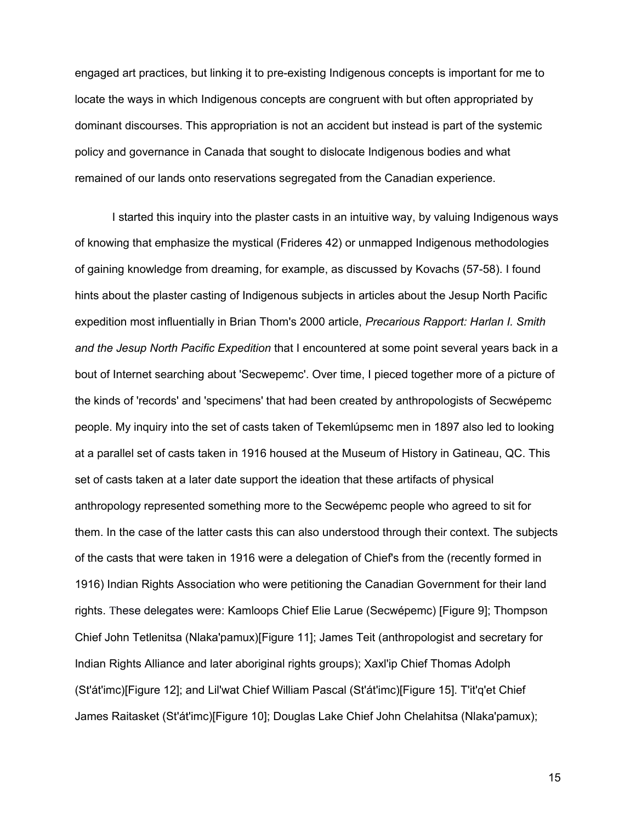engaged art practices, but linking it to pre-existing Indigenous concepts is important for me to locate the ways in which Indigenous concepts are congruent with but often appropriated by dominant discourses. This appropriation is not an accident but instead is part of the systemic policy and governance in Canada that sought to dislocate Indigenous bodies and what remained of our lands onto reservations segregated from the Canadian experience.

I started this inquiry into the plaster casts in an intuitive way, by valuing Indigenous ways of knowing that emphasize the mystical (Frideres 42) or unmapped Indigenous methodologies of gaining knowledge from dreaming, for example, as discussed by Kovachs (57-58). I found hints about the plaster casting of Indigenous subjects in articles about the Jesup North Pacific expedition most influentially in Brian Thom's 2000 article, *Precarious Rapport: Harlan I. Smith and the Jesup North Pacific Expedition* that I encountered at some point several years back in a bout of Internet searching about 'Secwepemc'. Over time, I pieced together more of a picture of the kinds of 'records' and 'specimens' that had been created by anthropologists of Secwépemc people. My inquiry into the set of casts taken of Tekemlúpsemc men in 1897 also led to looking at a parallel set of casts taken in 1916 housed at the Museum of History in Gatineau, QC. This set of casts taken at a later date support the ideation that these artifacts of physical anthropology represented something more to the Secwépemc people who agreed to sit for them. In the case of the latter casts this can also understood through their context. The subjects of the casts that were taken in 1916 were a delegation of Chief's from the (recently formed in 1916) Indian Rights Association who were petitioning the Canadian Government for their land rights. These delegates were: Kamloops Chief Elie Larue (Secwépemc) [Figure 9]; Thompson Chief John Tetlenitsa (Nlaka'pamux)[Figure 11]; James Teit (anthropologist and secretary for Indian Rights Alliance and later aboriginal rights groups); Xaxl'ip Chief Thomas Adolph (St'át'imc)[Figure 12]; and Lil'wat Chief William Pascal (St'át'imc)[Figure 15]. T'it'q'et Chief James Raitasket (St'át'imc)[Figure 10]; Douglas Lake Chief John Chelahitsa (Nlaka'pamux);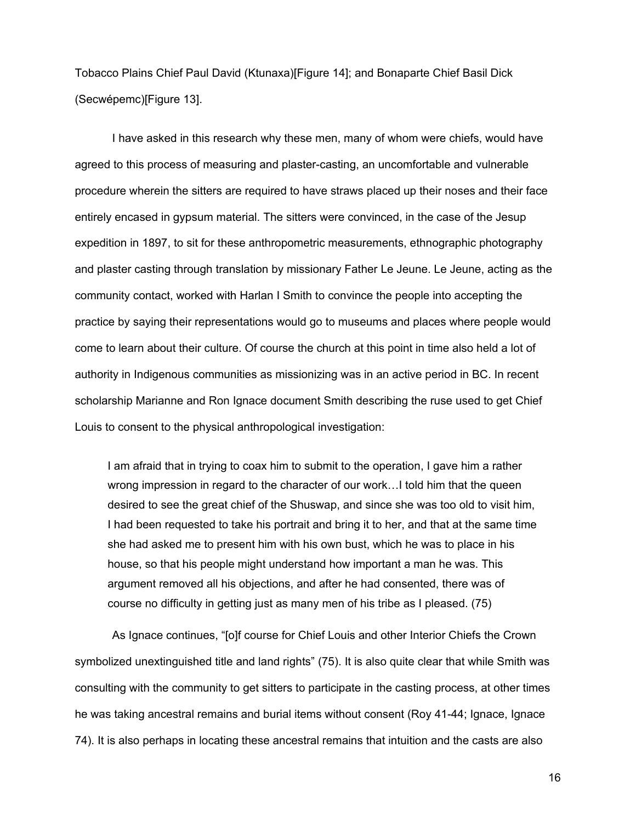Tobacco Plains Chief Paul David (Ktunaxa)[Figure 14]; and Bonaparte Chief Basil Dick (Secwépemc)[Figure 13].

I have asked in this research why these men, many of whom were chiefs, would have agreed to this process of measuring and plaster-casting, an uncomfortable and vulnerable procedure wherein the sitters are required to have straws placed up their noses and their face entirely encased in gypsum material. The sitters were convinced, in the case of the Jesup expedition in 1897, to sit for these anthropometric measurements, ethnographic photography and plaster casting through translation by missionary Father Le Jeune. Le Jeune, acting as the community contact, worked with Harlan I Smith to convince the people into accepting the practice by saying their representations would go to museums and places where people would come to learn about their culture. Of course the church at this point in time also held a lot of authority in Indigenous communities as missionizing was in an active period in BC. In recent scholarship Marianne and Ron Ignace document Smith describing the ruse used to get Chief Louis to consent to the physical anthropological investigation:

I am afraid that in trying to coax him to submit to the operation, I gave him a rather wrong impression in regard to the character of our work…I told him that the queen desired to see the great chief of the Shuswap, and since she was too old to visit him, I had been requested to take his portrait and bring it to her, and that at the same time she had asked me to present him with his own bust, which he was to place in his house, so that his people might understand how important a man he was. This argument removed all his objections, and after he had consented, there was of course no difficulty in getting just as many men of his tribe as I pleased. (75)

As Ignace continues, "[o]f course for Chief Louis and other Interior Chiefs the Crown symbolized unextinguished title and land rights" (75). It is also quite clear that while Smith was consulting with the community to get sitters to participate in the casting process, at other times he was taking ancestral remains and burial items without consent (Roy 41-44; Ignace, Ignace 74). It is also perhaps in locating these ancestral remains that intuition and the casts are also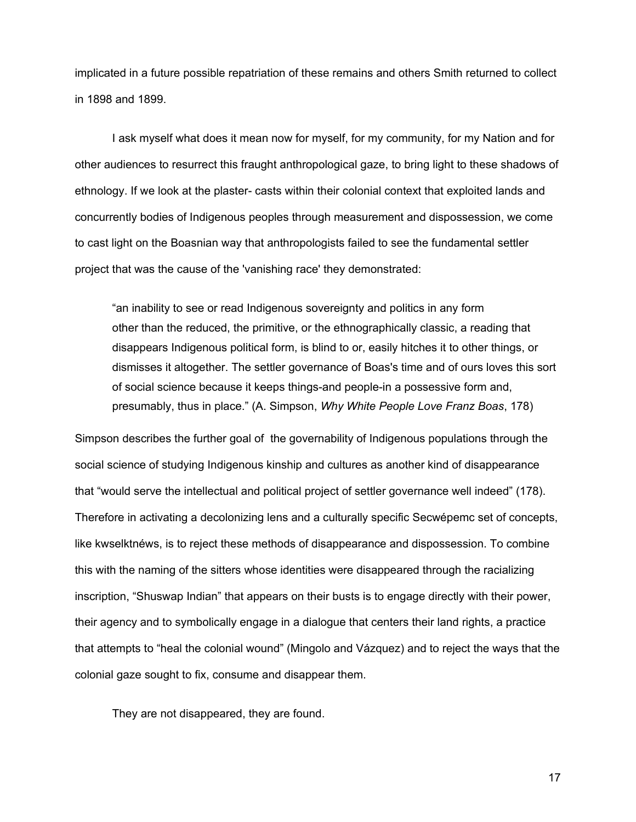implicated in a future possible repatriation of these remains and others Smith returned to collect in 1898 and 1899.

I ask myself what does it mean now for myself, for my community, for my Nation and for other audiences to resurrect this fraught anthropological gaze, to bring light to these shadows of ethnology. If we look at the plaster- casts within their colonial context that exploited lands and concurrently bodies of Indigenous peoples through measurement and dispossession, we come to cast light on the Boasnian way that anthropologists failed to see the fundamental settler project that was the cause of the 'vanishing race' they demonstrated:

"an inability to see or read Indigenous sovereignty and politics in any form other than the reduced, the primitive, or the ethnographically classic, a reading that disappears Indigenous political form, is blind to or, easily hitches it to other things, or dismisses it altogether. The settler governance of Boas's time and of ours loves this sort of social science because it keeps things-and people-in a possessive form and, presumably, thus in place." (A. Simpson, *Why White People Love Franz Boas*, 178)

Simpson describes the further goal of the governability of Indigenous populations through the social science of studying Indigenous kinship and cultures as another kind of disappearance that "would serve the intellectual and political project of settler governance well indeed" (178). Therefore in activating a decolonizing lens and a culturally specific Secwépemc set of concepts, like kwselktnéws, is to reject these methods of disappearance and dispossession. To combine this with the naming of the sitters whose identities were disappeared through the racializing inscription, "Shuswap Indian" that appears on their busts is to engage directly with their power, their agency and to symbolically engage in a dialogue that centers their land rights, a practice that attempts to "heal the colonial wound" (Mingolo and Vázquez) and to reject the ways that the colonial gaze sought to fix, consume and disappear them.

They are not disappeared, they are found.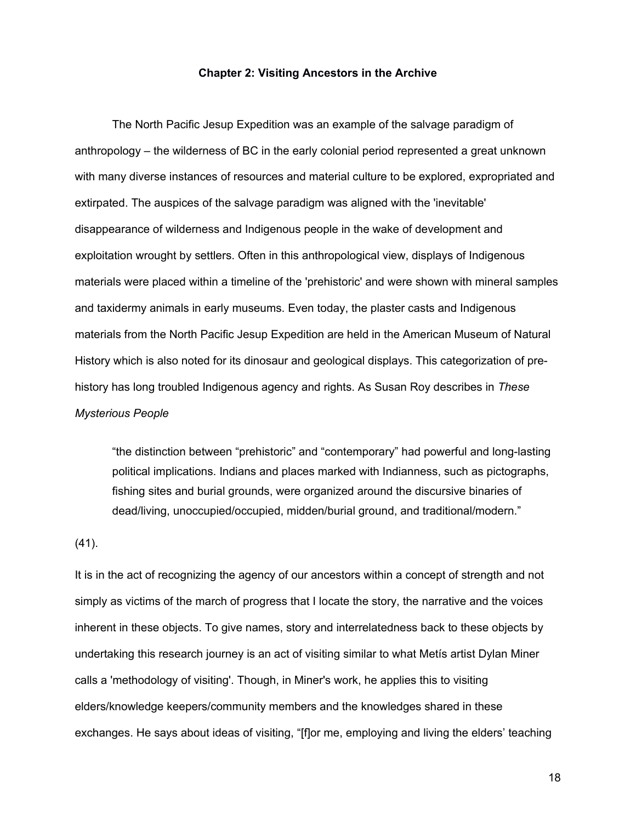#### **Chapter 2: Visiting Ancestors in the Archive**

The North Pacific Jesup Expedition was an example of the salvage paradigm of anthropology – the wilderness of BC in the early colonial period represented a great unknown with many diverse instances of resources and material culture to be explored, expropriated and extirpated. The auspices of the salvage paradigm was aligned with the 'inevitable' disappearance of wilderness and Indigenous people in the wake of development and exploitation wrought by settlers. Often in this anthropological view, displays of Indigenous materials were placed within a timeline of the 'prehistoric' and were shown with mineral samples and taxidermy animals in early museums. Even today, the plaster casts and Indigenous materials from the North Pacific Jesup Expedition are held in the American Museum of Natural History which is also noted for its dinosaur and geological displays. This categorization of prehistory has long troubled Indigenous agency and rights. As Susan Roy describes in *These Mysterious People*

"the distinction between "prehistoric" and "contemporary" had powerful and long-lasting political implications. Indians and places marked with Indianness, such as pictographs, fishing sites and burial grounds, were organized around the discursive binaries of dead/living, unoccupied/occupied, midden/burial ground, and traditional/modern."

#### (41).

It is in the act of recognizing the agency of our ancestors within a concept of strength and not simply as victims of the march of progress that I locate the story, the narrative and the voices inherent in these objects. To give names, story and interrelatedness back to these objects by undertaking this research journey is an act of visiting similar to what Metís artist Dylan Miner calls a 'methodology of visiting'. Though, in Miner's work, he applies this to visiting elders/knowledge keepers/community members and the knowledges shared in these exchanges. He says about ideas of visiting, "[f]or me, employing and living the elders' teaching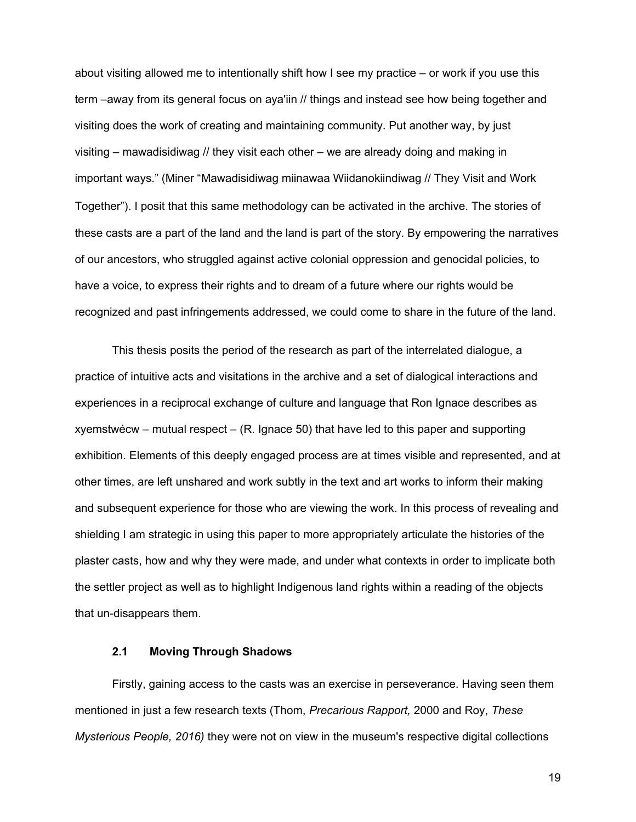about visiting allowed me to intentionally shift how I see my practice – or work if you use this term –away from its general focus on aya'iin // things and instead see how being together and visiting does the work of creating and maintaining community. Put another way, by just visiting – mawadisidiwag // they visit each other – we are already doing and making in important ways." (Miner "Mawadisidiwag miinawaa Wiidanokiindiwag // They Visit and Work Together"). I posit that this same methodology can be activated in the archive. The stories of these casts are a part of the land and the land is part of the story. By empowering the narratives of our ancestors, who struggled against active colonial oppression and genocidal policies, to have a voice, to express their rights and to dream of a future where our rights would be recognized and past infringements addressed, we could come to share in the future of the land.

This thesis posits the period of the research as part of the interrelated dialogue, a practice of intuitive acts and visitations in the archive and a set of dialogical interactions and experiences in a reciprocal exchange of culture and language that Ron Ignace describes as xyemstwécw – mutual respect – (R. Ignace 50) that have led to this paper and supporting exhibition. Elements of this deeply engaged process are at times visible and represented, and at other times, are left unshared and work subtly in the text and art works to inform their making and subsequent experience for those who are viewing the work. In this process of revealing and shielding I am strategic in using this paper to more appropriately articulate the histories of the plaster casts, how and why they were made, and under what contexts in order to implicate both the settler project as well as to highlight Indigenous land rights within a reading of the objects that un-disappears them.

## **2.1 Moving Through Shadows**

Firstly, gaining access to the casts was an exercise in perseverance. Having seen them mentioned in just a few research texts (Thom, *Precarious Rapport,* 2000 and Roy, *These Mysterious People, 2016)* they were not on view in the museum's respective digital collections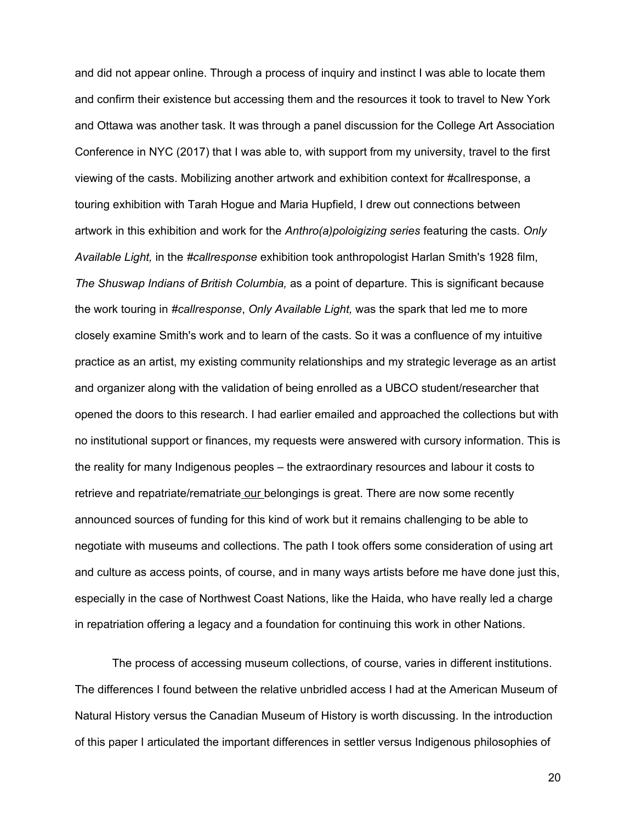and did not appear online. Through a process of inquiry and instinct I was able to locate them and confirm their existence but accessing them and the resources it took to travel to New York and Ottawa was another task. It was through a panel discussion for the College Art Association Conference in NYC (2017) that I was able to, with support from my university, travel to the first viewing of the casts. Mobilizing another artwork and exhibition context for #callresponse, a touring exhibition with Tarah Hogue and Maria Hupfield, I drew out connections between artwork in this exhibition and work for the *Anthro(a)poloigizing series* featuring the casts. *Only Available Light,* in the *#callresponse* exhibition took anthropologist Harlan Smith's 1928 film, *The Shuswap Indians of British Columbia,* as a point of departure. This is significant because the work touring in *#callresponse*, *Only Available Light,* was the spark that led me to more closely examine Smith's work and to learn of the casts. So it was a confluence of my intuitive practice as an artist, my existing community relationships and my strategic leverage as an artist and organizer along with the validation of being enrolled as a UBCO student/researcher that opened the doors to this research. I had earlier emailed and approached the collections but with no institutional support or finances, my requests were answered with cursory information. This is the reality for many Indigenous peoples – the extraordinary resources and labour it costs to retrieve and repatriate/rematriate our belongings is great. There are now some recently announced sources of funding for this kind of work but it remains challenging to be able to negotiate with museums and collections. The path I took offers some consideration of using art and culture as access points, of course, and in many ways artists before me have done just this, especially in the case of Northwest Coast Nations, like the Haida, who have really led a charge in repatriation offering a legacy and a foundation for continuing this work in other Nations.

The process of accessing museum collections, of course, varies in different institutions. The differences I found between the relative unbridled access I had at the American Museum of Natural History versus the Canadian Museum of History is worth discussing. In the introduction of this paper I articulated the important differences in settler versus Indigenous philosophies of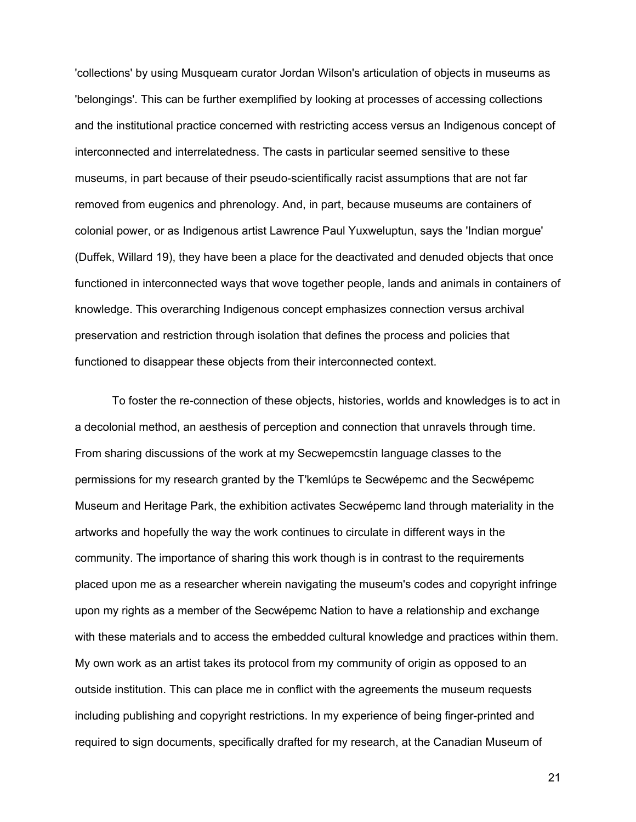'collections' by using Musqueam curator Jordan Wilson's articulation of objects in museums as 'belongings'. This can be further exemplified by looking at processes of accessing collections and the institutional practice concerned with restricting access versus an Indigenous concept of interconnected and interrelatedness. The casts in particular seemed sensitive to these museums, in part because of their pseudo-scientifically racist assumptions that are not far removed from eugenics and phrenology. And, in part, because museums are containers of colonial power, or as Indigenous artist Lawrence Paul Yuxweluptun, says the 'Indian morgue' (Duffek, Willard 19), they have been a place for the deactivated and denuded objects that once functioned in interconnected ways that wove together people, lands and animals in containers of knowledge. This overarching Indigenous concept emphasizes connection versus archival preservation and restriction through isolation that defines the process and policies that functioned to disappear these objects from their interconnected context.

To foster the re-connection of these objects, histories, worlds and knowledges is to act in a decolonial method, an aesthesis of perception and connection that unravels through time. From sharing discussions of the work at my Secwepemcstín language classes to the permissions for my research granted by the T'kemlúps te Secwépemc and the Secwépemc Museum and Heritage Park, the exhibition activates Secwépemc land through materiality in the artworks and hopefully the way the work continues to circulate in different ways in the community. The importance of sharing this work though is in contrast to the requirements placed upon me as a researcher wherein navigating the museum's codes and copyright infringe upon my rights as a member of the Secwépemc Nation to have a relationship and exchange with these materials and to access the embedded cultural knowledge and practices within them. My own work as an artist takes its protocol from my community of origin as opposed to an outside institution. This can place me in conflict with the agreements the museum requests including publishing and copyright restrictions. In my experience of being finger-printed and required to sign documents, specifically drafted for my research, at the Canadian Museum of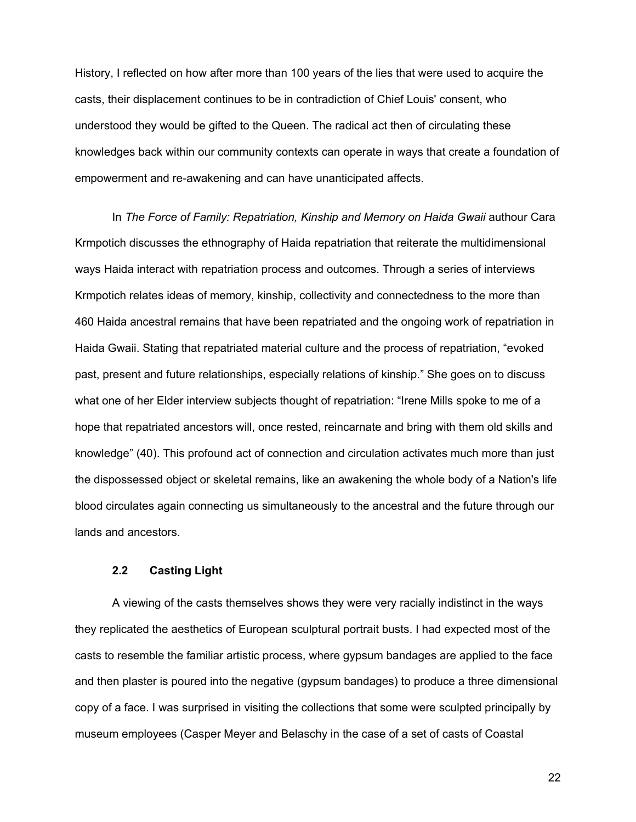History, I reflected on how after more than 100 years of the lies that were used to acquire the casts, their displacement continues to be in contradiction of Chief Louis' consent, who understood they would be gifted to the Queen. The radical act then of circulating these knowledges back within our community contexts can operate in ways that create a foundation of empowerment and re-awakening and can have unanticipated affects.

In *The Force of Family: Repatriation, Kinship and Memory on Haida Gwaii* authour Cara Krmpotich discusses the ethnography of Haida repatriation that reiterate the multidimensional ways Haida interact with repatriation process and outcomes. Through a series of interviews Krmpotich relates ideas of memory, kinship, collectivity and connectedness to the more than 460 Haida ancestral remains that have been repatriated and the ongoing work of repatriation in Haida Gwaii. Stating that repatriated material culture and the process of repatriation, "evoked past, present and future relationships, especially relations of kinship." She goes on to discuss what one of her Elder interview subjects thought of repatriation: "Irene Mills spoke to me of a hope that repatriated ancestors will, once rested, reincarnate and bring with them old skills and knowledge" (40). This profound act of connection and circulation activates much more than just the dispossessed object or skeletal remains, like an awakening the whole body of a Nation's life blood circulates again connecting us simultaneously to the ancestral and the future through our lands and ancestors.

#### **2.2 Casting Light**

A viewing of the casts themselves shows they were very racially indistinct in the ways they replicated the aesthetics of European sculptural portrait busts. I had expected most of the casts to resemble the familiar artistic process, where gypsum bandages are applied to the face and then plaster is poured into the negative (gypsum bandages) to produce a three dimensional copy of a face. I was surprised in visiting the collections that some were sculpted principally by museum employees (Casper Meyer and Belaschy in the case of a set of casts of Coastal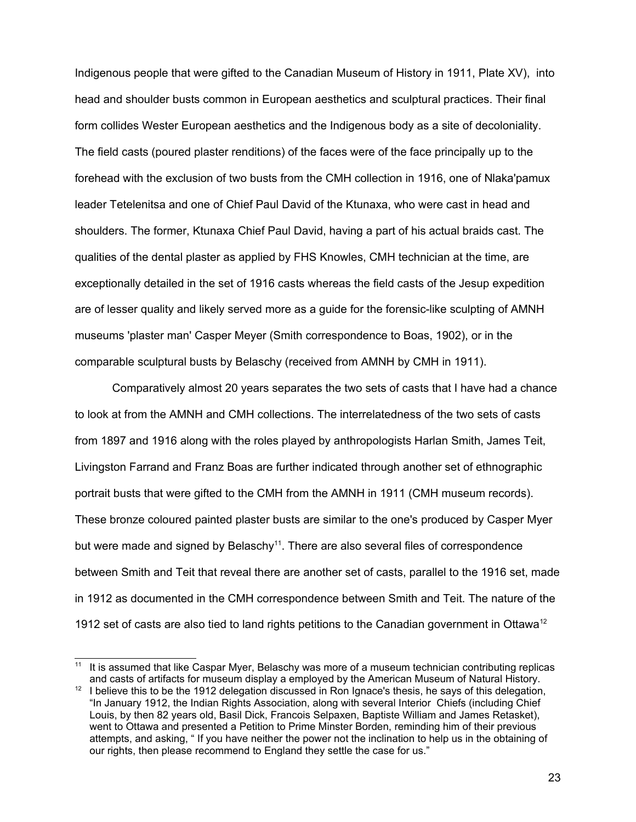Indigenous people that were gifted to the Canadian Museum of History in 1911, Plate XV), into head and shoulder busts common in European aesthetics and sculptural practices. Their final form collides Wester European aesthetics and the Indigenous body as a site of decoloniality. The field casts (poured plaster renditions) of the faces were of the face principally up to the forehead with the exclusion of two busts from the CMH collection in 1916, one of Nlaka'pamux leader Tetelenitsa and one of Chief Paul David of the Ktunaxa, who were cast in head and shoulders. The former, Ktunaxa Chief Paul David, having a part of his actual braids cast. The qualities of the dental plaster as applied by FHS Knowles, CMH technician at the time, are exceptionally detailed in the set of 1916 casts whereas the field casts of the Jesup expedition are of lesser quality and likely served more as a guide for the forensic-like sculpting of AMNH museums 'plaster man' Casper Meyer (Smith correspondence to Boas, 1902), or in the comparable sculptural busts by Belaschy (received from AMNH by CMH in 1911).

Comparatively almost 20 years separates the two sets of casts that I have had a chance to look at from the AMNH and CMH collections. The interrelatedness of the two sets of casts from 1897 and 1916 along with the roles played by anthropologists Harlan Smith, James Teit, Livingston Farrand and Franz Boas are further indicated through another set of ethnographic portrait busts that were gifted to the CMH from the AMNH in 1911 (CMH museum records). These bronze coloured painted plaster busts are similar to the one's produced by Casper Myer but were made and signed by Belaschy<sup>[11](#page-31-0)</sup>. There are also several files of correspondence between Smith and Teit that reveal there are another set of casts, parallel to the 1916 set, made in 1912 as documented in the CMH correspondence between Smith and Teit. The nature of the 19[12](#page-31-1) set of casts are also tied to land rights petitions to the Canadian government in Ottawa<sup>12</sup>

<span id="page-31-0"></span><sup>&</sup>lt;sup>11</sup> It is assumed that like Caspar Myer, Belaschy was more of a museum technician contributing replicas and casts of artifacts for museum display a employed by the American Museum of Natural History.

<span id="page-31-1"></span>I believe this to be the 1912 delegation discussed in Ron Ignace's thesis, he says of this delegation, "In January 1912, the Indian Rights Association, along with several Interior Chiefs (including Chief Louis, by then 82 years old, Basil Dick, Francois Selpaxen, Baptiste William and James Retasket), went to Ottawa and presented a Petition to Prime Minster Borden, reminding him of their previous attempts, and asking, " If you have neither the power not the inclination to help us in the obtaining of our rights, then please recommend to England they settle the case for us."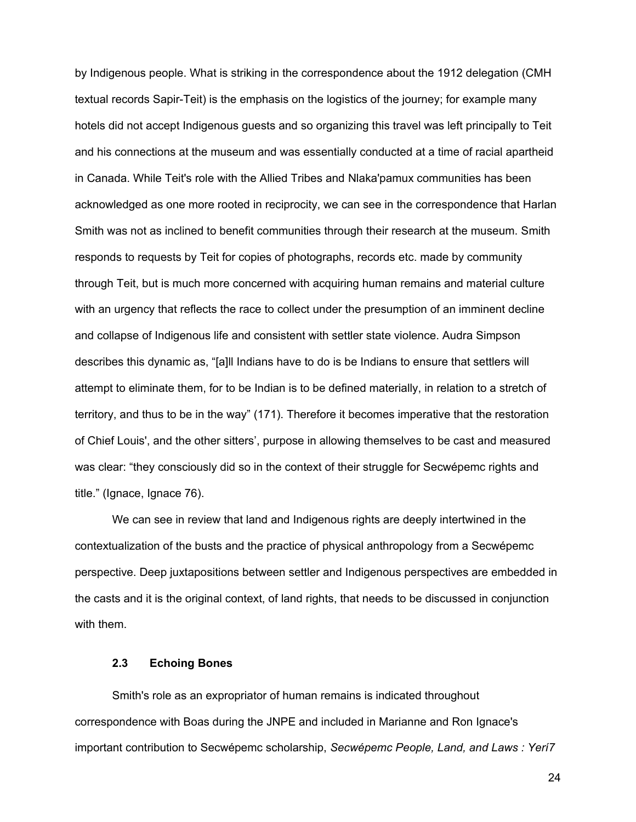by Indigenous people. What is striking in the correspondence about the 1912 delegation (CMH textual records Sapir-Teit) is the emphasis on the logistics of the journey; for example many hotels did not accept Indigenous guests and so organizing this travel was left principally to Teit and his connections at the museum and was essentially conducted at a time of racial apartheid in Canada. While Teit's role with the Allied Tribes and Nlaka'pamux communities has been acknowledged as one more rooted in reciprocity, we can see in the correspondence that Harlan Smith was not as inclined to benefit communities through their research at the museum. Smith responds to requests by Teit for copies of photographs, records etc. made by community through Teit, but is much more concerned with acquiring human remains and material culture with an urgency that reflects the race to collect under the presumption of an imminent decline and collapse of Indigenous life and consistent with settler state violence. Audra Simpson describes this dynamic as, "[a]ll Indians have to do is be Indians to ensure that settlers will attempt to eliminate them, for to be Indian is to be defined materially, in relation to a stretch of territory, and thus to be in the way" (171). Therefore it becomes imperative that the restoration of Chief Louis', and the other sitters', purpose in allowing themselves to be cast and measured was clear: "they consciously did so in the context of their struggle for Secwépemc rights and title." (Ignace, Ignace 76).

We can see in review that land and Indigenous rights are deeply intertwined in the contextualization of the busts and the practice of physical anthropology from a Secwépemc perspective. Deep juxtapositions between settler and Indigenous perspectives are embedded in the casts and it is the original context, of land rights, that needs to be discussed in conjunction with them.

## **2.3 Echoing Bones**

Smith's role as an expropriator of human remains is indicated throughout correspondence with Boas during the JNPE and included in Marianne and Ron Ignace's important contribution to Secwépemc scholarship, *Secwépemc People, Land, and Laws : Yerí7*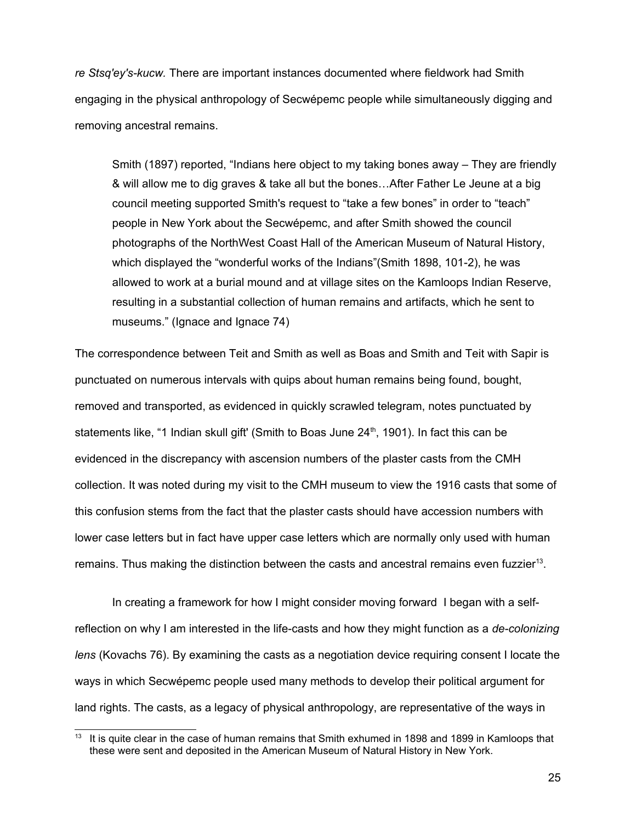*re Stsq'ey's-kucw.* There are important instances documented where fieldwork had Smith engaging in the physical anthropology of Secwépemc people while simultaneously digging and removing ancestral remains.

Smith (1897) reported, "Indians here object to my taking bones away – They are friendly & will allow me to dig graves & take all but the bones…After Father Le Jeune at a big council meeting supported Smith's request to "take a few bones" in order to "teach" people in New York about the Secwépemc, and after Smith showed the council photographs of the NorthWest Coast Hall of the American Museum of Natural History, which displayed the "wonderful works of the Indians"(Smith 1898, 101-2), he was allowed to work at a burial mound and at village sites on the Kamloops Indian Reserve, resulting in a substantial collection of human remains and artifacts, which he sent to museums." (Ignace and Ignace 74)

The correspondence between Teit and Smith as well as Boas and Smith and Teit with Sapir is punctuated on numerous intervals with quips about human remains being found, bought, removed and transported, as evidenced in quickly scrawled telegram, notes punctuated by statements like, "1 Indian skull gift' (Smith to Boas June  $24<sup>th</sup>$ , 1901). In fact this can be evidenced in the discrepancy with ascension numbers of the plaster casts from the CMH collection. It was noted during my visit to the CMH museum to view the 1916 casts that some of this confusion stems from the fact that the plaster casts should have accession numbers with lower case letters but in fact have upper case letters which are normally only used with human remains. Thus making the distinction between the casts and ancestral remains even fuzzier<sup>[13](#page-33-0)</sup>.

In creating a framework for how I might consider moving forward I began with a selfreflection on why I am interested in the life-casts and how they might function as a *de-colonizing lens* (Kovachs 76). By examining the casts as a negotiation device requiring consent I locate the ways in which Secwépemc people used many methods to develop their political argument for land rights. The casts, as a legacy of physical anthropology, are representative of the ways in

<span id="page-33-0"></span>It is quite clear in the case of human remains that Smith exhumed in 1898 and 1899 in Kamloops that these were sent and deposited in the American Museum of Natural History in New York.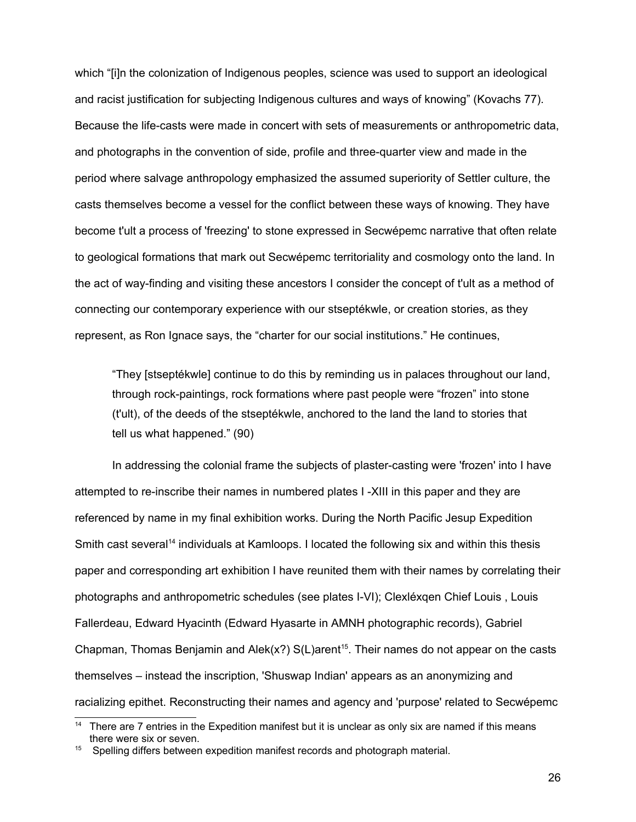which "[i]n the colonization of Indigenous peoples, science was used to support an ideological and racist justification for subjecting Indigenous cultures and ways of knowing" (Kovachs 77). Because the life-casts were made in concert with sets of measurements or anthropometric data, and photographs in the convention of side, profile and three-quarter view and made in the period where salvage anthropology emphasized the assumed superiority of Settler culture, the casts themselves become a vessel for the conflict between these ways of knowing. They have become t'ult a process of 'freezing' to stone expressed in Secwépemc narrative that often relate to geological formations that mark out Secwépemc territoriality and cosmology onto the land. In the act of way-finding and visiting these ancestors I consider the concept of t'ult as a method of connecting our contemporary experience with our stseptékwle, or creation stories, as they represent, as Ron Ignace says, the "charter for our social institutions." He continues,

"They [stseptékwle] continue to do this by reminding us in palaces throughout our land, through rock-paintings, rock formations where past people were "frozen" into stone (t'ult), of the deeds of the stseptékwle, anchored to the land the land to stories that tell us what happened." (90)

In addressing the colonial frame the subjects of plaster-casting were 'frozen' into I have attempted to re-inscribe their names in numbered plates I -XIII in this paper and they are referenced by name in my final exhibition works. During the North Pacific Jesup Expedition Smith cast several<sup>[14](#page-34-0)</sup> individuals at Kamloops. I located the following six and within this thesis paper and corresponding art exhibition I have reunited them with their names by correlating their photographs and anthropometric schedules (see plates I-VI); Clexléxqen Chief Louis , Louis Fallerdeau, Edward Hyacinth (Edward Hyasarte in AMNH photographic records), Gabriel Chapman, Thomas Benjamin and Alek(x?)  $S(L)$ arent<sup>[15](#page-34-1)</sup>. Their names do not appear on the casts themselves – instead the inscription, 'Shuswap Indian' appears as an anonymizing and racializing epithet. Reconstructing their names and agency and 'purpose' related to Secwépemc

<span id="page-34-0"></span><sup>&</sup>lt;sup>14</sup> There are 7 entries in the Expedition manifest but it is unclear as only six are named if this means there were six or seven.

<span id="page-34-1"></span><sup>15</sup> Spelling differs between expedition manifest records and photograph material.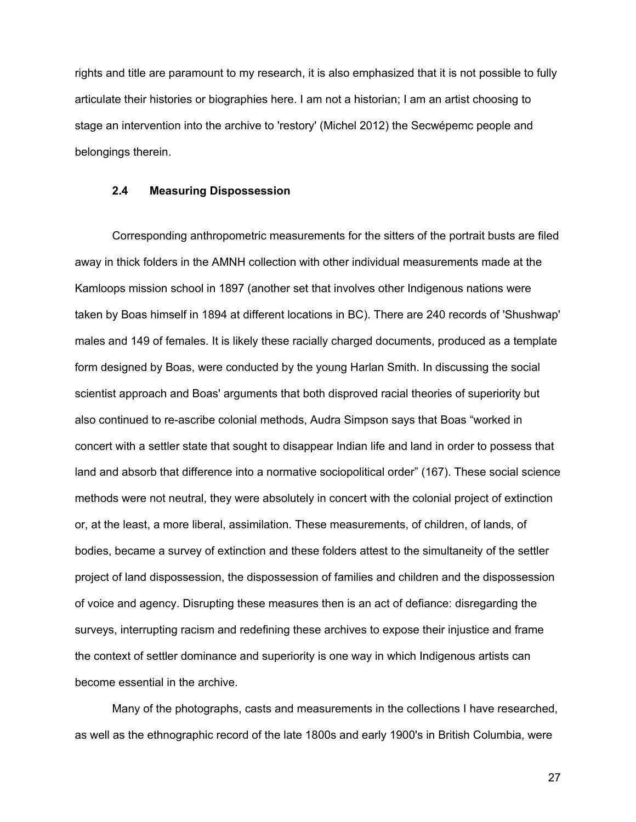rights and title are paramount to my research, it is also emphasized that it is not possible to fully articulate their histories or biographies here. I am not a historian; I am an artist choosing to stage an intervention into the archive to 'restory' (Michel 2012) the Secwépemc people and belongings therein.

#### **2.4 Measuring Dispossession**

Corresponding anthropometric measurements for the sitters of the portrait busts are filed away in thick folders in the AMNH collection with other individual measurements made at the Kamloops mission school in 1897 (another set that involves other Indigenous nations were taken by Boas himself in 1894 at different locations in BC). There are 240 records of 'Shushwap' males and 149 of females. It is likely these racially charged documents, produced as a template form designed by Boas, were conducted by the young Harlan Smith. In discussing the social scientist approach and Boas' arguments that both disproved racial theories of superiority but also continued to re-ascribe colonial methods, Audra Simpson says that Boas "worked in concert with a settler state that sought to disappear Indian life and land in order to possess that land and absorb that difference into a normative sociopolitical order" (167). These social science methods were not neutral, they were absolutely in concert with the colonial project of extinction or, at the least, a more liberal, assimilation. These measurements, of children, of lands, of bodies, became a survey of extinction and these folders attest to the simultaneity of the settler project of land dispossession, the dispossession of families and children and the dispossession of voice and agency. Disrupting these measures then is an act of defiance: disregarding the surveys, interrupting racism and redefining these archives to expose their injustice and frame the context of settler dominance and superiority is one way in which Indigenous artists can become essential in the archive.

Many of the photographs, casts and measurements in the collections I have researched, as well as the ethnographic record of the late 1800s and early 1900's in British Columbia, were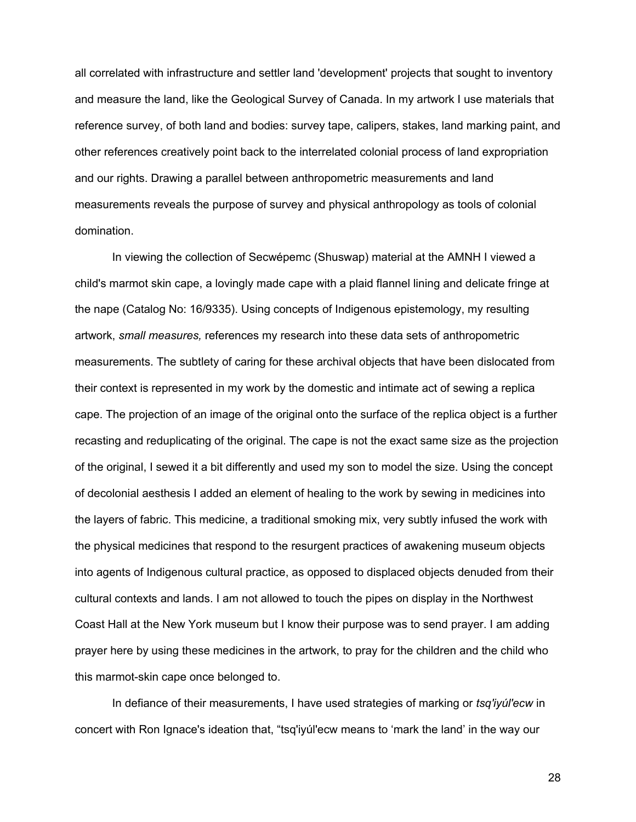all correlated with infrastructure and settler land 'development' projects that sought to inventory and measure the land, like the Geological Survey of Canada. In my artwork I use materials that reference survey, of both land and bodies: survey tape, calipers, stakes, land marking paint, and other references creatively point back to the interrelated colonial process of land expropriation and our rights. Drawing a parallel between anthropometric measurements and land measurements reveals the purpose of survey and physical anthropology as tools of colonial domination.

In viewing the collection of Secwépemc (Shuswap) material at the AMNH I viewed a child's marmot skin cape, a lovingly made cape with a plaid flannel lining and delicate fringe at the nape (Catalog No: 16/9335). Using concepts of Indigenous epistemology, my resulting artwork, *small measures,* references my research into these data sets of anthropometric measurements. The subtlety of caring for these archival objects that have been dislocated from their context is represented in my work by the domestic and intimate act of sewing a replica cape. The projection of an image of the original onto the surface of the replica object is a further recasting and reduplicating of the original. The cape is not the exact same size as the projection of the original, I sewed it a bit differently and used my son to model the size. Using the concept of decolonial aesthesis I added an element of healing to the work by sewing in medicines into the layers of fabric. This medicine, a traditional smoking mix, very subtly infused the work with the physical medicines that respond to the resurgent practices of awakening museum objects into agents of Indigenous cultural practice, as opposed to displaced objects denuded from their cultural contexts and lands. I am not allowed to touch the pipes on display in the Northwest Coast Hall at the New York museum but I know their purpose was to send prayer. I am adding prayer here by using these medicines in the artwork, to pray for the children and the child who this marmot-skin cape once belonged to.

In defiance of their measurements, I have used strategies of marking or *tsq'iyúl'ecw* in concert with Ron Ignace's ideation that, "tsq'iyúl'ecw means to 'mark the land' in the way our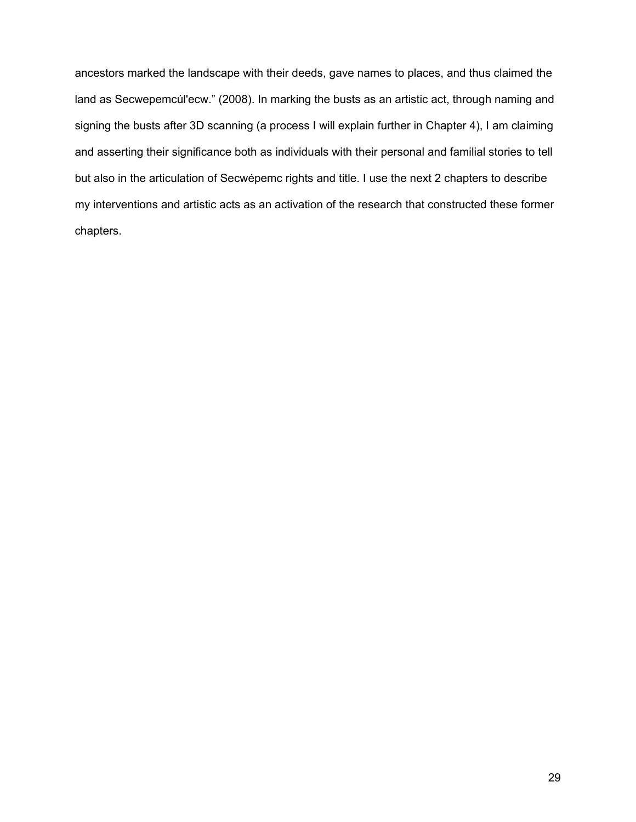ancestors marked the landscape with their deeds, gave names to places, and thus claimed the land as Secwepemcúl'ecw." (2008). In marking the busts as an artistic act, through naming and signing the busts after 3D scanning (a process I will explain further in Chapter 4), I am claiming and asserting their significance both as individuals with their personal and familial stories to tell but also in the articulation of Secwépemc rights and title. I use the next 2 chapters to describe my interventions and artistic acts as an activation of the research that constructed these former chapters.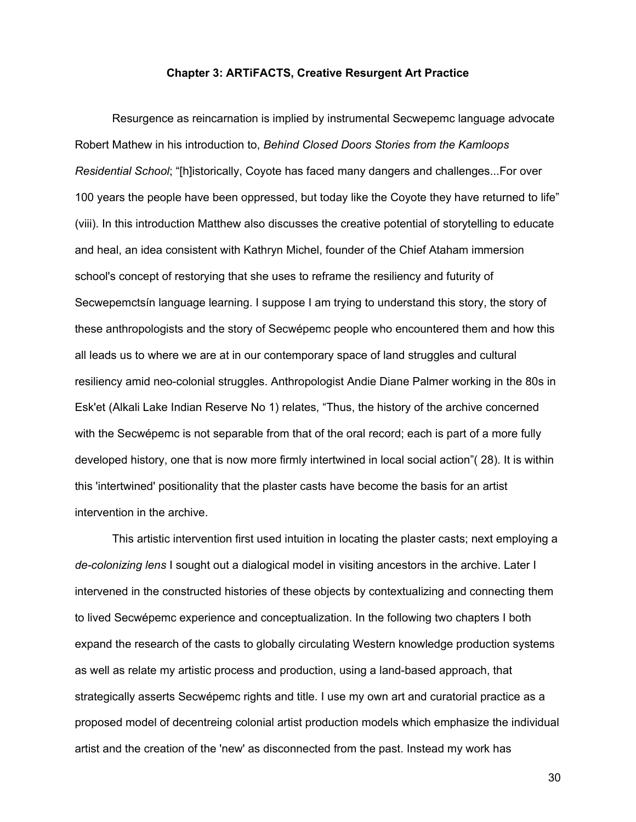#### **Chapter 3: ARTiFACTS, Creative Resurgent Art Practice**

Resurgence as reincarnation is implied by instrumental Secwepemc language advocate Robert Mathew in his introduction to, *Behind Closed Doors Stories from the Kamloops Residential School*; "[h]istorically, Coyote has faced many dangers and challenges...For over 100 years the people have been oppressed, but today like the Coyote they have returned to life" (viii). In this introduction Matthew also discusses the creative potential of storytelling to educate and heal, an idea consistent with Kathryn Michel, founder of the Chief Ataham immersion school's concept of restorying that she uses to reframe the resiliency and futurity of Secwepemctsín language learning. I suppose I am trying to understand this story, the story of these anthropologists and the story of Secwépemc people who encountered them and how this all leads us to where we are at in our contemporary space of land struggles and cultural resiliency amid neo-colonial struggles. Anthropologist Andie Diane Palmer working in the 80s in Esk'et (Alkali Lake Indian Reserve No 1) relates, "Thus, the history of the archive concerned with the Secwépemc is not separable from that of the oral record; each is part of a more fully developed history, one that is now more firmly intertwined in local social action"( 28). It is within this 'intertwined' positionality that the plaster casts have become the basis for an artist intervention in the archive.

This artistic intervention first used intuition in locating the plaster casts; next employing a *de-colonizing lens* I sought out a dialogical model in visiting ancestors in the archive. Later I intervened in the constructed histories of these objects by contextualizing and connecting them to lived Secwépemc experience and conceptualization. In the following two chapters I both expand the research of the casts to globally circulating Western knowledge production systems as well as relate my artistic process and production, using a land-based approach, that strategically asserts Secwépemc rights and title. I use my own art and curatorial practice as a proposed model of decentreing colonial artist production models which emphasize the individual artist and the creation of the 'new' as disconnected from the past. Instead my work has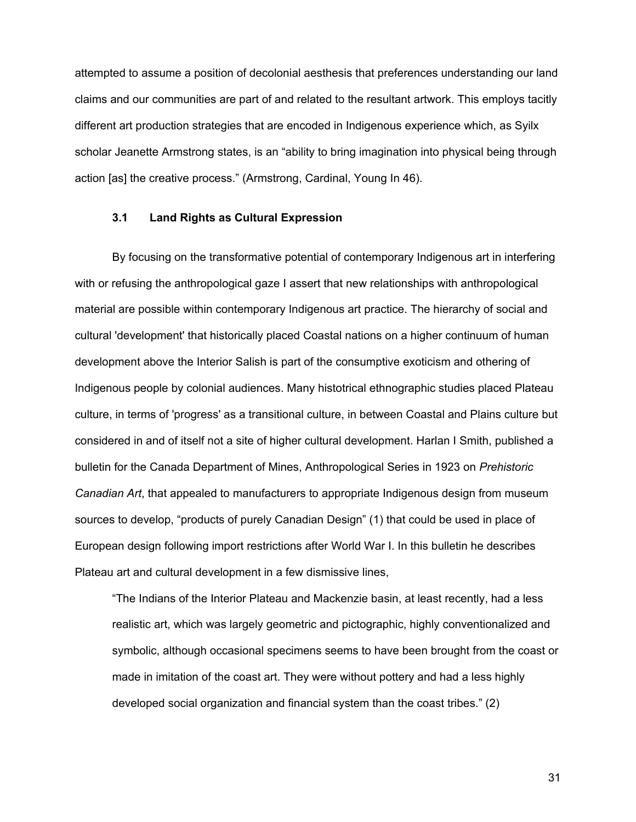attempted to assume a position of decolonial aesthesis that preferences understanding our land claims and our communities are part of and related to the resultant artwork. This employs tacitly different art production strategies that are encoded in Indigenous experience which, as Syilx scholar Jeanette Armstrong states, is an "ability to bring imagination into physical being through action [as] the creative process." (Armstrong, Cardinal, Young In 46).

#### **3.1 Land Rights as Cultural Expression**

By focusing on the transformative potential of contemporary Indigenous art in interfering with or refusing the anthropological gaze I assert that new relationships with anthropological material are possible within contemporary Indigenous art practice. The hierarchy of social and cultural 'development' that historically placed Coastal nations on a higher continuum of human development above the Interior Salish is part of the consumptive exoticism and othering of Indigenous people by colonial audiences. Many histotrical ethnographic studies placed Plateau culture, in terms of 'progress' as a transitional culture, in between Coastal and Plains culture but considered in and of itself not a site of higher cultural development. Harlan I Smith, published a bulletin for the Canada Department of Mines, Anthropological Series in 1923 on *Prehistoric Canadian Art*, that appealed to manufacturers to appropriate Indigenous design from museum sources to develop, "products of purely Canadian Design" (1) that could be used in place of European design following import restrictions after World War I. In this bulletin he describes Plateau art and cultural development in a few dismissive lines,

"The Indians of the Interior Plateau and Mackenzie basin, at least recently, had a less realistic art, which was largely geometric and pictographic, highly conventionalized and symbolic, although occasional specimens seems to have been brought from the coast or made in imitation of the coast art. They were without pottery and had a less highly developed social organization and financial system than the coast tribes." (2)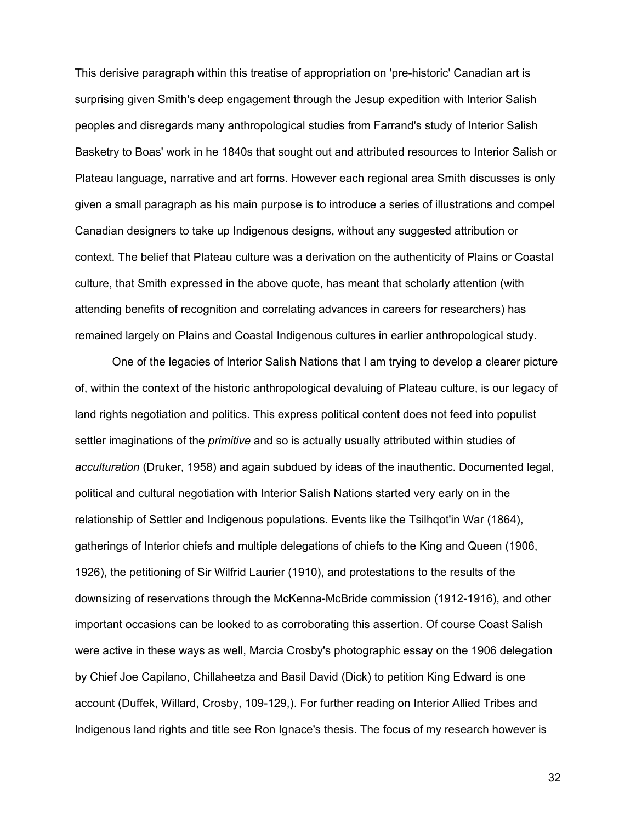This derisive paragraph within this treatise of appropriation on 'pre-historic' Canadian art is surprising given Smith's deep engagement through the Jesup expedition with Interior Salish peoples and disregards many anthropological studies from Farrand's study of Interior Salish Basketry to Boas' work in he 1840s that sought out and attributed resources to Interior Salish or Plateau language, narrative and art forms. However each regional area Smith discusses is only given a small paragraph as his main purpose is to introduce a series of illustrations and compel Canadian designers to take up Indigenous designs, without any suggested attribution or context. The belief that Plateau culture was a derivation on the authenticity of Plains or Coastal culture, that Smith expressed in the above quote, has meant that scholarly attention (with attending benefits of recognition and correlating advances in careers for researchers) has remained largely on Plains and Coastal Indigenous cultures in earlier anthropological study.

One of the legacies of Interior Salish Nations that I am trying to develop a clearer picture of, within the context of the historic anthropological devaluing of Plateau culture, is our legacy of land rights negotiation and politics. This express political content does not feed into populist settler imaginations of the *primitive* and so is actually usually attributed within studies of *acculturation* (Druker, 1958) and again subdued by ideas of the inauthentic. Documented legal, political and cultural negotiation with Interior Salish Nations started very early on in the relationship of Settler and Indigenous populations. Events like the Tsilhqot'in War (1864), gatherings of Interior chiefs and multiple delegations of chiefs to the King and Queen (1906, 1926), the petitioning of Sir Wilfrid Laurier (1910), and protestations to the results of the downsizing of reservations through the McKenna-McBride commission (1912-1916), and other important occasions can be looked to as corroborating this assertion. Of course Coast Salish were active in these ways as well, Marcia Crosby's photographic essay on the 1906 delegation by Chief Joe Capilano, Chillaheetza and Basil David (Dick) to petition King Edward is one account (Duffek, Willard, Crosby, 109-129,). For further reading on Interior Allied Tribes and Indigenous land rights and title see Ron Ignace's thesis. The focus of my research however is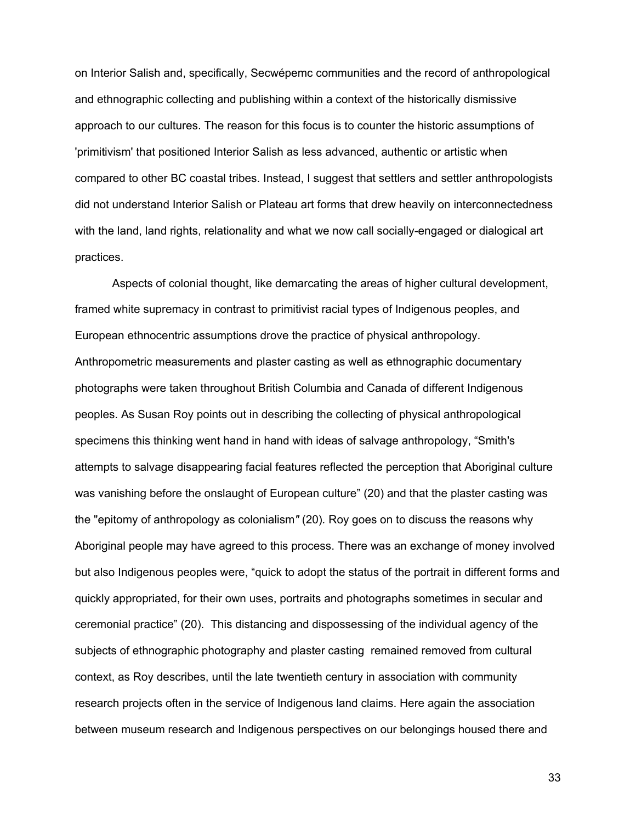on Interior Salish and, specifically, Secwépemc communities and the record of anthropological and ethnographic collecting and publishing within a context of the historically dismissive approach to our cultures. The reason for this focus is to counter the historic assumptions of 'primitivism' that positioned Interior Salish as less advanced, authentic or artistic when compared to other BC coastal tribes. Instead, I suggest that settlers and settler anthropologists did not understand Interior Salish or Plateau art forms that drew heavily on interconnectedness with the land, land rights, relationality and what we now call socially-engaged or dialogical art practices.

Aspects of colonial thought, like demarcating the areas of higher cultural development, framed white supremacy in contrast to primitivist racial types of Indigenous peoples, and European ethnocentric assumptions drove the practice of physical anthropology. Anthropometric measurements and plaster casting as well as ethnographic documentary photographs were taken throughout British Columbia and Canada of different Indigenous peoples. As Susan Roy points out in describing the collecting of physical anthropological specimens this thinking went hand in hand with ideas of salvage anthropology, "Smith's attempts to salvage disappearing facial features reflected the perception that Aboriginal culture was vanishing before the onslaught of European culture" (20) and that the plaster casting was the "epitomy of anthropology as colonialism*"* (20)*.* Roy goes on to discuss the reasons why Aboriginal people may have agreed to this process. There was an exchange of money involved but also Indigenous peoples were, "quick to adopt the status of the portrait in different forms and quickly appropriated, for their own uses, portraits and photographs sometimes in secular and ceremonial practice" (20)*.* This distancing and dispossessing of the individual agency of the subjects of ethnographic photography and plaster casting remained removed from cultural context, as Roy describes, until the late twentieth century in association with community research projects often in the service of Indigenous land claims. Here again the association between museum research and Indigenous perspectives on our belongings housed there and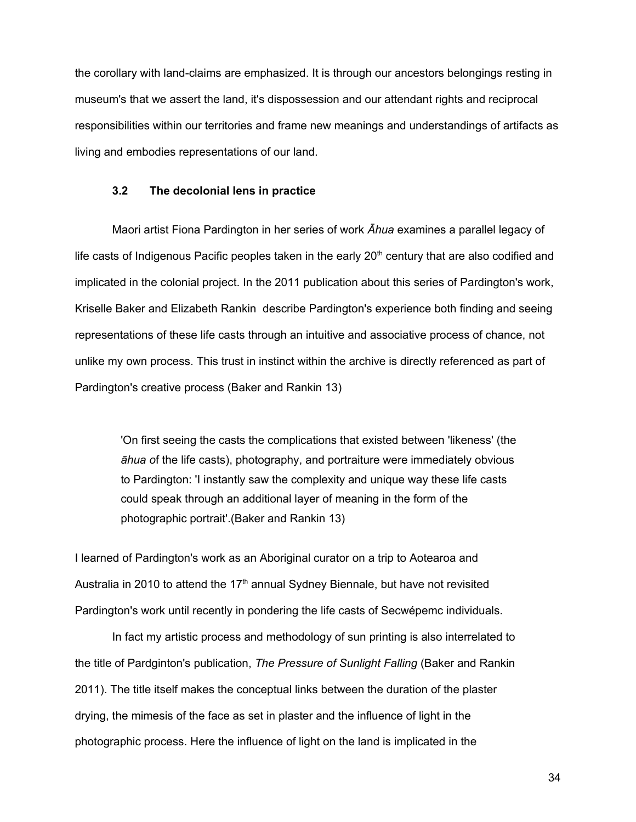the corollary with land-claims are emphasized. It is through our ancestors belongings resting in museum's that we assert the land, it's dispossession and our attendant rights and reciprocal responsibilities within our territories and frame new meanings and understandings of artifacts as living and embodies representations of our land.

#### **3.2 The decolonial lens in practice**

Maori artist Fiona Pardington in her series of work *Āhua* examines a parallel legacy of life casts of Indigenous Pacific peoples taken in the early  $20<sup>th</sup>$  century that are also codified and implicated in the colonial project. In the 2011 publication about this series of Pardington's work, Kriselle Baker and Elizabeth Rankin describe Pardington's experience both finding and seeing representations of these life casts through an intuitive and associative process of chance, not unlike my own process. This trust in instinct within the archive is directly referenced as part of Pardington's creative process (Baker and Rankin 13)

'On first seeing the casts the complications that existed between 'likeness' (the *āhua o*f the life casts), photography, and portraiture were immediately obvious to Pardington: 'I instantly saw the complexity and unique way these life casts could speak through an additional layer of meaning in the form of the photographic portrait'.(Baker and Rankin 13)

I learned of Pardington's work as an Aboriginal curator on a trip to Aotearoa and Australia in 2010 to attend the  $17<sup>th</sup>$  annual Sydney Biennale, but have not revisited Pardington's work until recently in pondering the life casts of Secwépemc individuals.

In fact my artistic process and methodology of sun printing is also interrelated to the title of Pardginton's publication, *The Pressure of Sunlight Falling* (Baker and Rankin 2011). The title itself makes the conceptual links between the duration of the plaster drying, the mimesis of the face as set in plaster and the influence of light in the photographic process. Here the influence of light on the land is implicated in the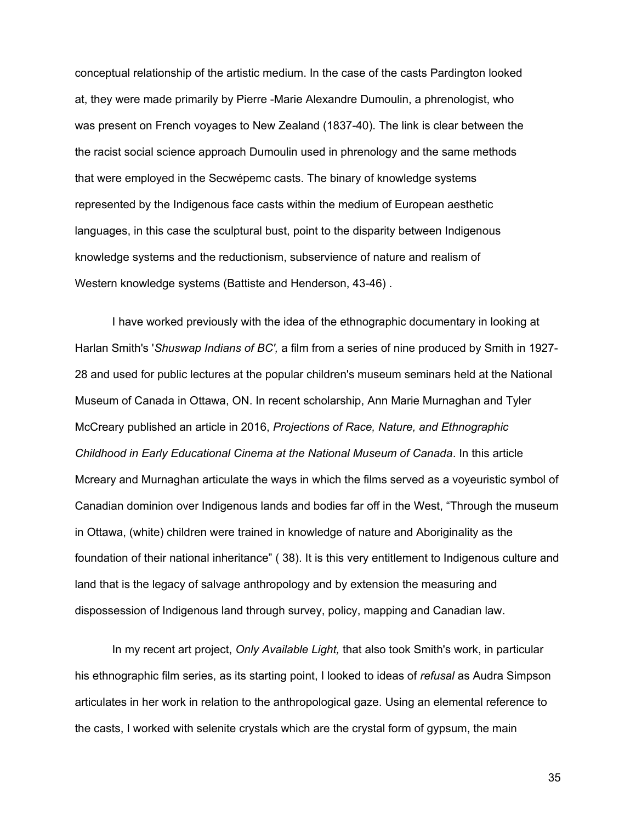conceptual relationship of the artistic medium. In the case of the casts Pardington looked at, they were made primarily by Pierre -Marie Alexandre Dumoulin, a phrenologist, who was present on French voyages to New Zealand (1837-40). The link is clear between the the racist social science approach Dumoulin used in phrenology and the same methods that were employed in the Secwépemc casts. The binary of knowledge systems represented by the Indigenous face casts within the medium of European aesthetic languages, in this case the sculptural bust, point to the disparity between Indigenous knowledge systems and the reductionism, subservience of nature and realism of Western knowledge systems (Battiste and Henderson, 43-46) .

I have worked previously with the idea of the ethnographic documentary in looking at Harlan Smith's '*Shuswap Indians of BC',* a film from a series of nine produced by Smith in 1927- 28 and used for public lectures at the popular children's museum seminars held at the National Museum of Canada in Ottawa, ON. In recent scholarship, Ann Marie Murnaghan and Tyler McCreary published an article in 2016, *Projections of Race, Nature, and Ethnographic Childhood in Early Educational Cinema at the National Museum of Canada*. In this article Mcreary and Murnaghan articulate the ways in which the films served as a voyeuristic symbol of Canadian dominion over Indigenous lands and bodies far off in the West, "Through the museum in Ottawa, (white) children were trained in knowledge of nature and Aboriginality as the foundation of their national inheritance" ( 38). It is this very entitlement to Indigenous culture and land that is the legacy of salvage anthropology and by extension the measuring and dispossession of Indigenous land through survey, policy, mapping and Canadian law.

In my recent art project, *Only Available Light,* that also took Smith's work, in particular his ethnographic film series, as its starting point, I looked to ideas of *refusal* as Audra Simpson articulates in her work in relation to the anthropological gaze. Using an elemental reference to the casts, I worked with selenite crystals which are the crystal form of gypsum, the main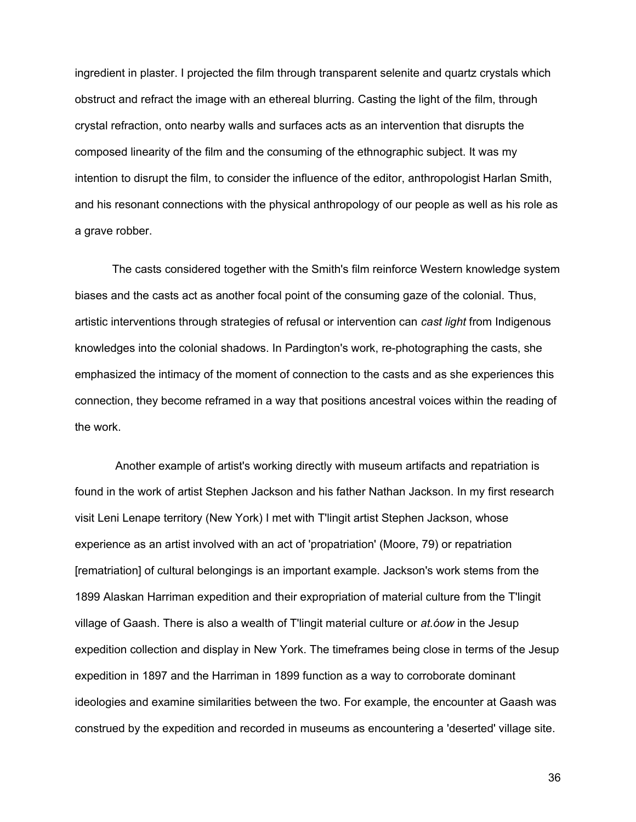ingredient in plaster. I projected the film through transparent selenite and quartz crystals which obstruct and refract the image with an ethereal blurring. Casting the light of the film, through crystal refraction, onto nearby walls and surfaces acts as an intervention that disrupts the composed linearity of the film and the consuming of the ethnographic subject. It was my intention to disrupt the film, to consider the influence of the editor, anthropologist Harlan Smith, and his resonant connections with the physical anthropology of our people as well as his role as a grave robber.

The casts considered together with the Smith's film reinforce Western knowledge system biases and the casts act as another focal point of the consuming gaze of the colonial. Thus, artistic interventions through strategies of refusal or intervention can *cast light* from Indigenous knowledges into the colonial shadows. In Pardington's work, re-photographing the casts, she emphasized the intimacy of the moment of connection to the casts and as she experiences this connection, they become reframed in a way that positions ancestral voices within the reading of the work.

 Another example of artist's working directly with museum artifacts and repatriation is found in the work of artist Stephen Jackson and his father Nathan Jackson. In my first research visit Leni Lenape territory (New York) I met with T'lingit artist Stephen Jackson, whose experience as an artist involved with an act of 'propatriation' (Moore, 79) or repatriation [rematriation] of cultural belongings is an important example. Jackson's work stems from the 1899 Alaskan Harriman expedition and their expropriation of material culture from the T'lingit village of Gaash. There is also a wealth of T'lingit material culture or *at.óow* in the Jesup expedition collection and display in New York. The timeframes being close in terms of the Jesup expedition in 1897 and the Harriman in 1899 function as a way to corroborate dominant ideologies and examine similarities between the two. For example, the encounter at Gaash was construed by the expedition and recorded in museums as encountering a 'deserted' village site.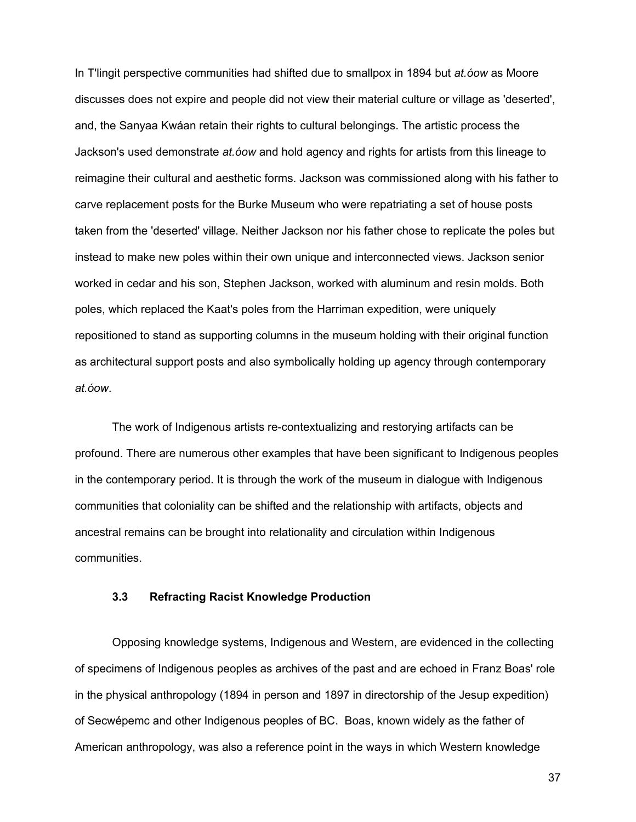In T'lingit perspective communities had shifted due to smallpox in 1894 but *at.óow* as Moore discusses does not expire and people did not view their material culture or village as 'deserted', and, the Sanyaa Kwáan retain their rights to cultural belongings. The artistic process the Jackson's used demonstrate *at.óow* and hold agency and rights for artists from this lineage to reimagine their cultural and aesthetic forms. Jackson was commissioned along with his father to carve replacement posts for the Burke Museum who were repatriating a set of house posts taken from the 'deserted' village. Neither Jackson nor his father chose to replicate the poles but instead to make new poles within their own unique and interconnected views. Jackson senior worked in cedar and his son, Stephen Jackson, worked with aluminum and resin molds. Both poles, which replaced the Kaat's poles from the Harriman expedition, were uniquely repositioned to stand as supporting columns in the museum holding with their original function as architectural support posts and also symbolically holding up agency through contemporary *at.óow*.

The work of Indigenous artists re-contextualizing and restorying artifacts can be profound. There are numerous other examples that have been significant to Indigenous peoples in the contemporary period. It is through the work of the museum in dialogue with Indigenous communities that coloniality can be shifted and the relationship with artifacts, objects and ancestral remains can be brought into relationality and circulation within Indigenous communities.

#### **3.3 Refracting Racist Knowledge Production**

Opposing knowledge systems, Indigenous and Western, are evidenced in the collecting of specimens of Indigenous peoples as archives of the past and are echoed in Franz Boas' role in the physical anthropology (1894 in person and 1897 in directorship of the Jesup expedition) of Secwépemc and other Indigenous peoples of BC. Boas, known widely as the father of American anthropology, was also a reference point in the ways in which Western knowledge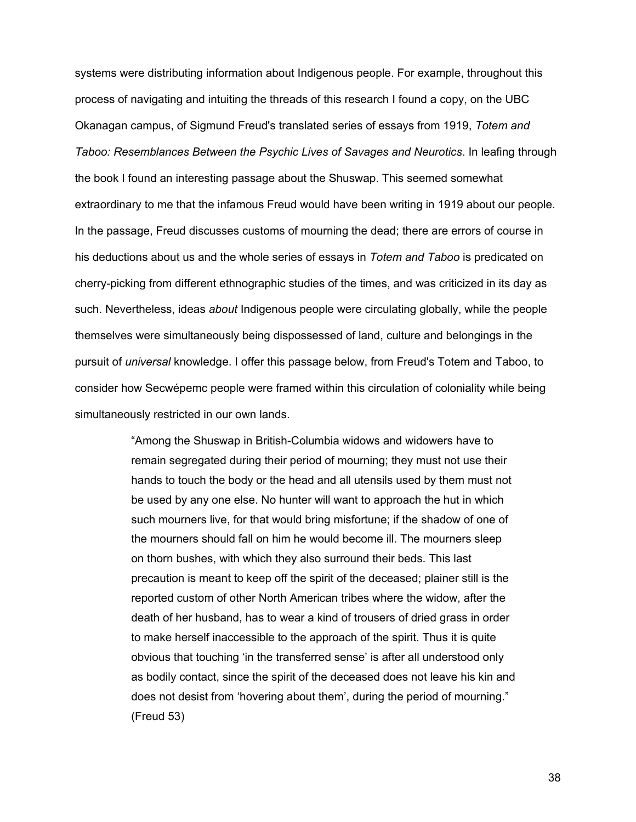systems were distributing information about Indigenous people. For example, throughout this process of navigating and intuiting the threads of this research I found a copy, on the UBC Okanagan campus, of Sigmund Freud's translated series of essays from 1919, *Totem and Taboo: Resemblances Between the Psychic Lives of Savages and Neurotics*. In leafing through the book I found an interesting passage about the Shuswap. This seemed somewhat extraordinary to me that the infamous Freud would have been writing in 1919 about our people. In the passage, Freud discusses customs of mourning the dead; there are errors of course in his deductions about us and the whole series of essays in *Totem and Taboo* is predicated on cherry-picking from different ethnographic studies of the times, and was criticized in its day as such. Nevertheless, ideas *about* Indigenous people were circulating globally, while the people themselves were simultaneously being dispossessed of land, culture and belongings in the pursuit of *universal* knowledge. I offer this passage below, from Freud's Totem and Taboo, to consider how Secwépemc people were framed within this circulation of coloniality while being simultaneously restricted in our own lands.

> "Among the Shuswap in British-Columbia widows and widowers have to remain segregated during their period of mourning; they must not use their hands to touch the body or the head and all utensils used by them must not be used by any one else. No hunter will want to approach the hut in which such mourners live, for that would bring misfortune; if the shadow of one of the mourners should fall on him he would become ill. The mourners sleep on thorn bushes, with which they also surround their beds. This last precaution is meant to keep off the spirit of the deceased; plainer still is the reported custom of other North American tribes where the widow, after the death of her husband, has to wear a kind of trousers of dried grass in order to make herself inaccessible to the approach of the spirit. Thus it is quite obvious that touching 'in the transferred sense' is after all understood only as bodily contact, since the spirit of the deceased does not leave his kin and does not desist from 'hovering about them', during the period of mourning." (Freud 53)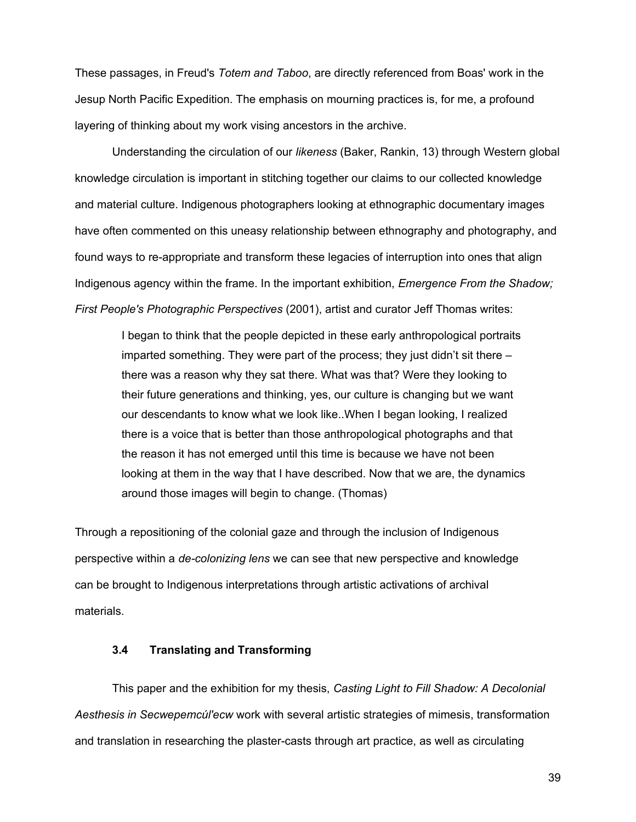These passages, in Freud's *Totem and Taboo*, are directly referenced from Boas' work in the Jesup North Pacific Expedition. The emphasis on mourning practices is, for me, a profound layering of thinking about my work vising ancestors in the archive.

Understanding the circulation of our *likeness* (Baker, Rankin, 13) through Western global knowledge circulation is important in stitching together our claims to our collected knowledge and material culture. Indigenous photographers looking at ethnographic documentary images have often commented on this uneasy relationship between ethnography and photography, and found ways to re-appropriate and transform these legacies of interruption into ones that align Indigenous agency within the frame. In the important exhibition, *Emergence From the Shadow; First People's Photographic Perspectives* (2001), artist and curator Jeff Thomas writes:

I began to think that the people depicted in these early anthropological portraits imparted something. They were part of the process; they just didn't sit there – there was a reason why they sat there. What was that? Were they looking to their future generations and thinking, yes, our culture is changing but we want our descendants to know what we look like..When I began looking, I realized there is a voice that is better than those anthropological photographs and that the reason it has not emerged until this time is because we have not been looking at them in the way that I have described. Now that we are, the dynamics around those images will begin to change. (Thomas)

Through a repositioning of the colonial gaze and through the inclusion of Indigenous perspective within a *de-colonizing lens* we can see that new perspective and knowledge can be brought to Indigenous interpretations through artistic activations of archival materials.

#### **3.4 Translating and Transforming**

This paper and the exhibition for my thesis, *Casting Light to Fill Shadow: A Decolonial Aesthesis in Secwepemcúl'ecw* work with several artistic strategies of mimesis, transformation and translation in researching the plaster-casts through art practice, as well as circulating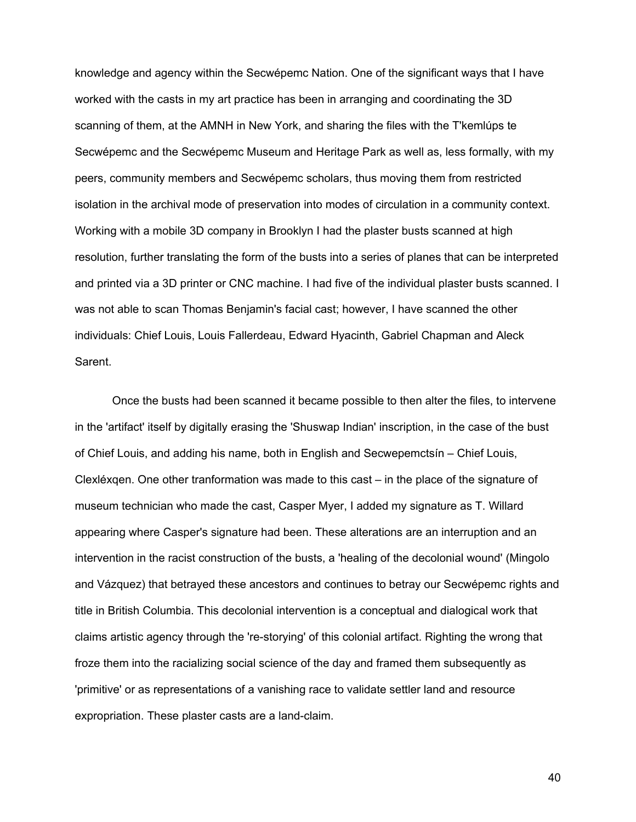knowledge and agency within the Secwépemc Nation. One of the significant ways that I have worked with the casts in my art practice has been in arranging and coordinating the 3D scanning of them, at the AMNH in New York, and sharing the files with the T'kemlúps te Secwépemc and the Secwépemc Museum and Heritage Park as well as, less formally, with my peers, community members and Secwépemc scholars, thus moving them from restricted isolation in the archival mode of preservation into modes of circulation in a community context. Working with a mobile 3D company in Brooklyn I had the plaster busts scanned at high resolution, further translating the form of the busts into a series of planes that can be interpreted and printed via a 3D printer or CNC machine. I had five of the individual plaster busts scanned. I was not able to scan Thomas Benjamin's facial cast; however, I have scanned the other individuals: Chief Louis, Louis Fallerdeau, Edward Hyacinth, Gabriel Chapman and Aleck Sarent.

Once the busts had been scanned it became possible to then alter the files, to intervene in the 'artifact' itself by digitally erasing the 'Shuswap Indian' inscription, in the case of the bust of Chief Louis, and adding his name, both in English and Secwepemctsín – Chief Louis, Clexléxqen. One other tranformation was made to this cast – in the place of the signature of museum technician who made the cast, Casper Myer, I added my signature as T. Willard appearing where Casper's signature had been. These alterations are an interruption and an intervention in the racist construction of the busts, a 'healing of the decolonial wound' (Mingolo and Vázquez) that betrayed these ancestors and continues to betray our Secwépemc rights and title in British Columbia. This decolonial intervention is a conceptual and dialogical work that claims artistic agency through the 're-storying' of this colonial artifact. Righting the wrong that froze them into the racializing social science of the day and framed them subsequently as 'primitive' or as representations of a vanishing race to validate settler land and resource expropriation. These plaster casts are a land-claim.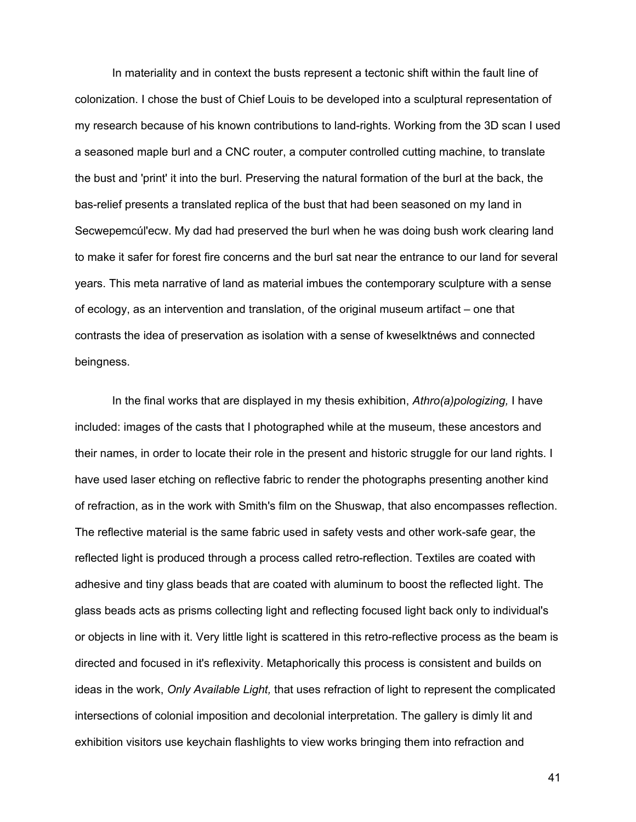In materiality and in context the busts represent a tectonic shift within the fault line of colonization. I chose the bust of Chief Louis to be developed into a sculptural representation of my research because of his known contributions to land-rights. Working from the 3D scan I used a seasoned maple burl and a CNC router, a computer controlled cutting machine, to translate the bust and 'print' it into the burl. Preserving the natural formation of the burl at the back, the bas-relief presents a translated replica of the bust that had been seasoned on my land in Secwepemcúl'ecw. My dad had preserved the burl when he was doing bush work clearing land to make it safer for forest fire concerns and the burl sat near the entrance to our land for several years. This meta narrative of land as material imbues the contemporary sculpture with a sense of ecology, as an intervention and translation, of the original museum artifact – one that contrasts the idea of preservation as isolation with a sense of kweselktnéws and connected beingness.

In the final works that are displayed in my thesis exhibition, *Athro(a)pologizing,* I have included: images of the casts that I photographed while at the museum, these ancestors and their names, in order to locate their role in the present and historic struggle for our land rights. I have used laser etching on reflective fabric to render the photographs presenting another kind of refraction, as in the work with Smith's film on the Shuswap, that also encompasses reflection. The reflective material is the same fabric used in safety vests and other work-safe gear, the reflected light is produced through a process called retro-reflection. Textiles are coated with adhesive and tiny glass beads that are coated with aluminum to boost the reflected light. The glass beads acts as prisms collecting light and reflecting focused light back only to individual's or objects in line with it. Very little light is scattered in this retro-reflective process as the beam is directed and focused in it's reflexivity. Metaphorically this process is consistent and builds on ideas in the work, *Only Available Light,* that uses refraction of light to represent the complicated intersections of colonial imposition and decolonial interpretation. The gallery is dimly lit and exhibition visitors use keychain flashlights to view works bringing them into refraction and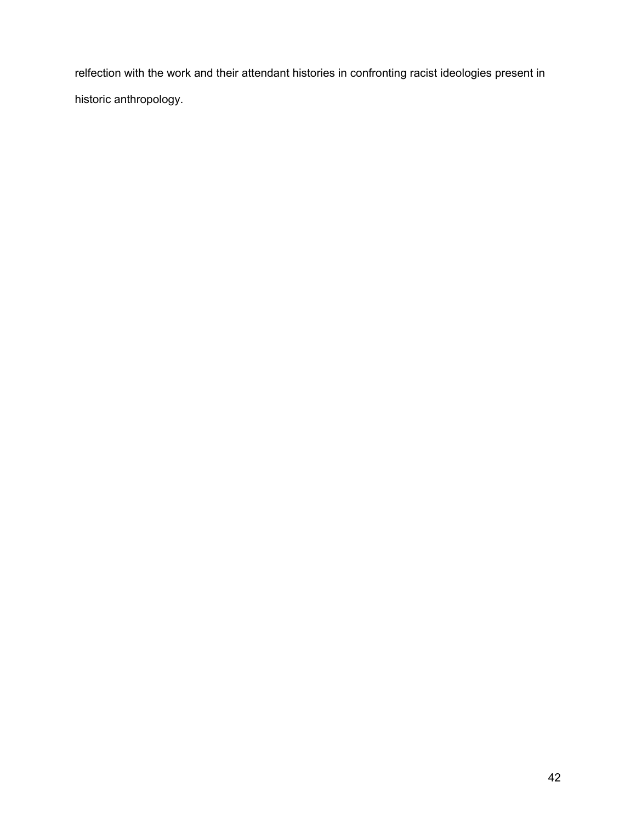relfection with the work and their attendant histories in confronting racist ideologies present in historic anthropology.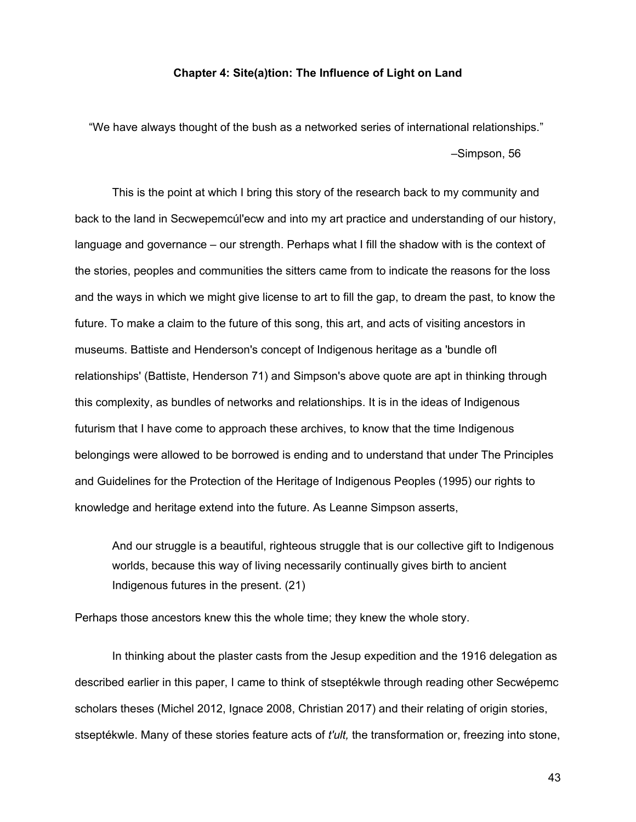#### **Chapter 4: Site(a)tion: The Influence of Light on Land**

"We have always thought of the bush as a networked series of international relationships." –Simpson, 56

This is the point at which I bring this story of the research back to my community and back to the land in Secwepemcúl'ecw and into my art practice and understanding of our history, language and governance – our strength. Perhaps what I fill the shadow with is the context of the stories, peoples and communities the sitters came from to indicate the reasons for the loss and the ways in which we might give license to art to fill the gap, to dream the past, to know the future. To make a claim to the future of this song, this art, and acts of visiting ancestors in museums. Battiste and Henderson's concept of Indigenous heritage as a 'bundle ofl  $\Box$ relationships' (Battiste, Henderson 71) and Simpson's above quote are apt in thinking through this complexity, as bundles of networks and relationships. It is in the ideas of Indigenous futurism that I have come to approach these archives, to know that the time Indigenous belongings were allowed to be borrowed is ending and to understand that under The Principles and Guidelines for the Protection of the Heritage of Indigenous Peoples (1995) our rights to knowledge and heritage extend into the future. As Leanne Simpson asserts,

And our struggle is a beautiful, righteous struggle that is our collective gift to Indigenous worlds, because this way of living necessarily continually gives birth to ancient Indigenous futures in the present. (21)

Perhaps those ancestors knew this the whole time; they knew the whole story.

In thinking about the plaster casts from the Jesup expedition and the 1916 delegation as described earlier in this paper, I came to think of stseptékwle through reading other Secwépemc scholars theses (Michel 2012, Ignace 2008, Christian 2017) and their relating of origin stories, stseptékwle. Many of these stories feature acts of *t'ult,* the transformation or, freezing into stone,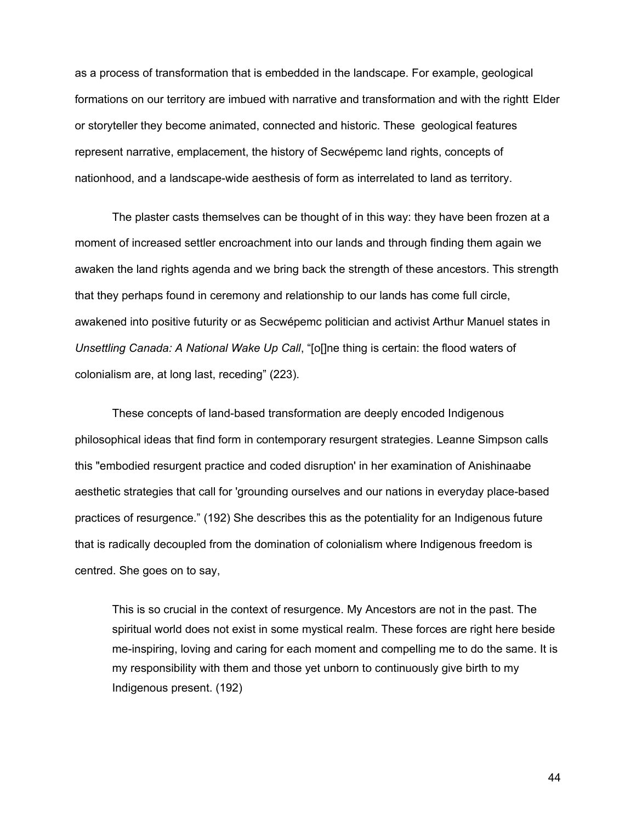as a process of transformation that is embedded in the landscape. For example, geological formations on our territory are imbued with narrative and transformation and with the rightt Elder or storyteller they become animated, connected and historic. These geological features represent narrative, emplacement, the history of Secwépemc land rights, concepts of nationhood, and a landscape-wide aesthesis of form as interrelated to land as territory.

The plaster casts themselves can be thought of in this way: they have been frozen at a moment of increased settler encroachment into our lands and through finding them again we awaken the land rights agenda and we bring back the strength of these ancestors. This strength that they perhaps found in ceremony and relationship to our lands has come full circle, awakened into positive futurity or as Secwépemc politician and activist Arthur Manuel states in *Unsettling Canada: A National Wake Up Call*, "[o[]ne thing is certain: the flood waters of colonialism are, at long last, receding" (223).

These concepts of land-based transformation are deeply encoded Indigenous philosophical ideas that find form in contemporary resurgent strategies. Leanne Simpson calls this "embodied resurgent practice and coded disruption' in her examination of Anishinaabe aesthetic strategies that call for 'grounding ourselves and our nations in everyday place-based practices of resurgence." (192) She describes this as the potentiality for an Indigenous future that is radically decoupled from the domination of colonialism where Indigenous freedom is centred. She goes on to say,

This is so crucial in the context of resurgence. My Ancestors are not in the past. The spiritual world does not exist in some mystical realm. These forces are right here beside me-inspiring, loving and caring for each moment and compelling me to do the same. It is my responsibility with them and those yet unborn to continuously give birth to my Indigenous present. (192)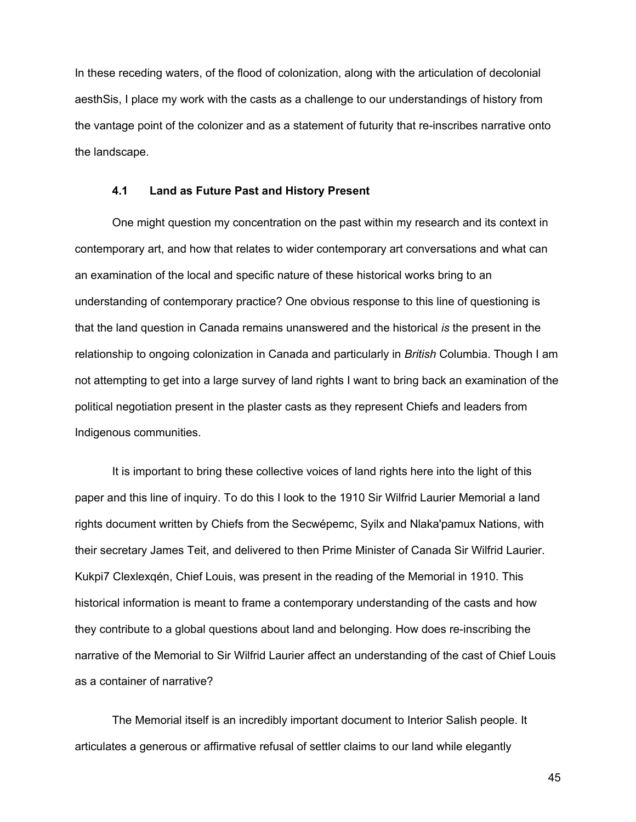In these receding waters, of the flood of colonization, along with the articulation of decolonial aesthSis, I place my work with the casts as a challenge to our understandings of history from the vantage point of the colonizer and as a statement of futurity that re-inscribes narrative onto the landscape.

#### **4.1 Land as Future Past and History Present**

One might question my concentration on the past within my research and its context in contemporary art, and how that relates to wider contemporary art conversations and what can an examination of the local and specific nature of these historical works bring to an understanding of contemporary practice? One obvious response to this line of questioning is that the land question in Canada remains unanswered and the historical *is* the present in the relationship to ongoing colonization in Canada and particularly in *British* Columbia. Though I am not attempting to get into a large survey of land rights I want to bring back an examination of the political negotiation present in the plaster casts as they represent Chiefs and leaders from Indigenous communities.

It is important to bring these collective voices of land rights here into the light of this paper and this line of inquiry. To do this I look to the 1910 Sir Wilfrid Laurier Memorial a land rights document written by Chiefs from the Secwépemc, Syilx and Nlaka'pamux Nations, with their secretary James Teit, and delivered to then Prime Minister of Canada Sir Wilfrid Laurier. Kukpi7 Clexlexqén, Chief Louis, was present in the reading of the Memorial in 1910. This historical information is meant to frame a contemporary understanding of the casts and how they contribute to a global questions about land and belonging. How does re-inscribing the narrative of the Memorial to Sir Wilfrid Laurier affect an understanding of the cast of Chief Louis as a container of narrative?

The Memorial itself is an incredibly important document to Interior Salish people. It articulates a generous or affirmative refusal of settler claims to our land while elegantly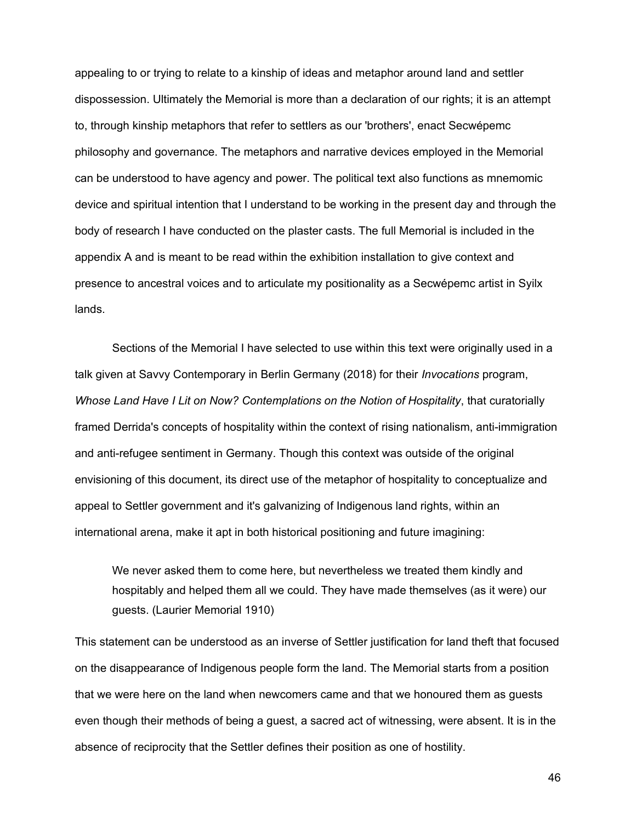appealing to or trying to relate to a kinship of ideas and metaphor around land and settler dispossession. Ultimately the Memorial is more than a declaration of our rights; it is an attempt to, through kinship metaphors that refer to settlers as our 'brothers', enact Secwépemc philosophy and governance. The metaphors and narrative devices employed in the Memorial can be understood to have agency and power. The political text also functions as mnemomic device and spiritual intention that I understand to be working in the present day and through the body of research I have conducted on the plaster casts. The full Memorial is included in the appendix A and is meant to be read within the exhibition installation to give context and presence to ancestral voices and to articulate my positionality as a Secwépemc artist in Syilx lands.

Sections of the Memorial I have selected to use within this text were originally used in a talk given at Savvy Contemporary in Berlin Germany (2018) for their *Invocations* program, *Whose Land Have I Lit on Now? Contemplations on the Notion of Hospitality*, that curatorially framed Derrida's concepts of hospitality within the context of rising nationalism, anti-immigration and anti-refugee sentiment in Germany. Though this context was outside of the original envisioning of this document, its direct use of the metaphor of hospitality to conceptualize and appeal to Settler government and it's galvanizing of Indigenous land rights, within an international arena, make it apt in both historical positioning and future imagining:

We never asked them to come here, but nevertheless we treated them kindly and hospitably and helped them all we could. They have made themselves (as it were) our guests. (Laurier Memorial 1910)

This statement can be understood as an inverse of Settler justification for land theft that focused on the disappearance of Indigenous people form the land. The Memorial starts from a position that we were here on the land when newcomers came and that we honoured them as guests even though their methods of being a guest, a sacred act of witnessing, were absent. It is in the absence of reciprocity that the Settler defines their position as one of hostility.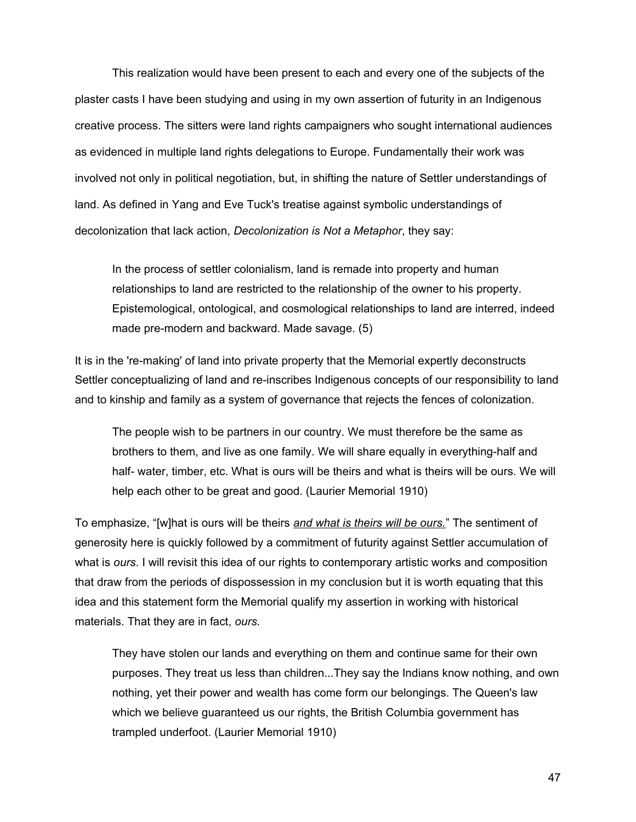This realization would have been present to each and every one of the subjects of the plaster casts I have been studying and using in my own assertion of futurity in an Indigenous creative process. The sitters were land rights campaigners who sought international audiences as evidenced in multiple land rights delegations to Europe. Fundamentally their work was involved not only in political negotiation, but, in shifting the nature of Settler understandings of land. As defined in Yang and Eve Tuck's treatise against symbolic understandings of decolonization that lack action, *Decolonization is Not a Metaphor*, they say:

In the process of settler colonialism, land is remade into property and human relationships to land are restricted to the relationship of the owner to his property. Epistemological, ontological, and cosmological relationships to land are interred, indeed made pre-modern and backward. Made savage. (5)

It is in the 're-making' of land into private property that the Memorial expertly deconstructs Settler conceptualizing of land and re-inscribes Indigenous concepts of our responsibility to land and to kinship and family as a system of governance that rejects the fences of colonization.

The people wish to be partners in our country. We must therefore be the same as brothers to them, and live as one family. We will share equally in everything-half and half- water, timber, etc. What is ours will be theirs and what is theirs will be ours. We will help each other to be great and good. (Laurier Memorial 1910)

To emphasize, "[w]hat is ours will be theirs *and what is theirs will be ours.*" The sentiment of generosity here is quickly followed by a commitment of futurity against Settler accumulation of what is *ours*. I will revisit this idea of our rights to contemporary artistic works and composition that draw from the periods of dispossession in my conclusion but it is worth equating that this idea and this statement form the Memorial qualify my assertion in working with historical materials. That they are in fact, *ours.*

They have stolen our lands and everything on them and continue same for their own purposes. They treat us less than children...They say the Indians know nothing, and own nothing, yet their power and wealth has come form our belongings. The Queen's law which we believe guaranteed us our rights, the British Columbia government has trampled underfoot. (Laurier Memorial 1910)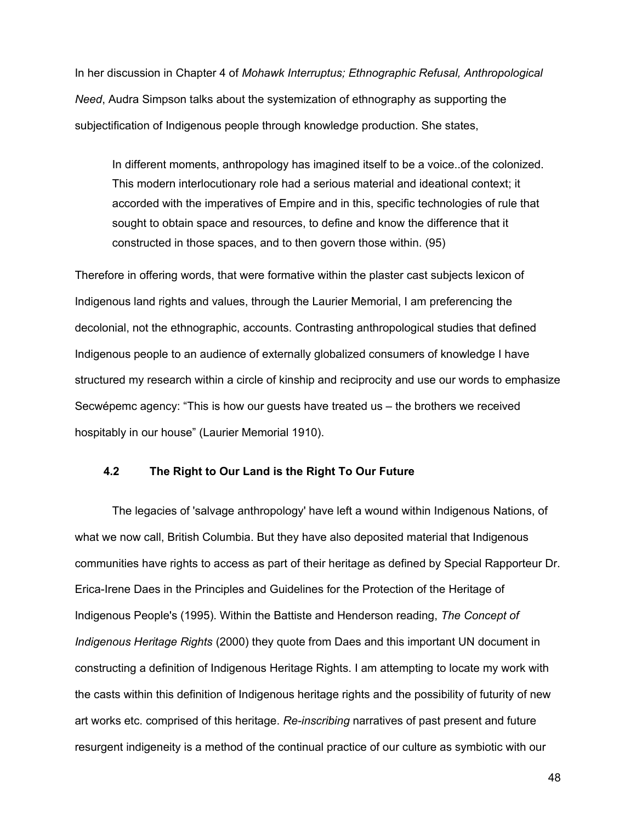In her discussion in Chapter 4 of *Mohawk Interruptus; Ethnographic Refusal, Anthropological Need*, Audra Simpson talks about the systemization of ethnography as supporting the subjectification of Indigenous people through knowledge production. She states,

In different moments, anthropology has imagined itself to be a voice..of the colonized. This modern interlocutionary role had a serious material and ideational context; it accorded with the imperatives of Empire and in this, specific technologies of rule that sought to obtain space and resources, to define and know the difference that it constructed in those spaces, and to then govern those within. (95)

Therefore in offering words, that were formative within the plaster cast subjects lexicon of Indigenous land rights and values, through the Laurier Memorial, I am preferencing the decolonial, not the ethnographic, accounts. Contrasting anthropological studies that defined Indigenous people to an audience of externally globalized consumers of knowledge I have structured my research within a circle of kinship and reciprocity and use our words to emphasize Secwépemc agency: "This is how our guests have treated us – the brothers we received hospitably in our house" (Laurier Memorial 1910).

#### **4.2 The Right to Our Land is the Right To Our Future**

The legacies of 'salvage anthropology' have left a wound within Indigenous Nations, of what we now call, British Columbia. But they have also deposited material that Indigenous communities have rights to access as part of their heritage as defined by Special Rapporteur Dr. Erica-Irene Daes in the Principles and Guidelines for the Protection of the Heritage of Indigenous People's (1995). Within the Battiste and Henderson reading, *The Concept of Indigenous Heritage Rights* (2000) they quote from Daes and this important UN document in constructing a definition of Indigenous Heritage Rights. I am attempting to locate my work with the casts within this definition of Indigenous heritage rights and the possibility of futurity of new art works etc. comprised of this heritage. *Re-inscribing* narratives of past present and future resurgent indigeneity is a method of the continual practice of our culture as symbiotic with our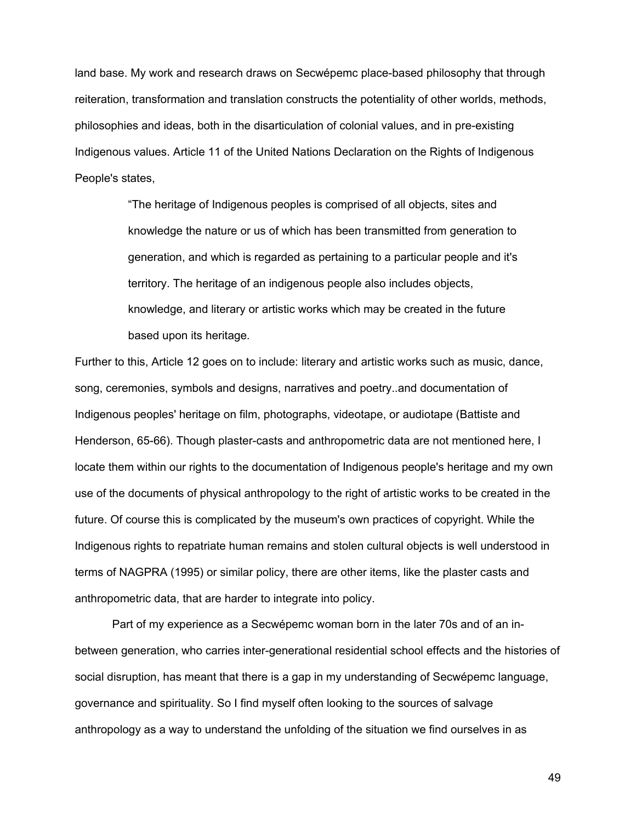land base. My work and research draws on Secwépemc place-based philosophy that through reiteration, transformation and translation constructs the potentiality of other worlds, methods, philosophies and ideas, both in the disarticulation of colonial values, and in pre-existing Indigenous values. Article 11 of the United Nations Declaration on the Rights of Indigenous People's states,

> "The heritage of Indigenous peoples is comprised of all objects, sites and knowledge the nature or us of which has been transmitted from generation to generation, and which is regarded as pertaining to a particular people and it's territory. The heritage of an indigenous people also includes objects, knowledge, and literary or artistic works which may be created in the future based upon its heritage*.*

Further to this, Article 12 goes on to include: literary and artistic works such as music, dance, song, ceremonies, symbols and designs, narratives and poetry..and documentation of Indigenous peoples' heritage on film, photographs, videotape, or audiotape (Battiste and Henderson, 65-66). Though plaster-casts and anthropometric data are not mentioned here, I locate them within our rights to the documentation of Indigenous people's heritage and my own use of the documents of physical anthropology to the right of artistic works to be created in the future. Of course this is complicated by the museum's own practices of copyright. While the Indigenous rights to repatriate human remains and stolen cultural objects is well understood in terms of NAGPRA (1995) or similar policy, there are other items, like the plaster casts and anthropometric data, that are harder to integrate into policy.

Part of my experience as a Secwépemc woman born in the later 70s and of an inbetween generation, who carries inter-generational residential school effects and the histories of social disruption, has meant that there is a gap in my understanding of Secwépemc language, governance and spirituality. So I find myself often looking to the sources of salvage anthropology as a way to understand the unfolding of the situation we find ourselves in as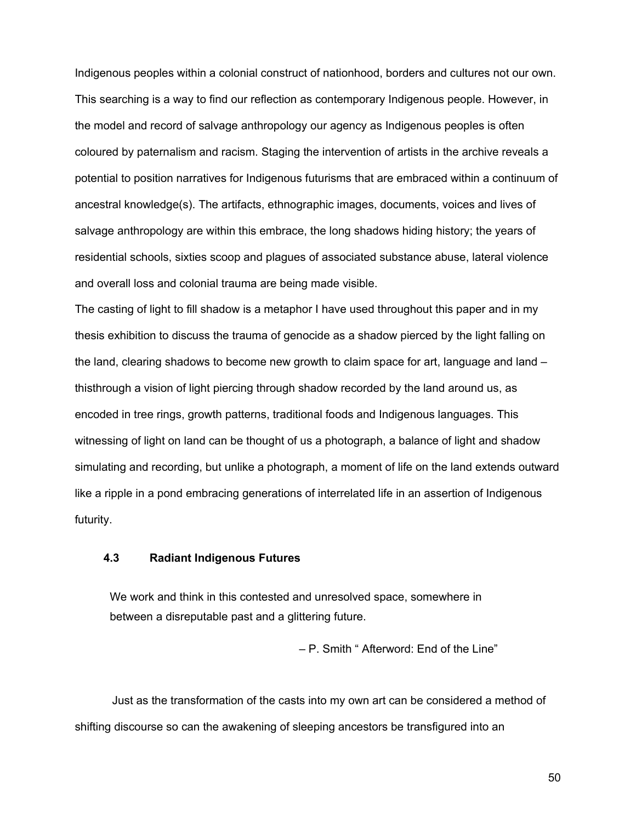Indigenous peoples within a colonial construct of nationhood, borders and cultures not our own. This searching is a way to find our reflection as contemporary Indigenous people. However, in the model and record of salvage anthropology our agency as Indigenous peoples is often coloured by paternalism and racism. Staging the intervention of artists in the archive reveals a potential to position narratives for Indigenous futurisms that are embraced within a continuum of ancestral knowledge(s). The artifacts, ethnographic images, documents, voices and lives of salvage anthropology are within this embrace, the long shadows hiding history; the years of residential schools, sixties scoop and plagues of associated substance abuse, lateral violence and overall loss and colonial trauma are being made visible.

The casting of light to fill shadow is a metaphor I have used throughout this paper and in my thesis exhibition to discuss the trauma of genocide as a shadow pierced by the light falling on the land, clearing shadows to become new growth to claim space for art, language and land – thisthrough a vision of light piercing through shadow recorded by the land around us, as encoded in tree rings, growth patterns, traditional foods and Indigenous languages. This witnessing of light on land can be thought of us a photograph, a balance of light and shadow simulating and recording, but unlike a photograph, a moment of life on the land extends outward like a ripple in a pond embracing generations of interrelated life in an assertion of Indigenous futurity.

#### **4.3 Radiant Indigenous Futures**

We work and think in this contested and unresolved space, somewhere in between a disreputable past and a glittering future.

– P. Smith " Afterword: End of the Line"

Just as the transformation of the casts into my own art can be considered a method of shifting discourse so can the awakening of sleeping ancestors be transfigured into an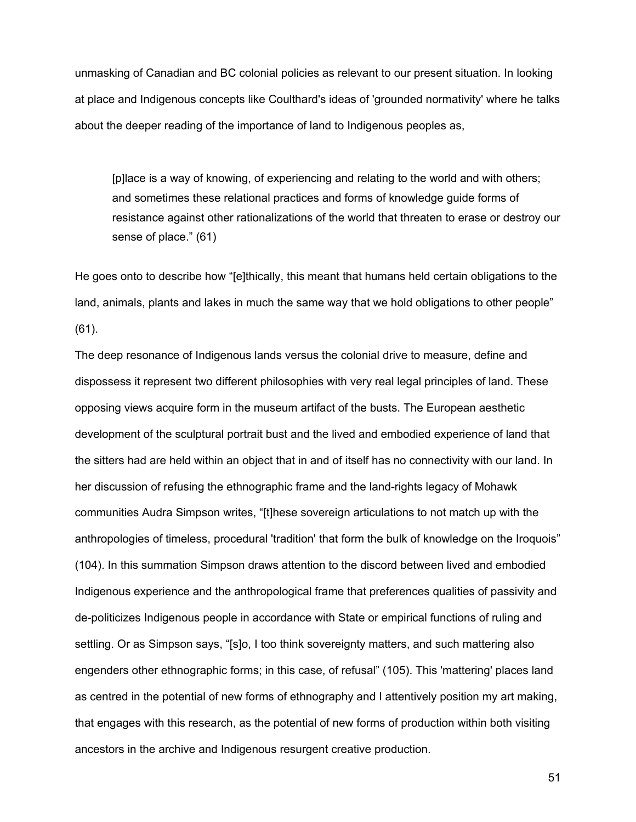unmasking of Canadian and BC colonial policies as relevant to our present situation. In looking at place and Indigenous concepts like Coulthard's ideas of 'grounded normativity' where he talks about the deeper reading of the importance of land to Indigenous peoples as,

[p]lace is a way of knowing, of experiencing and relating to the world and with others; and sometimes these relational practices and forms of knowledge guide forms of resistance against other rationalizations of the world that threaten to erase or destroy our sense of place." (61)

He goes onto to describe how "[e]thically, this meant that humans held certain obligations to the land, animals, plants and lakes in much the same way that we hold obligations to other people" (61).

The deep resonance of Indigenous lands versus the colonial drive to measure, define and dispossess it represent two different philosophies with very real legal principles of land. These opposing views acquire form in the museum artifact of the busts. The European aesthetic development of the sculptural portrait bust and the lived and embodied experience of land that the sitters had are held within an object that in and of itself has no connectivity with our land. In her discussion of refusing the ethnographic frame and the land-rights legacy of Mohawk communities Audra Simpson writes, "[t]hese sovereign articulations to not match up with the anthropologies of timeless, procedural 'tradition' that form the bulk of knowledge on the Iroquois" (104). In this summation Simpson draws attention to the discord between lived and embodied Indigenous experience and the anthropological frame that preferences qualities of passivity and de-politicizes Indigenous people in accordance with State or empirical functions of ruling and settling. Or as Simpson says, "[s]o, I too think sovereignty matters, and such mattering also engenders other ethnographic forms; in this case, of refusal" (105). This 'mattering' places land as centred in the potential of new forms of ethnography and I attentively position my art making, that engages with this research, as the potential of new forms of production within both visiting ancestors in the archive and Indigenous resurgent creative production.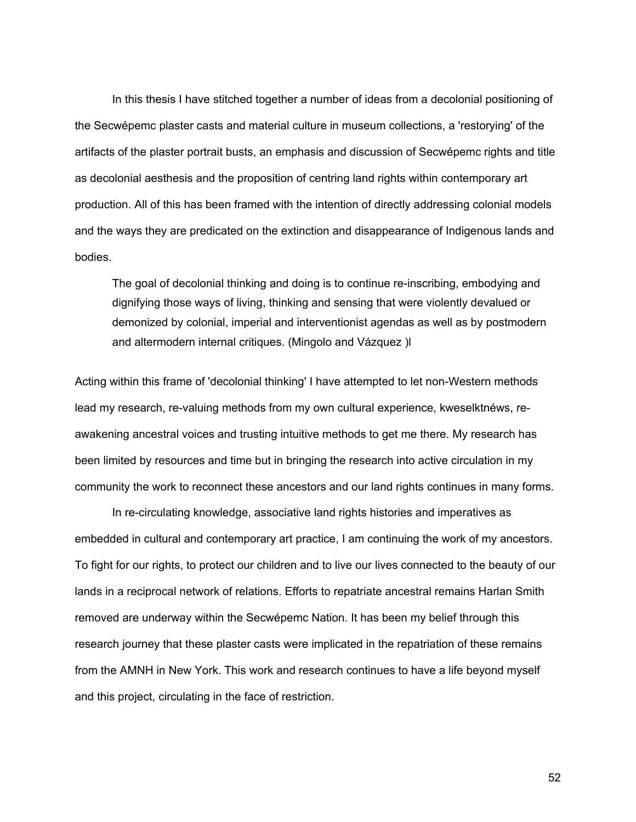In this thesis I have stitched together a number of ideas from a decolonial positioning of the Secwépemc plaster casts and material culture in museum collections, a 'restorying' of the artifacts of the plaster portrait busts, an emphasis and discussion of Secwépemc rights and title as decolonial aesthesis and the proposition of centring land rights within contemporary art production. All of this has been framed with the intention of directly addressing colonial models and the ways they are predicated on the extinction and disappearance of Indigenous lands and bodies.

The goal of decolonial thinking and doing is to continue re-inscribing, embodying and dignifying those ways of living, thinking and sensing that were violently devalued or demonized by colonial, imperial and interventionist agendas as well as by postmodern and altermodern internal critiques. (Mingolo and Vázquez )l  $\Box$ 

Acting within this frame of 'decolonial thinking' I have attempted to let non-Western methods lead my research, re-valuing methods from my own cultural experience, kweselktnéws, reawakening ancestral voices and trusting intuitive methods to get me there. My research has been limited by resources and time but in bringing the research into active circulation in my community the work to reconnect these ancestors and our land rights continues in many forms.

In re-circulating knowledge, associative land rights histories and imperatives as embedded in cultural and contemporary art practice, I am continuing the work of my ancestors. To fight for our rights, to protect our children and to live our lives connected to the beauty of our lands in a reciprocal network of relations. Efforts to repatriate ancestral remains Harlan Smith removed are underway within the Secwépemc Nation. It has been my belief through this research journey that these plaster casts were implicated in the repatriation of these remains from the AMNH in New York. This work and research continues to have a life beyond myself and this project, circulating in the face of restriction.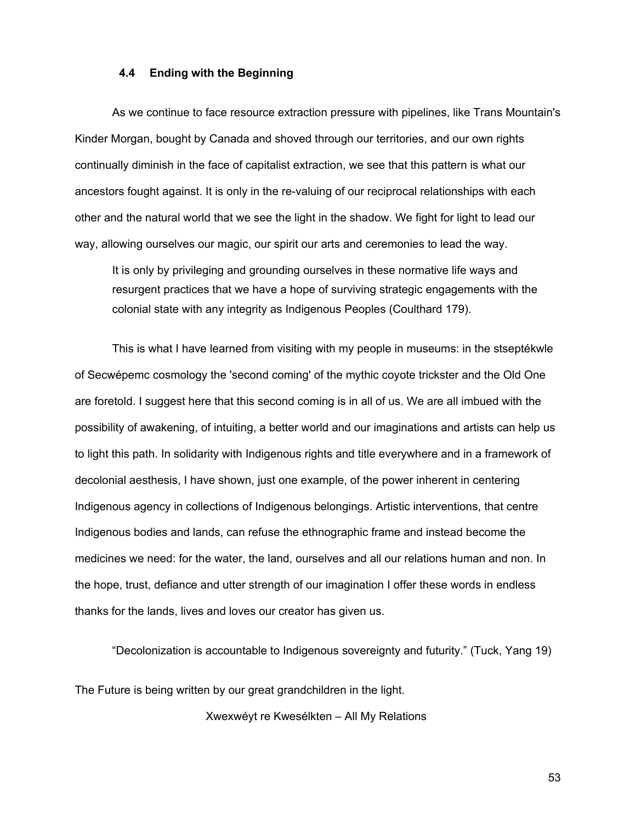#### **4.4 Ending with the Beginning**

As we continue to face resource extraction pressure with pipelines, like Trans Mountain's Kinder Morgan, bought by Canada and shoved through our territories, and our own rights continually diminish in the face of capitalist extraction, we see that this pattern is what our ancestors fought against. It is only in the re-valuing of our reciprocal relationships with each other and the natural world that we see the light in the shadow. We fight for light to lead our way, allowing ourselves our magic, our spirit our arts and ceremonies to lead the way.

It is only by privileging and grounding ourselves in these normative life ways and resurgent practices that we have a hope of surviving strategic engagements with the colonial state with any integrity as Indigenous Peoples (Coulthard 179).

This is what I have learned from visiting with my people in museums: in the stseptékwle of Secwépemc cosmology the 'second coming' of the mythic coyote trickster and the Old One are foretold. I suggest here that this second coming is in all of us. We are all imbued with the possibility of awakening, of intuiting, a better world and our imaginations and artists can help us to light this path. In solidarity with Indigenous rights and title everywhere and in a framework of decolonial aesthesis, I have shown, just one example, of the power inherent in centering Indigenous agency in collections of Indigenous belongings. Artistic interventions, that centre Indigenous bodies and lands, can refuse the ethnographic frame and instead become the medicines we need: for the water, the land, ourselves and all our relations human and non. In the hope, trust, defiance and utter strength of our imagination I offer these words in endless thanks for the lands, lives and loves our creator has given us.

"Decolonization is accountable to Indigenous sovereignty and futurity." (Tuck, Yang 19)

The Future is being written by our great grandchildren in the light.

Xwexwéyt re Kwesélkten – All My Relations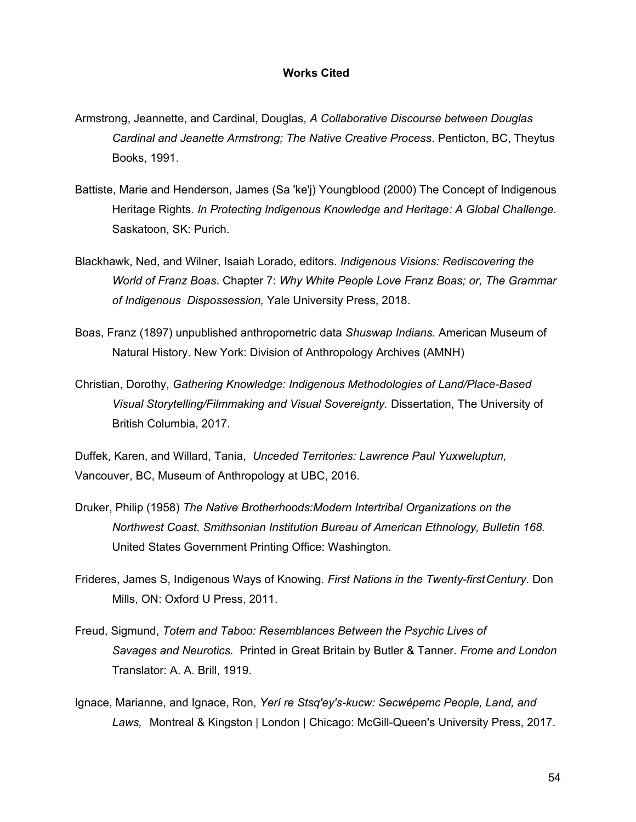#### **Works Cited**

- Armstrong, Jeannette, and Cardinal, Douglas, *A Collaborative Discourse between Douglas Cardinal and Jeanette Armstrong; The Native Creative Process*. Penticton, BC, Theytus Books, 1991.
- Battiste, Marie and Henderson, James (Sa 'ke'j) Youngblood (2000) The Concept of Indigenous Heritage Rights. *In Protecting Indigenous Knowledge and Heritage: A Global Challenge.* Saskatoon, SK: Purich.
- Blackhawk, Ned, and Wilner, Isaiah Lorado, editors. *Indigenous Visions: Rediscovering the World of Franz Boas*. Chapter 7: *Why White People Love Franz Boas; or, The Grammar of Indigenous Dispossession,* Yale University Press, 2018.
- Boas, Franz (1897) unpublished anthropometric data *Shuswap Indians.* American Museum of Natural History. New York: Division of Anthropology Archives (AMNH)
- Christian, Dorothy, *Gathering Knowledge: Indigenous Methodologies of Land/Place-Based Visual Storytelling/Filmmaking and Visual Sovereignty.* Dissertation, The University of British Columbia, 2017.

Duffek, Karen, and Willard, Tania, *Unceded Territories: Lawrence Paul Yuxweluptun,* Vancouver, BC, Museum of Anthropology at UBC, 2016.

- Druker, Philip (1958) *The Native Brotherhoods:Modern Intertribal Organizations on the Northwest Coast. Smithsonian Institution Bureau of American Ethnology, Bulletin 168.*  United States Government Printing Office: Washington.
- Frideres, James S, Indigenous Ways of Knowing. *First Nations in the Twenty-firstCentury*. Don Mills, ON: Oxford U Press, 2011.
- Freud, Sigmund, *Totem and Taboo: Resemblances Between the Psychic Lives of Savages and Neurotics.* Printed in Great Britain by Butler & Tanner. *Frome and London* Translator: A. A. Brill, 1919.
- Ignace, Marianne, and Ignace, Ron, *Yerí re Stsq'ey's-kucw: Secwépemc People, Land, and Laws,* Montreal & Kingston | London | Chicago: McGill-Queen's University Press, 2017.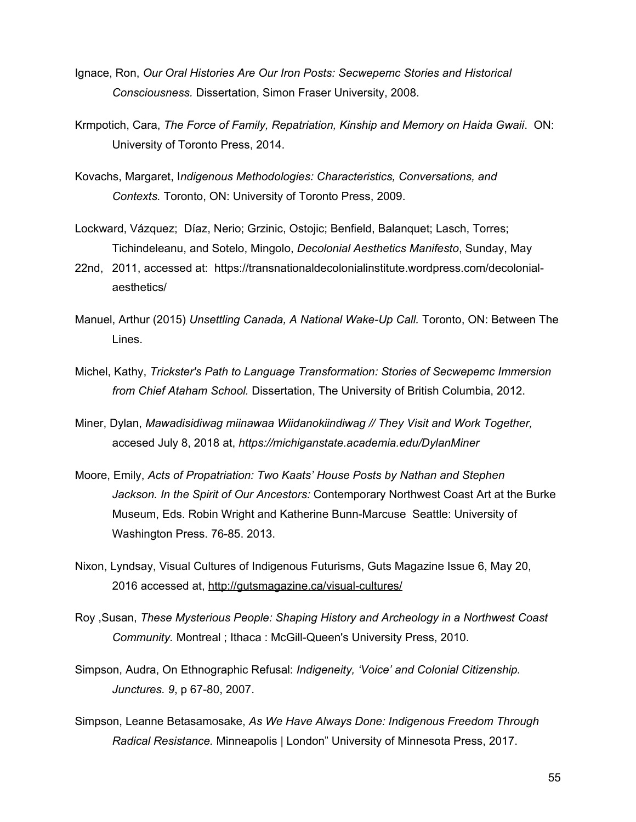- Ignace, Ron, *Our Oral Histories Are Our Iron Posts: Secwepemc Stories and Historical Consciousness.* Dissertation, Simon Fraser University, 2008.
- Krmpotich, Cara, *The Force of Family, Repatriation, Kinship and Memory on Haida Gwaii*. ON: University of Toronto Press, 2014.
- Kovachs, Margaret, I*ndigenous Methodologies: Characteristics, Conversations, and Contexts.* Toronto, ON: University of Toronto Press, 2009.
- Lockward, Vázquez; Díaz, Nerio; Grzinic, Ostojic; Benfield, Balanquet; Lasch, Torres; Tichindeleanu, and Sotelo, Mingolo, *Decolonial Aesthetics Manifesto*, Sunday, May
- 22nd, 2011, accessed at: https://transnationaldecolonialinstitute.wordpress.com/decolonialaesthetics/
- Manuel, Arthur (2015) *Unsettling Canada, A National Wake-Up Call.* Toronto, ON: Between The Lines.
- Michel, Kathy, *Trickster's Path to Language Transformation: Stories of Secwepemc Immersion from Chief Ataham School.* Dissertation, The University of British Columbia, 2012.
- Miner, Dylan, *Mawadisidiwag miinawaa Wiidanokiindiwag // They Visit and Work Together,*  accesed July 8, 2018 at, *https://michiganstate.academia.edu/DylanMiner*
- Moore, Emily, *Acts of Propatriation: Two Kaats' House Posts by Nathan and Stephen Jackson. In the Spirit of Our Ancestors:* Contemporary Northwest Coast Art at the Burke Museum, Eds. Robin Wright and Katherine Bunn-Marcuse Seattle: University of Washington Press. 76-85. 2013.
- Nixon, Lyndsay, Visual Cultures of Indigenous Futurisms, Guts Magazine Issue 6, May 20, 2016 accessed at,<http://gutsmagazine.ca/visual-cultures/>
- Roy ,Susan, *These Mysterious People: Shaping History and Archeology in a Northwest Coast Community.* Montreal ; Ithaca : McGill-Queen's University Press, 2010.
- Simpson, Audra, On Ethnographic Refusal: *Indigeneity, 'Voice' and Colonial Citizenship. Junctures. 9*, p 67-80, 2007.
- Simpson, Leanne Betasamosake, *As We Have Always Done: Indigenous Freedom Through Radical Resistance.* Minneapolis | London" University of Minnesota Press, 2017.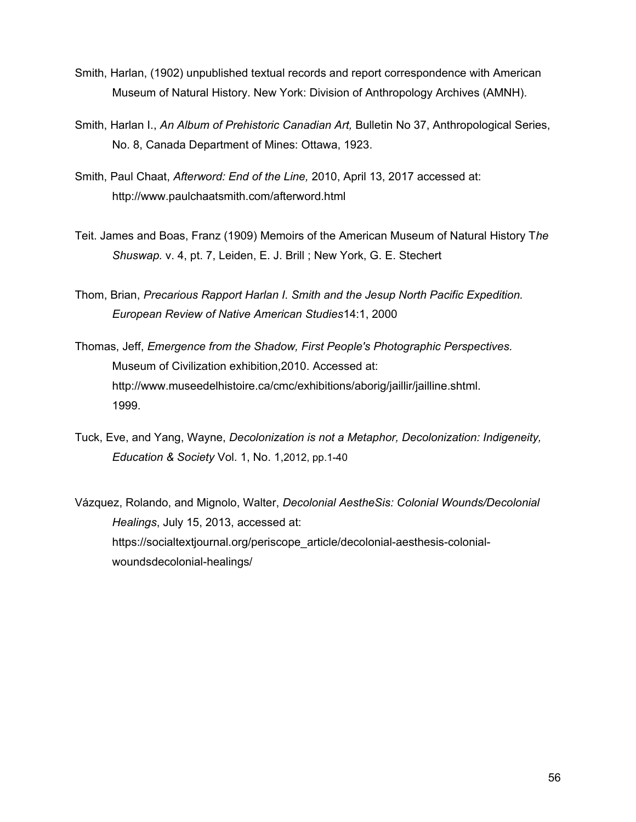- Smith, Harlan, (1902) unpublished textual records and report correspondence with American Museum of Natural History. New York: Division of Anthropology Archives (AMNH).
- Smith, Harlan I., *An Album of Prehistoric Canadian Art,* Bulletin No 37, Anthropological Series, No. 8, Canada Department of Mines: Ottawa, 1923.
- Smith, Paul Chaat, *Afterword: End of the Line,* 2010, April 13, 2017 accessed at: <http://www.paulchaatsmith.com/afterword.html>
- Teit. James and Boas, Franz (1909) Memoirs of the American Museum of Natural History T*he Shuswap.* v. 4, pt. 7, Leiden, E. J. Brill ; New York, G. E. Stechert
- Thom, Brian, *Precarious Rapport Harlan I. Smith and the Jesup North Pacific Expedition. European Review of Native American Studies*14:1, 2000
- Thomas, Jeff, *Emergence from the Shadow, First People's Photographic Perspectives.* Museum of Civilization exhibition,2010. Accessed at: http://www.museedelhistoire.ca/cmc/exhibitions/aborig/jaillir/jailline.shtml. 1999.
- Tuck, Eve, and Yang, Wayne, *Decolonization is not a Metaphor, Decolonization: Indigeneity, Education & Society* Vol. 1, No. 1,2012, pp.1-40
- Vázquez, Rolando, and Mignolo, Walter, *Decolonial AestheSis: Colonial Wounds/Decolonial Healings*, July 15, 2013, accessed at: https://socialtextjournal.org/periscope\_article/decolonial-aesthesis-colonialwoundsdecolonial-healings/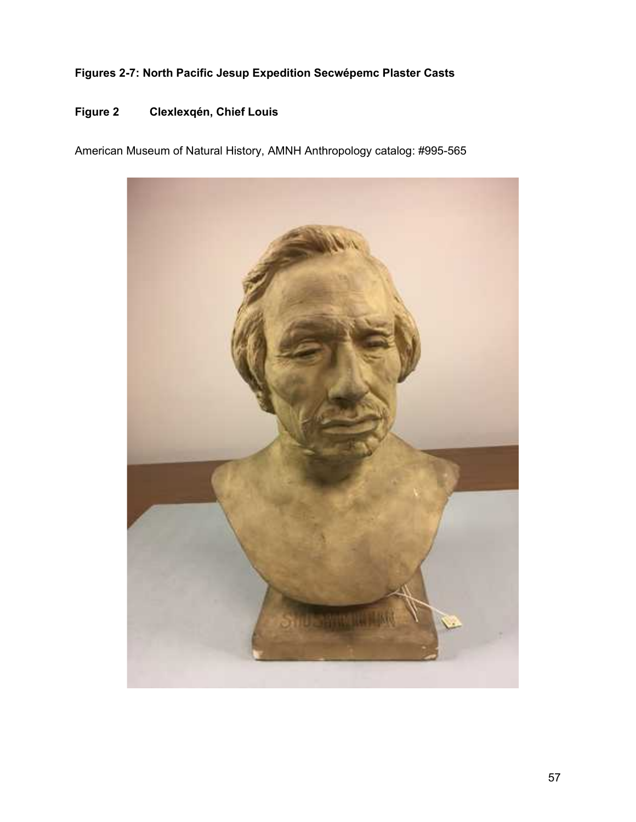### **Figures 2-7: North Pacific Jesup Expedition Secwépemc Plaster Casts**

### **Figure 2 Clexlexqén, Chief Louis**

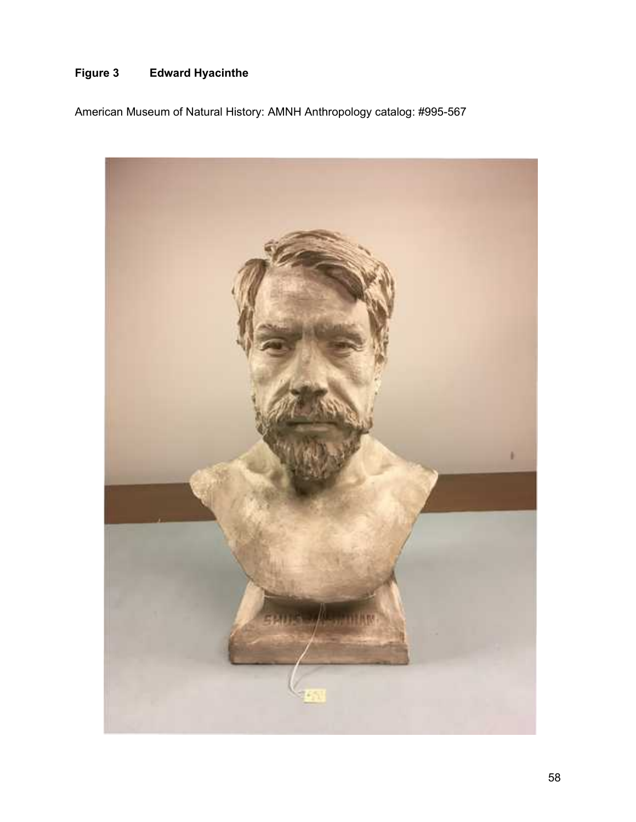### **Figure 3 Edward Hyacinthe**

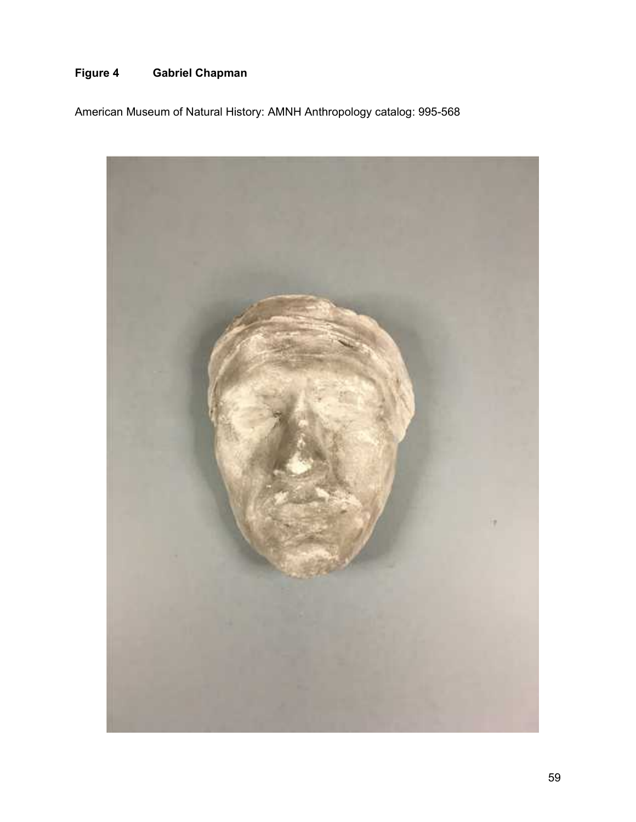# **Figure 4 Gabriel Chapman**

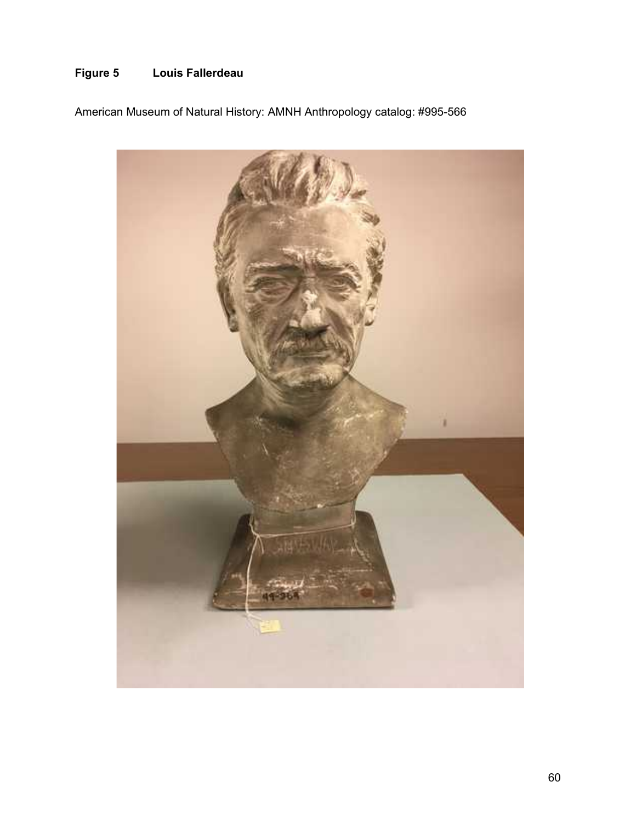# **Figure 5 Louis Fallerdeau**

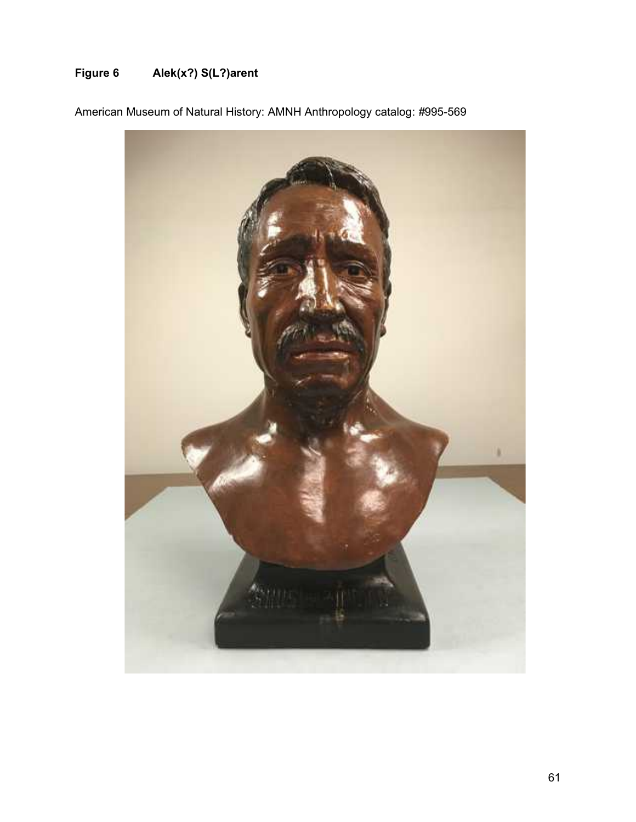# **Figure 6 Alek(x?) S(L?)arent**

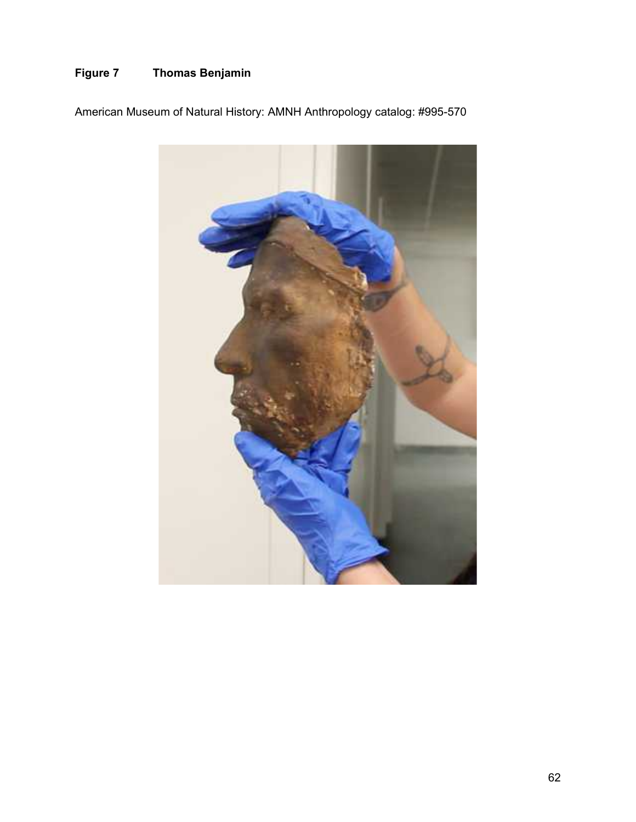# **Figure 7 Thomas Benjamin**

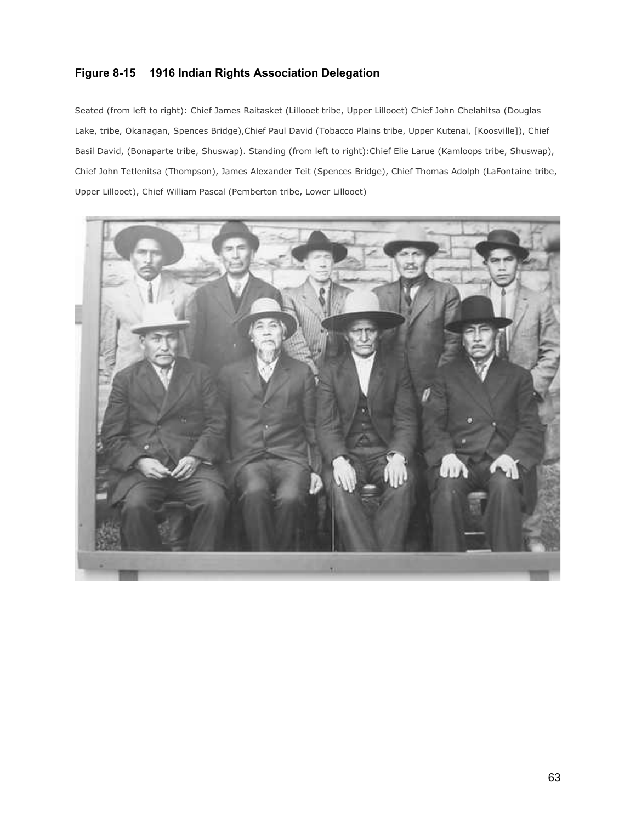### **Figure 8-15 1916 Indian Rights Association Delegation**

Seated (from left to right): Chief James Raitasket (Lillooet tribe, Upper Lillooet) Chief John Chelahitsa (Douglas Lake, tribe, Okanagan, Spences Bridge),Chief Paul David (Tobacco Plains tribe, Upper Kutenai, [Koosville]), Chief Basil David, (Bonaparte tribe, Shuswap). Standing (from left to right):Chief Elie Larue (Kamloops tribe, Shuswap), Chief John Tetlenitsa (Thompson), James Alexander Teit (Spences Bridge), Chief Thomas Adolph (LaFontaine tribe, Upper Lillooet), Chief William Pascal (Pemberton tribe, Lower Lillooet)

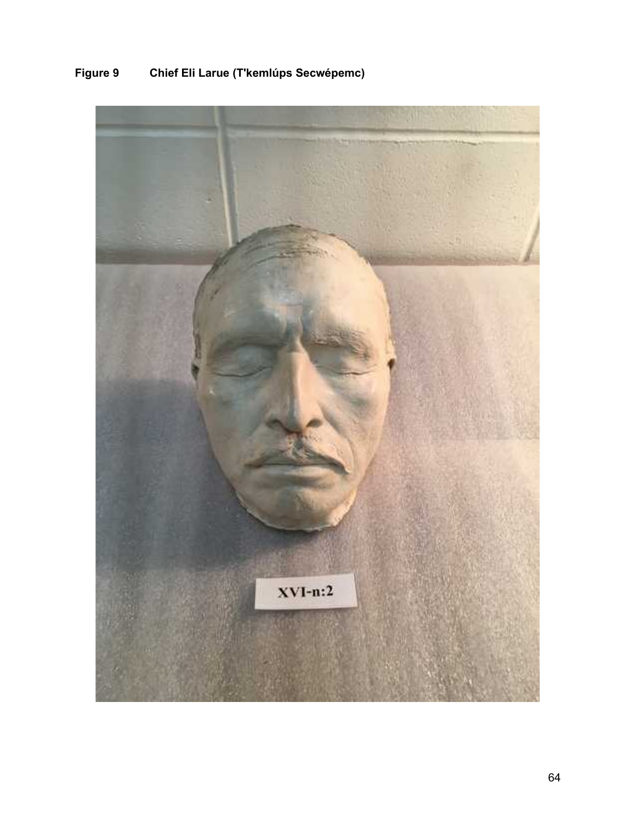

# **Figure 9 Chief Eli Larue (T'kemlups Secwépemc)**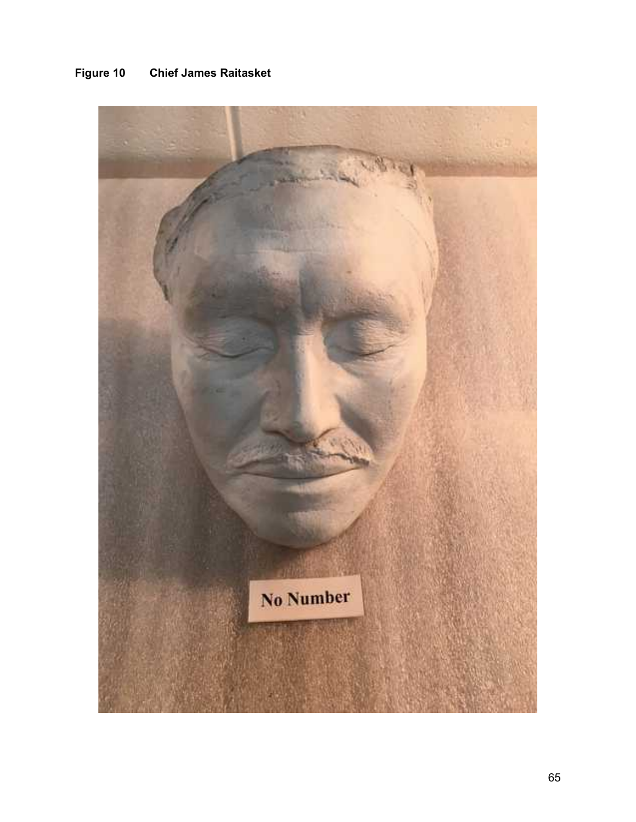

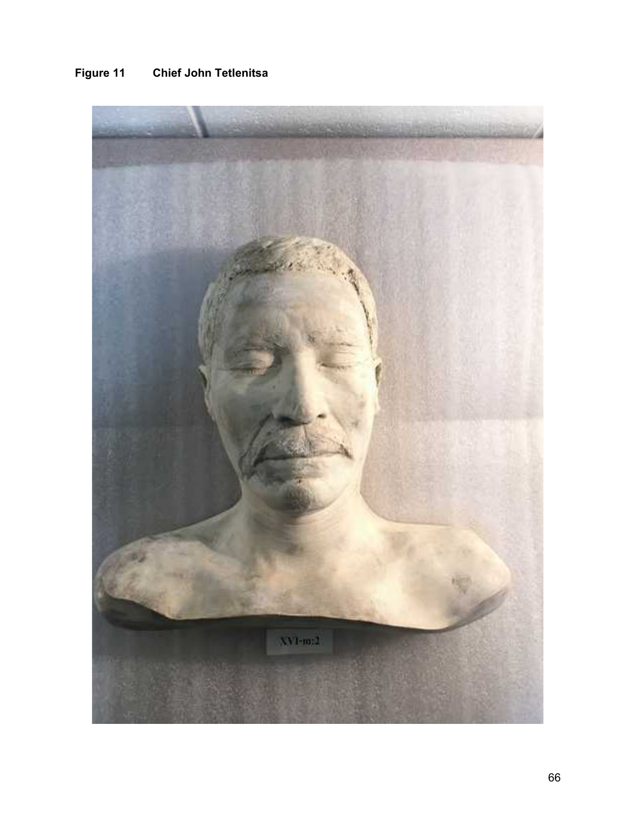# **Figure 11 Chief John Tetlenitsa**

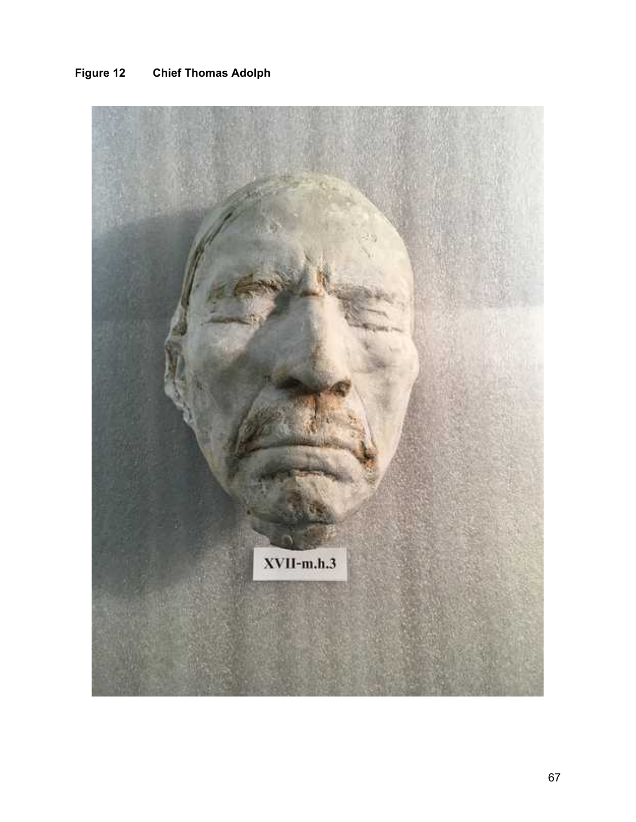

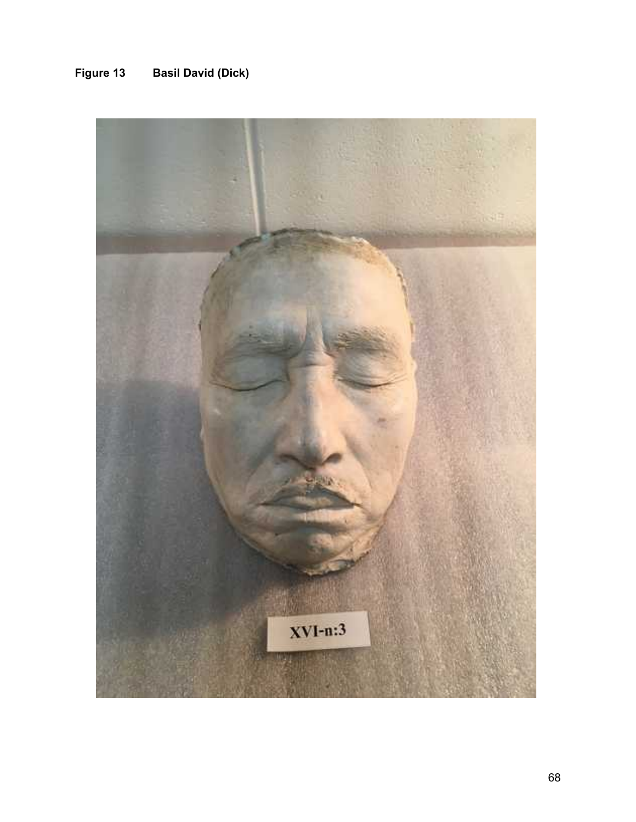# **Figure 13 Basil David (Dick)**

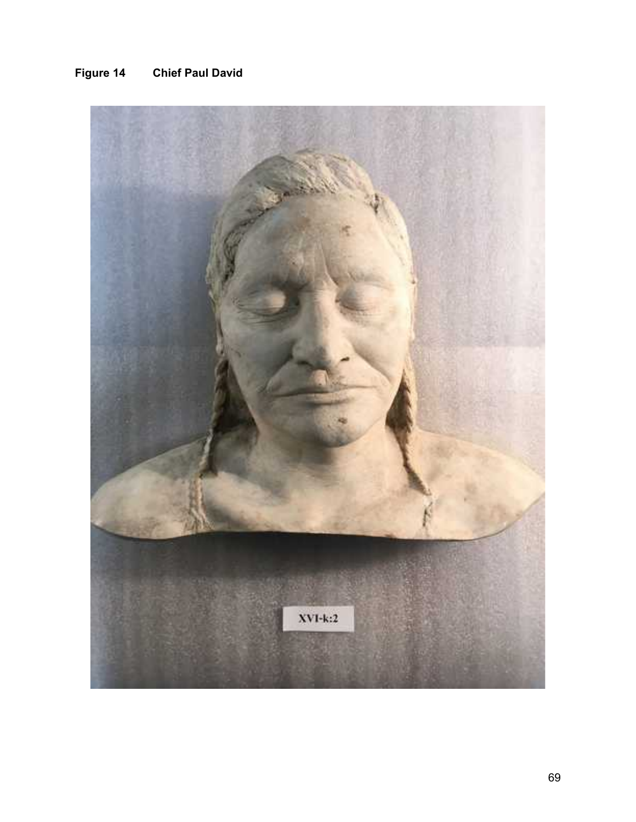# **Figure 14 Chief Paul David**

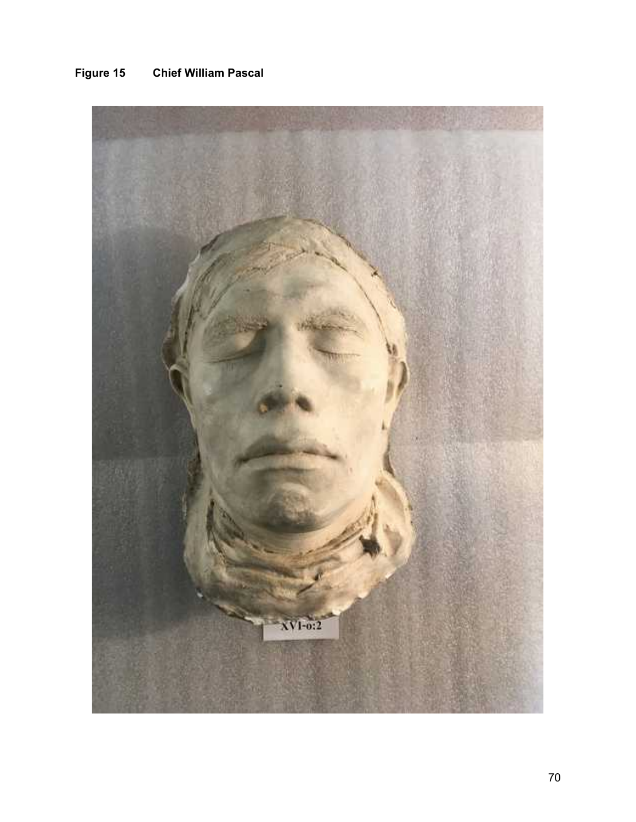

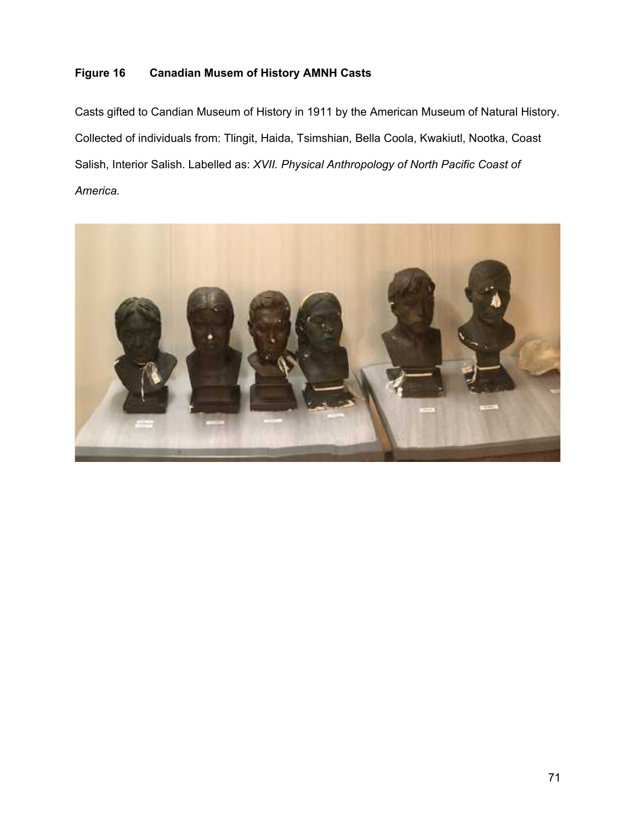#### **Figure 16 Canadian Musem of History AMNH Casts**

Casts gifted to Candian Museum of History in 1911 by the American Museum of Natural History. Collected of individuals from: Tlingit, Haida, Tsimshian, Bella Coola, Kwakiutl, Nootka, Coast Salish, Interior Salish. Labelled as: *XVII. Physical Anthropology of North Pacific Coast of America.*

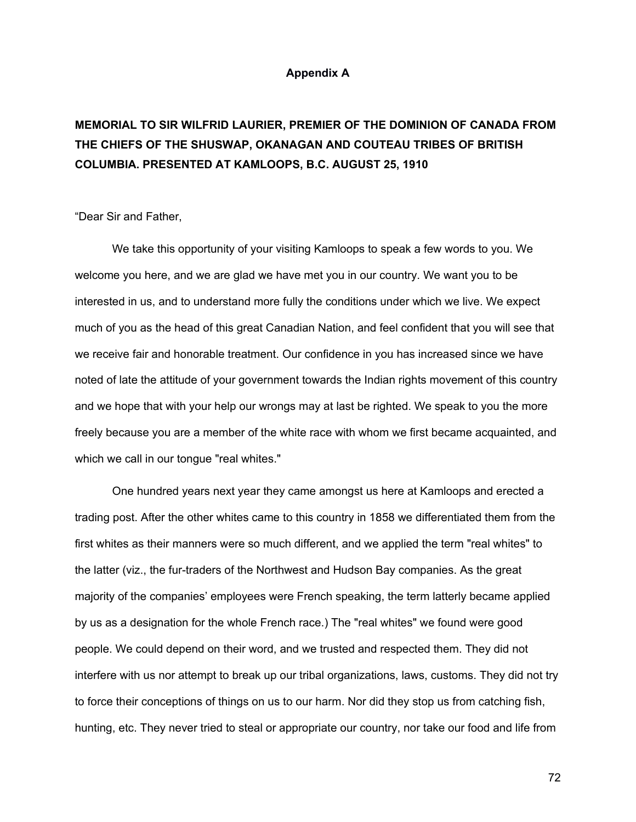#### **Appendix A**

#### **MEMORIAL TO SIR WILFRID LAURIER, PREMIER OF THE DOMINION OF CANADA FROM THE CHIEFS OF THE SHUSWAP, OKANAGAN AND COUTEAU TRIBES OF BRITISH COLUMBIA. PRESENTED AT KAMLOOPS, B.C. AUGUST 25, 1910**

"Dear Sir and Father,

We take this opportunity of your visiting Kamloops to speak a few words to you. We welcome you here, and we are glad we have met you in our country. We want you to be interested in us, and to understand more fully the conditions under which we live. We expect much of you as the head of this great Canadian Nation, and feel confident that you will see that we receive fair and honorable treatment. Our confidence in you has increased since we have noted of late the attitude of your government towards the Indian rights movement of this country and we hope that with your help our wrongs may at last be righted. We speak to you the more freely because you are a member of the white race with whom we first became acquainted, and which we call in our tongue "real whites."

One hundred years next year they came amongst us here at Kamloops and erected a trading post. After the other whites came to this country in 1858 we differentiated them from the first whites as their manners were so much different, and we applied the term "real whites" to the latter (viz., the fur-traders of the Northwest and Hudson Bay companies. As the great majority of the companies' employees were French speaking, the term latterly became applied by us as a designation for the whole French race.) The "real whites" we found were good people. We could depend on their word, and we trusted and respected them. They did not interfere with us nor attempt to break up our tribal organizations, laws, customs. They did not try to force their conceptions of things on us to our harm. Nor did they stop us from catching fish, hunting, etc. They never tried to steal or appropriate our country, nor take our food and life from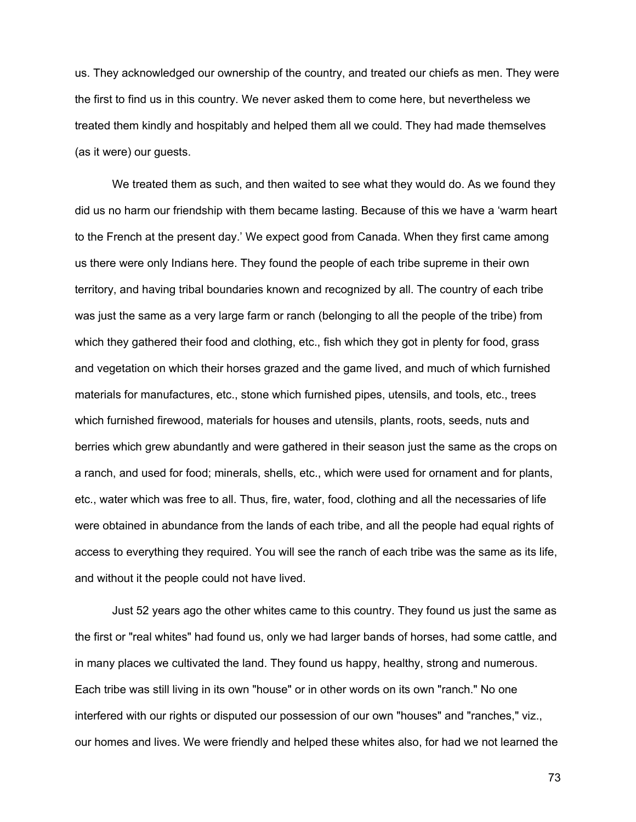us. They acknowledged our ownership of the country, and treated our chiefs as men. They were the first to find us in this country. We never asked them to come here, but nevertheless we treated them kindly and hospitably and helped them all we could. They had made themselves (as it were) our guests.

We treated them as such, and then waited to see what they would do. As we found they did us no harm our friendship with them became lasting. Because of this we have a 'warm heart to the French at the present day.' We expect good from Canada. When they first came among us there were only Indians here. They found the people of each tribe supreme in their own territory, and having tribal boundaries known and recognized by all. The country of each tribe was just the same as a very large farm or ranch (belonging to all the people of the tribe) from which they gathered their food and clothing, etc., fish which they got in plenty for food, grass and vegetation on which their horses grazed and the game lived, and much of which furnished materials for manufactures, etc., stone which furnished pipes, utensils, and tools, etc., trees which furnished firewood, materials for houses and utensils, plants, roots, seeds, nuts and berries which grew abundantly and were gathered in their season just the same as the crops on a ranch, and used for food; minerals, shells, etc., which were used for ornament and for plants, etc., water which was free to all. Thus, fire, water, food, clothing and all the necessaries of life were obtained in abundance from the lands of each tribe, and all the people had equal rights of access to everything they required. You will see the ranch of each tribe was the same as its life, and without it the people could not have lived.

Just 52 years ago the other whites came to this country. They found us just the same as the first or "real whites" had found us, only we had larger bands of horses, had some cattle, and in many places we cultivated the land. They found us happy, healthy, strong and numerous. Each tribe was still living in its own "house" or in other words on its own "ranch." No one interfered with our rights or disputed our possession of our own "houses" and "ranches," viz., our homes and lives. We were friendly and helped these whites also, for had we not learned the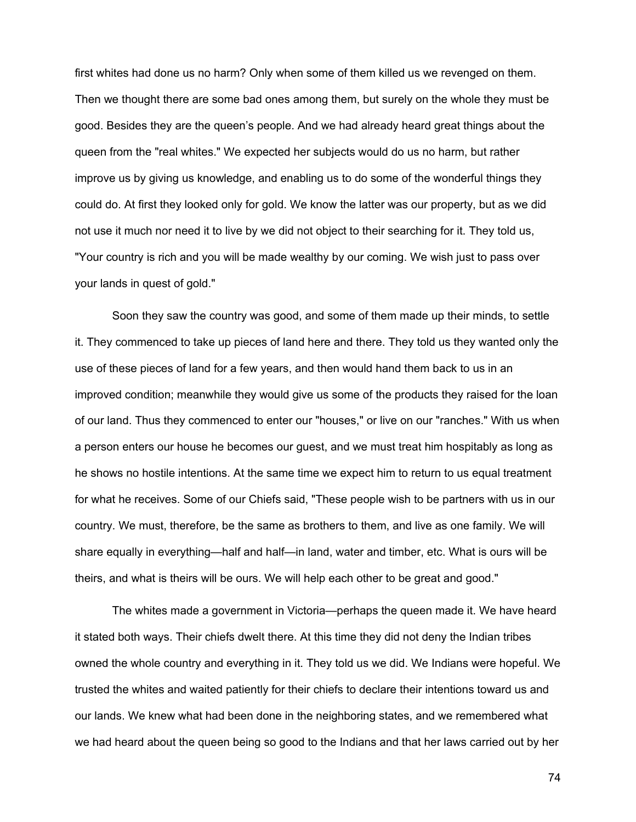first whites had done us no harm? Only when some of them killed us we revenged on them. Then we thought there are some bad ones among them, but surely on the whole they must be good. Besides they are the queen's people. And we had already heard great things about the queen from the "real whites." We expected her subjects would do us no harm, but rather improve us by giving us knowledge, and enabling us to do some of the wonderful things they could do. At first they looked only for gold. We know the latter was our property, but as we did not use it much nor need it to live by we did not object to their searching for it. They told us, "Your country is rich and you will be made wealthy by our coming. We wish just to pass over your lands in quest of gold."

Soon they saw the country was good, and some of them made up their minds, to settle it. They commenced to take up pieces of land here and there. They told us they wanted only the use of these pieces of land for a few years, and then would hand them back to us in an improved condition; meanwhile they would give us some of the products they raised for the loan of our land. Thus they commenced to enter our "houses," or live on our "ranches." With us when a person enters our house he becomes our guest, and we must treat him hospitably as long as he shows no hostile intentions. At the same time we expect him to return to us equal treatment for what he receives. Some of our Chiefs said, "These people wish to be partners with us in our country. We must, therefore, be the same as brothers to them, and live as one family. We will share equally in everything—half and half—in land, water and timber, etc. What is ours will be theirs, and what is theirs will be ours. We will help each other to be great and good."

The whites made a government in Victoria—perhaps the queen made it. We have heard it stated both ways. Their chiefs dwelt there. At this time they did not deny the Indian tribes owned the whole country and everything in it. They told us we did. We Indians were hopeful. We trusted the whites and waited patiently for their chiefs to declare their intentions toward us and our lands. We knew what had been done in the neighboring states, and we remembered what we had heard about the queen being so good to the Indians and that her laws carried out by her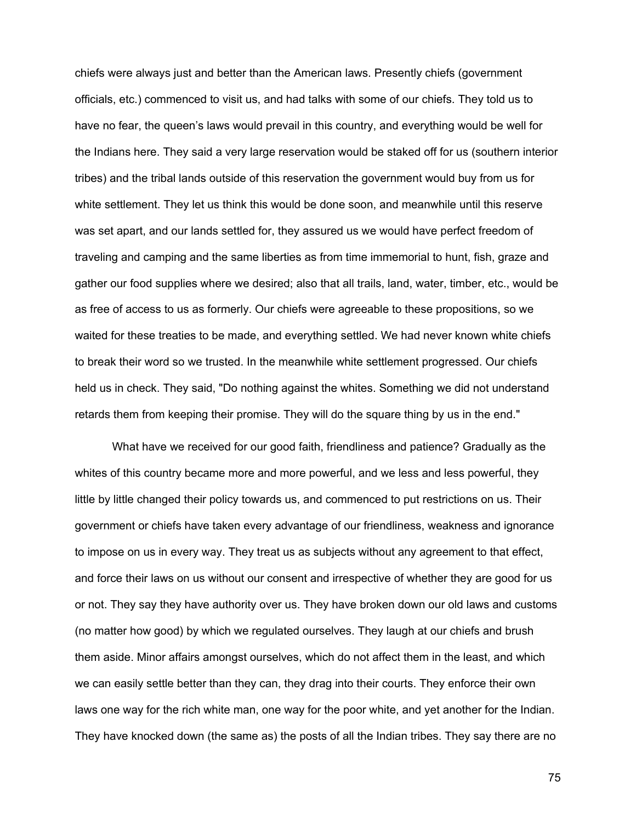chiefs were always just and better than the American laws. Presently chiefs (government officials, etc.) commenced to visit us, and had talks with some of our chiefs. They told us to have no fear, the queen's laws would prevail in this country, and everything would be well for the Indians here. They said a very large reservation would be staked off for us (southern interior tribes) and the tribal lands outside of this reservation the government would buy from us for white settlement. They let us think this would be done soon, and meanwhile until this reserve was set apart, and our lands settled for, they assured us we would have perfect freedom of traveling and camping and the same liberties as from time immemorial to hunt, fish, graze and gather our food supplies where we desired; also that all trails, land, water, timber, etc., would be as free of access to us as formerly. Our chiefs were agreeable to these propositions, so we waited for these treaties to be made, and everything settled. We had never known white chiefs to break their word so we trusted. In the meanwhile white settlement progressed. Our chiefs held us in check. They said, "Do nothing against the whites. Something we did not understand retards them from keeping their promise. They will do the square thing by us in the end."

What have we received for our good faith, friendliness and patience? Gradually as the whites of this country became more and more powerful, and we less and less powerful, they little by little changed their policy towards us, and commenced to put restrictions on us. Their government or chiefs have taken every advantage of our friendliness, weakness and ignorance to impose on us in every way. They treat us as subjects without any agreement to that effect, and force their laws on us without our consent and irrespective of whether they are good for us or not. They say they have authority over us. They have broken down our old laws and customs (no matter how good) by which we regulated ourselves. They laugh at our chiefs and brush them aside. Minor affairs amongst ourselves, which do not affect them in the least, and which we can easily settle better than they can, they drag into their courts. They enforce their own laws one way for the rich white man, one way for the poor white, and yet another for the Indian. They have knocked down (the same as) the posts of all the Indian tribes. They say there are no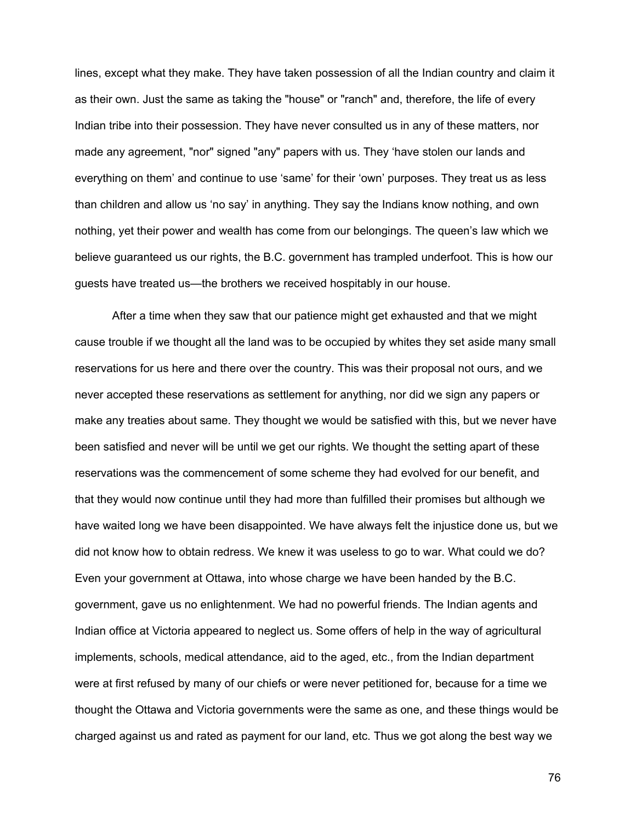lines, except what they make. They have taken possession of all the Indian country and claim it as their own. Just the same as taking the "house" or "ranch" and, therefore, the life of every Indian tribe into their possession. They have never consulted us in any of these matters, nor made any agreement, "nor" signed "any" papers with us. They 'have stolen our lands and everything on them' and continue to use 'same' for their 'own' purposes. They treat us as less than children and allow us 'no say' in anything. They say the Indians know nothing, and own nothing, yet their power and wealth has come from our belongings. The queen's law which we believe guaranteed us our rights, the B.C. government has trampled underfoot. This is how our guests have treated us—the brothers we received hospitably in our house.

After a time when they saw that our patience might get exhausted and that we might cause trouble if we thought all the land was to be occupied by whites they set aside many small reservations for us here and there over the country. This was their proposal not ours, and we never accepted these reservations as settlement for anything, nor did we sign any papers or make any treaties about same. They thought we would be satisfied with this, but we never have been satisfied and never will be until we get our rights. We thought the setting apart of these reservations was the commencement of some scheme they had evolved for our benefit, and that they would now continue until they had more than fulfilled their promises but although we have waited long we have been disappointed. We have always felt the injustice done us, but we did not know how to obtain redress. We knew it was useless to go to war. What could we do? Even your government at Ottawa, into whose charge we have been handed by the B.C. government, gave us no enlightenment. We had no powerful friends. The Indian agents and Indian office at Victoria appeared to neglect us. Some offers of help in the way of agricultural implements, schools, medical attendance, aid to the aged, etc., from the Indian department were at first refused by many of our chiefs or were never petitioned for, because for a time we thought the Ottawa and Victoria governments were the same as one, and these things would be charged against us and rated as payment for our land, etc. Thus we got along the best way we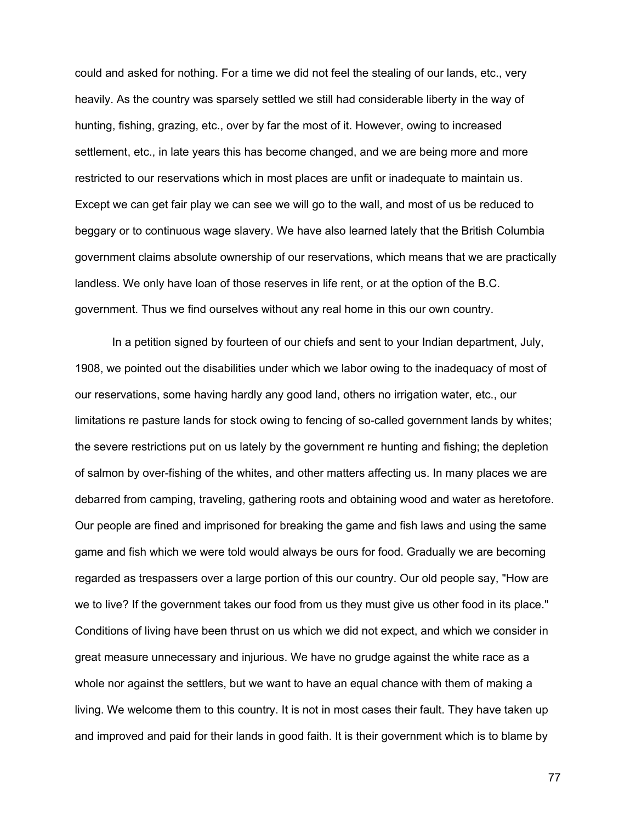could and asked for nothing. For a time we did not feel the stealing of our lands, etc., very heavily. As the country was sparsely settled we still had considerable liberty in the way of hunting, fishing, grazing, etc., over by far the most of it. However, owing to increased settlement, etc., in late years this has become changed, and we are being more and more restricted to our reservations which in most places are unfit or inadequate to maintain us. Except we can get fair play we can see we will go to the wall, and most of us be reduced to beggary or to continuous wage slavery. We have also learned lately that the British Columbia government claims absolute ownership of our reservations, which means that we are practically landless. We only have loan of those reserves in life rent, or at the option of the B.C. government. Thus we find ourselves without any real home in this our own country.

In a petition signed by fourteen of our chiefs and sent to your Indian department, July, 1908, we pointed out the disabilities under which we labor owing to the inadequacy of most of our reservations, some having hardly any good land, others no irrigation water, etc., our limitations re pasture lands for stock owing to fencing of so-called government lands by whites; the severe restrictions put on us lately by the government re hunting and fishing; the depletion of salmon by over-fishing of the whites, and other matters affecting us. In many places we are debarred from camping, traveling, gathering roots and obtaining wood and water as heretofore. Our people are fined and imprisoned for breaking the game and fish laws and using the same game and fish which we were told would always be ours for food. Gradually we are becoming regarded as trespassers over a large portion of this our country. Our old people say, "How are we to live? If the government takes our food from us they must give us other food in its place." Conditions of living have been thrust on us which we did not expect, and which we consider in great measure unnecessary and injurious. We have no grudge against the white race as a whole nor against the settlers, but we want to have an equal chance with them of making a living. We welcome them to this country. It is not in most cases their fault. They have taken up and improved and paid for their lands in good faith. It is their government which is to blame by